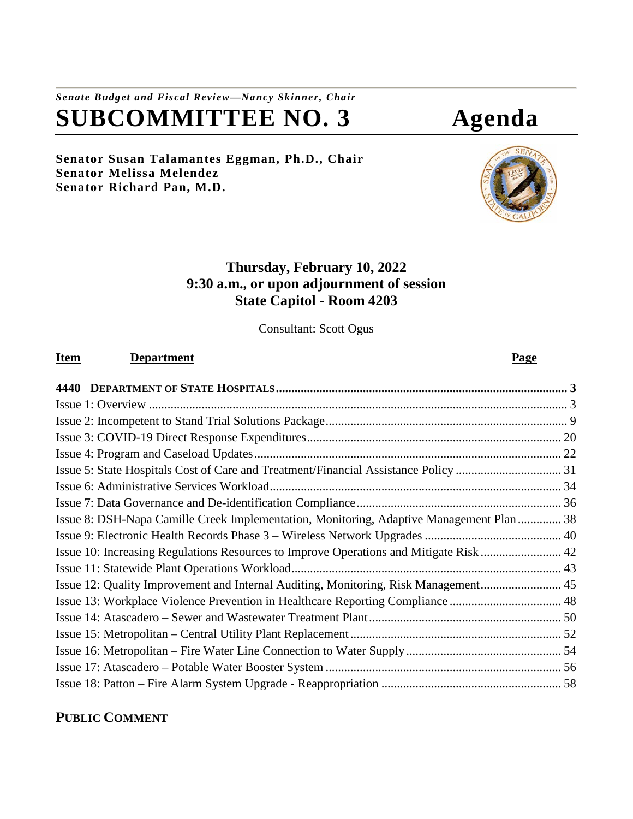# *Senate Budget and Fiscal Review—Nancy Skinner, Chair* **SUBCOMMITTEE NO. 3 Agenda**

# **Senator Susan Talamantes Eggman, Ph.D., Chair Senator Melissa Melendez Senator Richard Pan, M.D.**

# **Thursday, February 10, 2022 9:30 a.m., or upon adjournment of session State Capitol - Room 4203**

Consultant: Scott Ogus

# **Item Department Page**

| Issue 8: DSH-Napa Camille Creek Implementation, Monitoring, Adaptive Management Plan 38 |  |
|-----------------------------------------------------------------------------------------|--|
|                                                                                         |  |
| Issue 10: Increasing Regulations Resources to Improve Operations and Mitigate Risk 42   |  |
|                                                                                         |  |
| Issue 12: Quality Improvement and Internal Auditing, Monitoring, Risk Management 45     |  |
| Issue 13: Workplace Violence Prevention in Healthcare Reporting Compliance  48          |  |
|                                                                                         |  |
|                                                                                         |  |
|                                                                                         |  |
|                                                                                         |  |
|                                                                                         |  |

# **PUBLIC COMMENT**

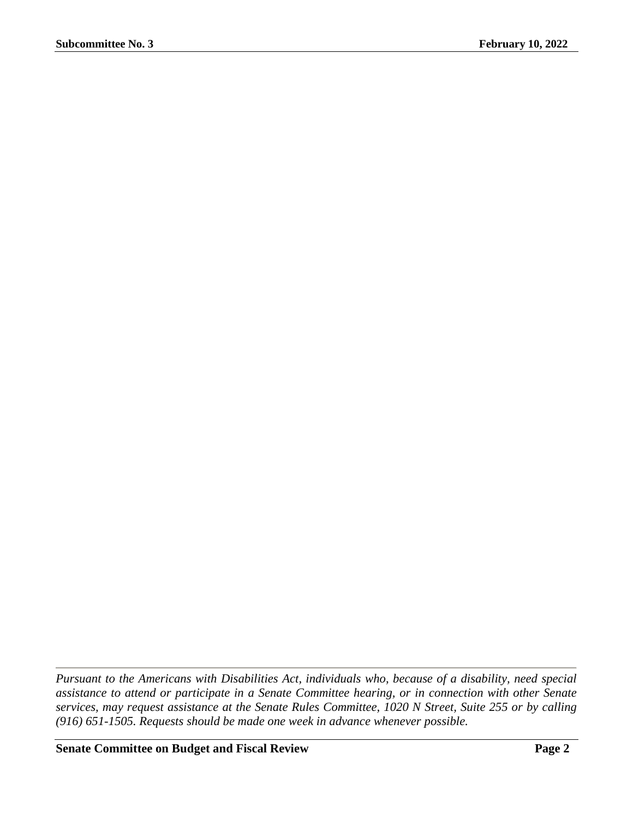*Pursuant to the Americans with Disabilities Act, individuals who, because of a disability, need special assistance to attend or participate in a Senate Committee hearing, or in connection with other Senate services, may request assistance at the Senate Rules Committee, 1020 N Street, Suite 255 or by calling (916) 651-1505. Requests should be made one week in advance whenever possible.*

**Senate Committee on Budget and Fiscal Review Page 2**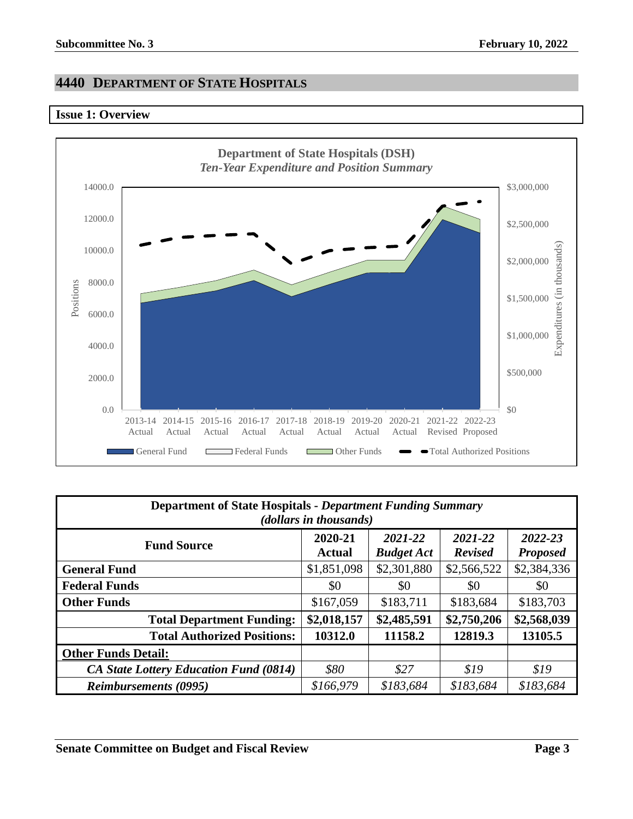# <span id="page-2-0"></span>**4440 DEPARTMENT OF STATE HOSPITALS**

# <span id="page-2-1"></span>**Issue 1: Overview**



| <b>Department of State Hospitals - Department Funding Summary</b><br>( <i>dollars in thousands</i> )                                      |             |             |             |             |  |
|-------------------------------------------------------------------------------------------------------------------------------------------|-------------|-------------|-------------|-------------|--|
| 2020-21<br>2021-22<br>2021-22<br>2022-23<br><b>Fund Source</b><br><b>Budget Act</b><br><b>Revised</b><br><b>Proposed</b><br><b>Actual</b> |             |             |             |             |  |
| <b>General Fund</b>                                                                                                                       | \$1,851,098 | \$2,301,880 | \$2,566,522 | \$2,384,336 |  |
| <b>Federal Funds</b>                                                                                                                      | \$0         | \$0         | \$0         | \$0         |  |
| <b>Other Funds</b>                                                                                                                        | \$167,059   | \$183,711   | \$183,684   | \$183,703   |  |
| <b>Total Department Funding:</b>                                                                                                          | \$2,018,157 | \$2,485,591 | \$2,750,206 | \$2,568,039 |  |
| <b>Total Authorized Positions:</b>                                                                                                        | 10312.0     | 11158.2     | 12819.3     | 13105.5     |  |
| <b>Other Funds Detail:</b>                                                                                                                |             |             |             |             |  |
| <b>CA State Lottery Education Fund (0814)</b>                                                                                             | \$80        | \$27        | \$19        | \$19        |  |
| <b>Reimbursements (0995)</b>                                                                                                              | \$166,979   | \$183,684   | \$183,684   | \$183,684   |  |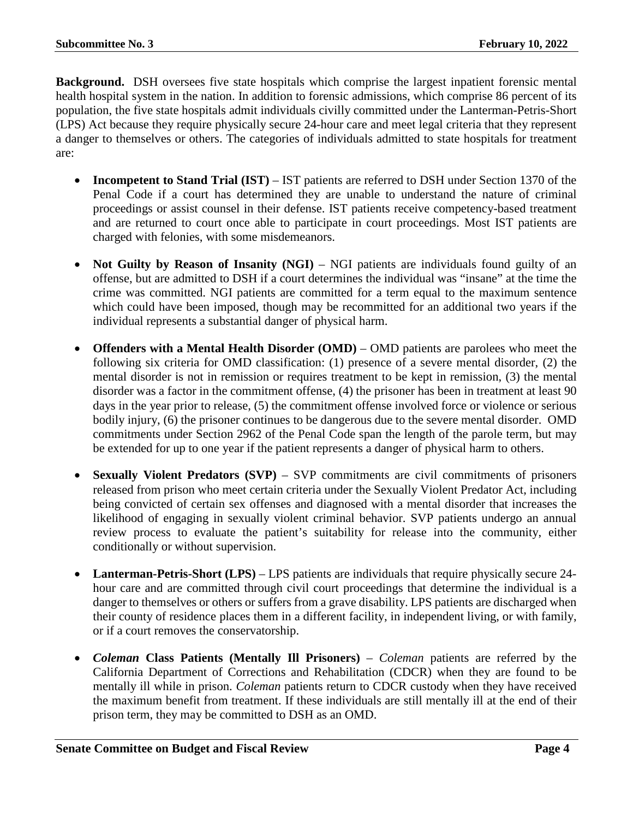**Background.** DSH oversees five state hospitals which comprise the largest inpatient forensic mental health hospital system in the nation. In addition to forensic admissions, which comprise 86 percent of its population, the five state hospitals admit individuals civilly committed under the Lanterman-Petris-Short (LPS) Act because they require physically secure 24-hour care and meet legal criteria that they represent a danger to themselves or others. The categories of individuals admitted to state hospitals for treatment are:

- **Incompetent to Stand Trial (IST)** IST patients are referred to DSH under Section 1370 of the Penal Code if a court has determined they are unable to understand the nature of criminal proceedings or assist counsel in their defense. IST patients receive competency-based treatment and are returned to court once able to participate in court proceedings. Most IST patients are charged with felonies, with some misdemeanors.
- **Not Guilty by Reason of Insanity (NGI)** NGI patients are individuals found guilty of an offense, but are admitted to DSH if a court determines the individual was "insane" at the time the crime was committed. NGI patients are committed for a term equal to the maximum sentence which could have been imposed, though may be recommitted for an additional two years if the individual represents a substantial danger of physical harm.
- **Offenders with a Mental Health Disorder (OMD)** OMD patients are parolees who meet the following six criteria for OMD classification: (1) presence of a severe mental disorder, (2) the mental disorder is not in remission or requires treatment to be kept in remission, (3) the mental disorder was a factor in the commitment offense, (4) the prisoner has been in treatment at least 90 days in the year prior to release, (5) the commitment offense involved force or violence or serious bodily injury, (6) the prisoner continues to be dangerous due to the severe mental disorder. OMD commitments under Section 2962 of the Penal Code span the length of the parole term, but may be extended for up to one year if the patient represents a danger of physical harm to others.
- **Sexually Violent Predators (SVP)** SVP commitments are civil commitments of prisoners released from prison who meet certain criteria under the Sexually Violent Predator Act, including being convicted of certain sex offenses and diagnosed with a mental disorder that increases the likelihood of engaging in sexually violent criminal behavior. SVP patients undergo an annual review process to evaluate the patient's suitability for release into the community, either conditionally or without supervision.
- **Lanterman-Petris-Short (LPS)** LPS patients are individuals that require physically secure 24 hour care and are committed through civil court proceedings that determine the individual is a danger to themselves or others or suffers from a grave disability. LPS patients are discharged when their county of residence places them in a different facility, in independent living, or with family, or if a court removes the conservatorship.
- *Coleman* **Class Patients (Mentally Ill Prisoners)** *Coleman* patients are referred by the California Department of Corrections and Rehabilitation (CDCR) when they are found to be mentally ill while in prison. *Coleman* patients return to CDCR custody when they have received the maximum benefit from treatment. If these individuals are still mentally ill at the end of their prison term, they may be committed to DSH as an OMD.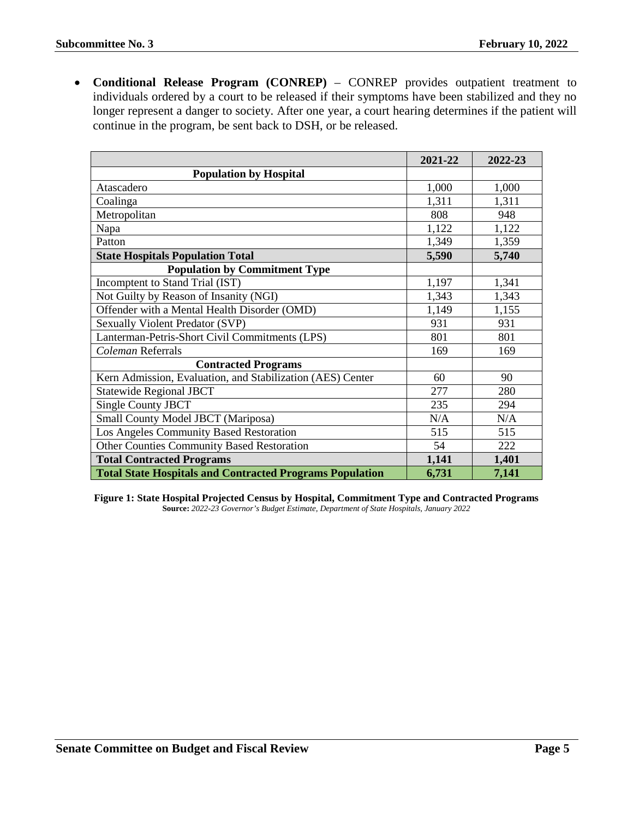• **Conditional Release Program (CONREP)** – CONREP provides outpatient treatment to individuals ordered by a court to be released if their symptoms have been stabilized and they no longer represent a danger to society. After one year, a court hearing determines if the patient will continue in the program, be sent back to DSH, or be released.

|                                                                 | 2021-22 | 2022-23 |
|-----------------------------------------------------------------|---------|---------|
| <b>Population by Hospital</b>                                   |         |         |
| Atascadero                                                      | 1,000   | 1,000   |
| Coalinga                                                        | 1,311   | 1,311   |
| Metropolitan                                                    | 808     | 948     |
| Napa                                                            | 1,122   | 1,122   |
| Patton                                                          | 1,349   | 1,359   |
| <b>State Hospitals Population Total</b>                         | 5,590   | 5,740   |
| <b>Population by Commitment Type</b>                            |         |         |
| Incomptent to Stand Trial (IST)                                 | 1,197   | 1,341   |
| Not Guilty by Reason of Insanity (NGI)                          | 1,343   | 1,343   |
| Offender with a Mental Health Disorder (OMD)                    | 1,149   | 1,155   |
| Sexually Violent Predator (SVP)                                 | 931     | 931     |
| Lanterman-Petris-Short Civil Commitments (LPS)                  | 801     | 801     |
| Coleman Referrals                                               | 169     | 169     |
| <b>Contracted Programs</b>                                      |         |         |
| Kern Admission, Evaluation, and Stabilization (AES) Center      | 60      | 90      |
| <b>Statewide Regional JBCT</b>                                  | 277     | 280     |
| <b>Single County JBCT</b>                                       | 235     | 294     |
| Small County Model JBCT (Mariposa)                              | N/A     | N/A     |
| Los Angeles Community Based Restoration                         | 515     | 515     |
| <b>Other Counties Community Based Restoration</b>               | 54      | 222     |
| <b>Total Contracted Programs</b>                                | 1,141   | 1,401   |
| <b>Total State Hospitals and Contracted Programs Population</b> | 6,731   | 7,141   |

**Figure 1: State Hospital Projected Census by Hospital, Commitment Type and Contracted Programs Source:** *2022-23 Governor's Budget Estimate, Department of State Hospitals, January 2022*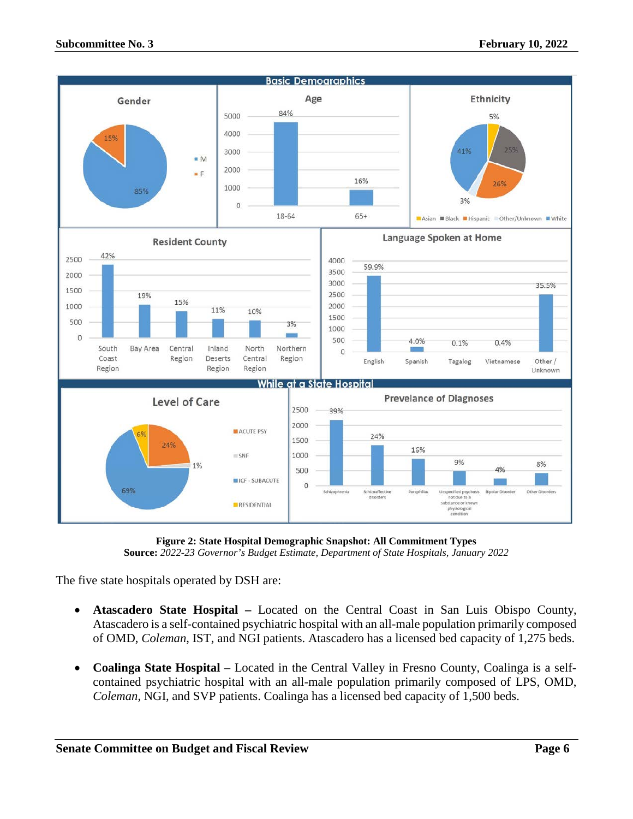

**Figure 2: State Hospital Demographic Snapshot: All Commitment Types Source:** *2022-23 Governor's Budget Estimate, Department of State Hospitals, January 2022*

The five state hospitals operated by DSH are:

- **Atascadero State Hospital –** Located on the Central Coast in San Luis Obispo County, Atascadero is a self-contained psychiatric hospital with an all-male population primarily composed of OMD, *Coleman*, IST, and NGI patients. Atascadero has a licensed bed capacity of 1,275 beds.
- **Coalinga State Hospital** Located in the Central Valley in Fresno County, Coalinga is a selfcontained psychiatric hospital with an all-male population primarily composed of LPS, OMD, *Coleman*, NGI, and SVP patients. Coalinga has a licensed bed capacity of 1,500 beds.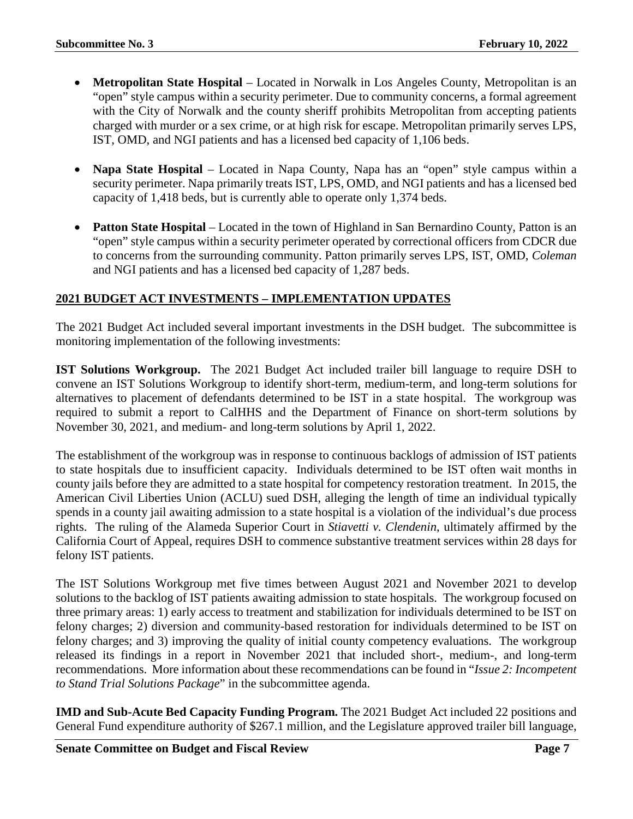- **Metropolitan State Hospital** Located in Norwalk in Los Angeles County, Metropolitan is an "open" style campus within a security perimeter. Due to community concerns, a formal agreement with the City of Norwalk and the county sheriff prohibits Metropolitan from accepting patients charged with murder or a sex crime, or at high risk for escape. Metropolitan primarily serves LPS, IST, OMD, and NGI patients and has a licensed bed capacity of 1,106 beds.
- **Napa State Hospital** Located in Napa County, Napa has an "open" style campus within a security perimeter. Napa primarily treats IST, LPS, OMD, and NGI patients and has a licensed bed capacity of 1,418 beds, but is currently able to operate only 1,374 beds.
- **Patton State Hospital** Located in the town of Highland in San Bernardino County, Patton is an "open" style campus within a security perimeter operated by correctional officers from CDCR due to concerns from the surrounding community. Patton primarily serves LPS, IST, OMD, *Coleman* and NGI patients and has a licensed bed capacity of 1,287 beds.

# **2021 BUDGET ACT INVESTMENTS – IMPLEMENTATION UPDATES**

The 2021 Budget Act included several important investments in the DSH budget. The subcommittee is monitoring implementation of the following investments:

**IST Solutions Workgroup.** The 2021 Budget Act included trailer bill language to require DSH to convene an IST Solutions Workgroup to identify short-term, medium-term, and long-term solutions for alternatives to placement of defendants determined to be IST in a state hospital. The workgroup was required to submit a report to CalHHS and the Department of Finance on short-term solutions by November 30, 2021, and medium- and long-term solutions by April 1, 2022.

The establishment of the workgroup was in response to continuous backlogs of admission of IST patients to state hospitals due to insufficient capacity. Individuals determined to be IST often wait months in county jails before they are admitted to a state hospital for competency restoration treatment. In 2015, the American Civil Liberties Union (ACLU) sued DSH, alleging the length of time an individual typically spends in a county jail awaiting admission to a state hospital is a violation of the individual's due process rights. The ruling of the Alameda Superior Court in *Stiavetti v. Clendenin*, ultimately affirmed by the California Court of Appeal, requires DSH to commence substantive treatment services within 28 days for felony IST patients.

The IST Solutions Workgroup met five times between August 2021 and November 2021 to develop solutions to the backlog of IST patients awaiting admission to state hospitals. The workgroup focused on three primary areas: 1) early access to treatment and stabilization for individuals determined to be IST on felony charges; 2) diversion and community-based restoration for individuals determined to be IST on felony charges; and 3) improving the quality of initial county competency evaluations. The workgroup released its findings in a report in November 2021 that included short-, medium-, and long-term recommendations. More information about these recommendations can be found in "*Issue 2: Incompetent to Stand Trial Solutions Package*" in the subcommittee agenda.

**IMD and Sub-Acute Bed Capacity Funding Program.** The 2021 Budget Act included 22 positions and General Fund expenditure authority of \$267.1 million, and the Legislature approved trailer bill language,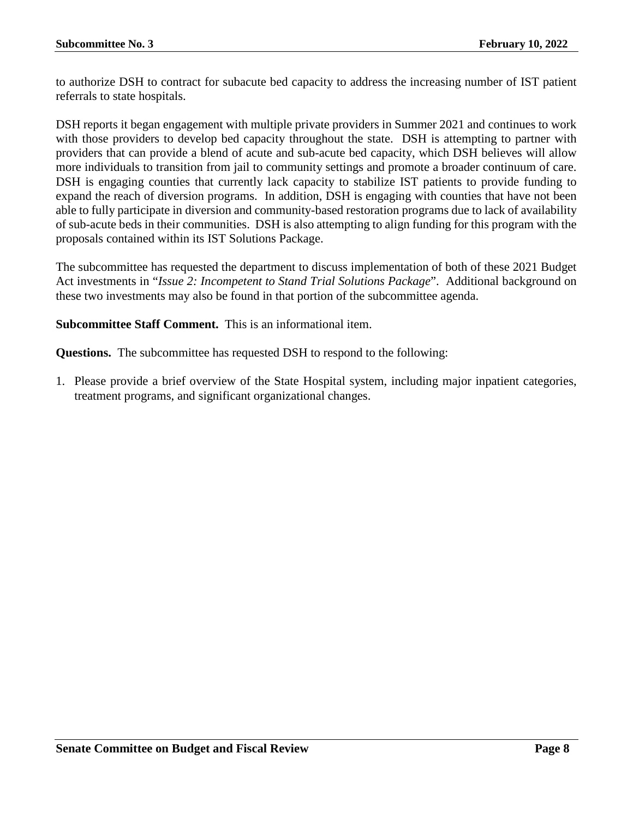to authorize DSH to contract for subacute bed capacity to address the increasing number of IST patient referrals to state hospitals.

DSH reports it began engagement with multiple private providers in Summer 2021 and continues to work with those providers to develop bed capacity throughout the state. DSH is attempting to partner with providers that can provide a blend of acute and sub-acute bed capacity, which DSH believes will allow more individuals to transition from jail to community settings and promote a broader continuum of care. DSH is engaging counties that currently lack capacity to stabilize IST patients to provide funding to expand the reach of diversion programs. In addition, DSH is engaging with counties that have not been able to fully participate in diversion and community-based restoration programs due to lack of availability of sub-acute beds in their communities. DSH is also attempting to align funding for this program with the proposals contained within its IST Solutions Package.

The subcommittee has requested the department to discuss implementation of both of these 2021 Budget Act investments in "*Issue 2: Incompetent to Stand Trial Solutions Package*". Additional background on these two investments may also be found in that portion of the subcommittee agenda.

**Subcommittee Staff Comment.** This is an informational item.

**Questions.** The subcommittee has requested DSH to respond to the following:

1. Please provide a brief overview of the State Hospital system, including major inpatient categories, treatment programs, and significant organizational changes.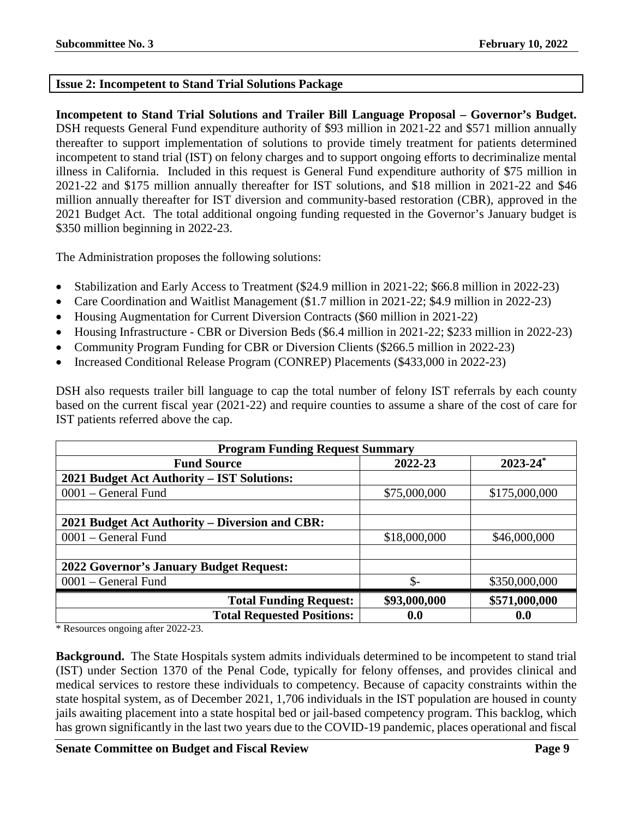# <span id="page-8-0"></span>**Issue 2: Incompetent to Stand Trial Solutions Package**

**Incompetent to Stand Trial Solutions and Trailer Bill Language Proposal – Governor's Budget.** DSH requests General Fund expenditure authority of \$93 million in 2021-22 and \$571 million annually thereafter to support implementation of solutions to provide timely treatment for patients determined incompetent to stand trial (IST) on felony charges and to support ongoing efforts to decriminalize mental illness in California. Included in this request is General Fund expenditure authority of \$75 million in 2021-22 and \$175 million annually thereafter for IST solutions, and \$18 million in 2021-22 and \$46 million annually thereafter for IST diversion and community-based restoration (CBR), approved in the 2021 Budget Act. The total additional ongoing funding requested in the Governor's January budget is \$350 million beginning in 2022-23.

The Administration proposes the following solutions:

- Stabilization and Early Access to Treatment (\$24.9 million in 2021-22; \$66.8 million in 2022-23)
- Care Coordination and Waitlist Management (\$1.7 million in 2021-22; \$4.9 million in 2022-23)
- Housing Augmentation for Current Diversion Contracts (\$60 million in 2021-22)
- Housing Infrastructure CBR or Diversion Beds (\$6.4 million in 2021-22; \$233 million in 2022-23)
- Community Program Funding for CBR or Diversion Clients (\$266.5 million in 2022-23)
- Increased Conditional Release Program (CONREP) Placements (\$433,000 in 2022-23)

DSH also requests trailer bill language to cap the total number of felony IST referrals by each county based on the current fiscal year (2021-22) and require counties to assume a share of the cost of care for IST patients referred above the cap.

| <b>Program Funding Request Summary</b>         |              |                          |  |  |
|------------------------------------------------|--------------|--------------------------|--|--|
| <b>Fund Source</b>                             | 2022-23      | $2023 - 24$ <sup>*</sup> |  |  |
| 2021 Budget Act Authority - IST Solutions:     |              |                          |  |  |
| 0001 - General Fund                            | \$75,000,000 | \$175,000,000            |  |  |
|                                                |              |                          |  |  |
| 2021 Budget Act Authority – Diversion and CBR: |              |                          |  |  |
| 0001 – General Fund                            | \$18,000,000 | \$46,000,000             |  |  |
|                                                |              |                          |  |  |
| <b>2022 Governor's January Budget Request:</b> |              |                          |  |  |
| 0001 – General Fund                            | \$-          | \$350,000,000            |  |  |
| <b>Total Funding Request:</b>                  | \$93,000,000 | \$571,000,000            |  |  |
| <b>Total Requested Positions:</b>              | 0.0          | 0.0                      |  |  |

\* Resources ongoing after 2022-23.

**Background.** The State Hospitals system admits individuals determined to be incompetent to stand trial (IST) under Section 1370 of the Penal Code, typically for felony offenses, and provides clinical and medical services to restore these individuals to competency. Because of capacity constraints within the state hospital system, as of December 2021, 1,706 individuals in the IST population are housed in county jails awaiting placement into a state hospital bed or jail-based competency program. This backlog, which has grown significantly in the last two years due to the COVID-19 pandemic, places operational and fiscal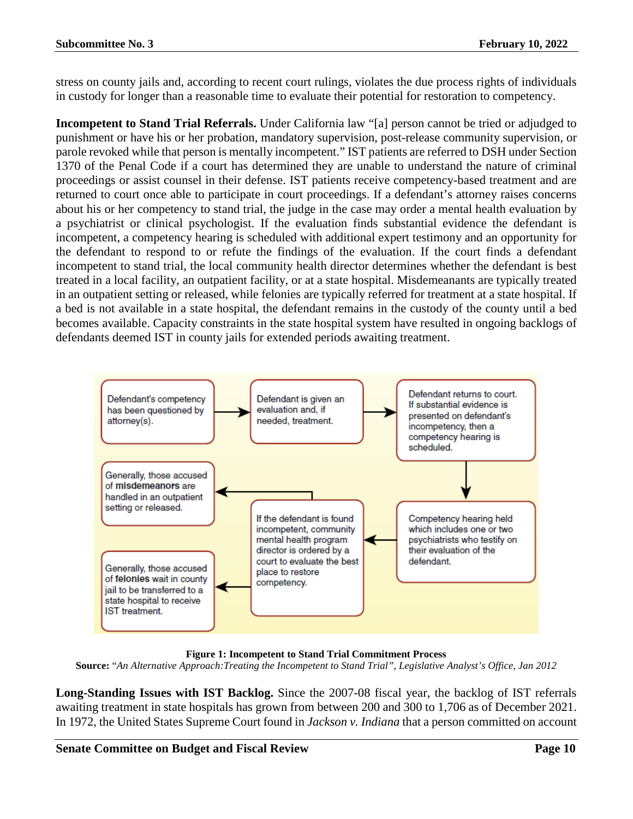stress on county jails and, according to recent court rulings, violates the due process rights of individuals in custody for longer than a reasonable time to evaluate their potential for restoration to competency.

**Incompetent to Stand Trial Referrals.** Under California law "[a] person cannot be tried or adjudged to punishment or have his or her probation, mandatory supervision, post-release community supervision, or parole revoked while that person is mentally incompetent." IST patients are referred to DSH under Section 1370 of the Penal Code if a court has determined they are unable to understand the nature of criminal proceedings or assist counsel in their defense. IST patients receive competency-based treatment and are returned to court once able to participate in court proceedings. If a defendant's attorney raises concerns about his or her competency to stand trial, the judge in the case may order a mental health evaluation by a psychiatrist or clinical psychologist. If the evaluation finds substantial evidence the defendant is incompetent, a competency hearing is scheduled with additional expert testimony and an opportunity for the defendant to respond to or refute the findings of the evaluation. If the court finds a defendant incompetent to stand trial, the local community health director determines whether the defendant is best treated in a local facility, an outpatient facility, or at a state hospital. Misdemeanants are typically treated in an outpatient setting or released, while felonies are typically referred for treatment at a state hospital. If a bed is not available in a state hospital, the defendant remains in the custody of the county until a bed becomes available. Capacity constraints in the state hospital system have resulted in ongoing backlogs of defendants deemed IST in county jails for extended periods awaiting treatment.



**Figure 1: Incompetent to Stand Trial Commitment Process**

**Source:** "*An Alternative Approach:Treating the Incompetent to Stand Trial", Legislative Analyst's Office, Jan 2012*

**Long-Standing Issues with IST Backlog.** Since the 2007-08 fiscal year, the backlog of IST referrals awaiting treatment in state hospitals has grown from between 200 and 300 to 1,706 as of December 2021. In 1972, the United States Supreme Court found in *Jackson v. Indiana* that a person committed on account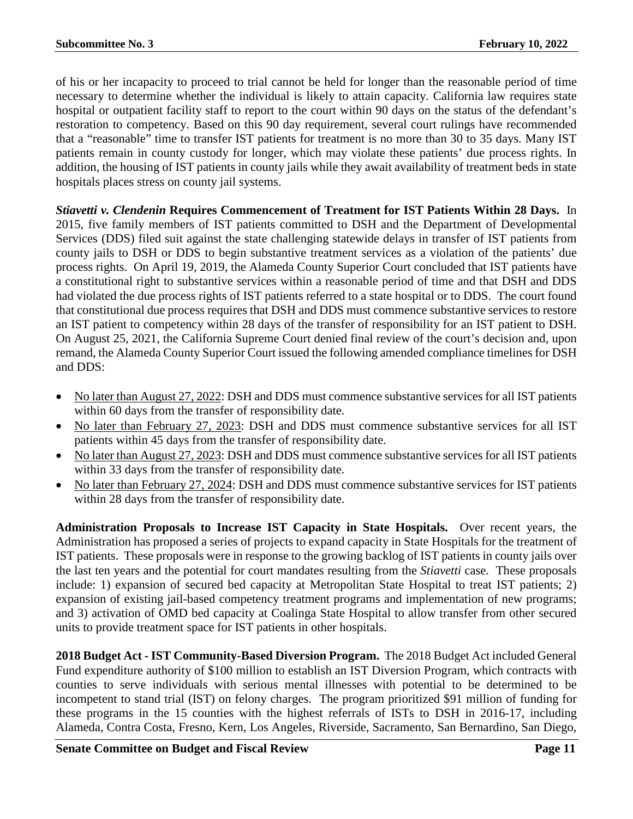of his or her incapacity to proceed to trial cannot be held for longer than the reasonable period of time necessary to determine whether the individual is likely to attain capacity. California law requires state hospital or outpatient facility staff to report to the court within 90 days on the status of the defendant's restoration to competency. Based on this 90 day requirement, several court rulings have recommended that a "reasonable" time to transfer IST patients for treatment is no more than 30 to 35 days. Many IST patients remain in county custody for longer, which may violate these patients' due process rights. In addition, the housing of IST patients in county jails while they await availability of treatment beds in state hospitals places stress on county jail systems.

*Stiavetti v. Clendenin* **Requires Commencement of Treatment for IST Patients Within 28 Days.** In 2015, five family members of IST patients committed to DSH and the Department of Developmental Services (DDS) filed suit against the state challenging statewide delays in transfer of IST patients from county jails to DSH or DDS to begin substantive treatment services as a violation of the patients' due process rights. On April 19, 2019, the Alameda County Superior Court concluded that IST patients have a constitutional right to substantive services within a reasonable period of time and that DSH and DDS had violated the due process rights of IST patients referred to a state hospital or to DDS. The court found that constitutional due process requires that DSH and DDS must commence substantive services to restore an IST patient to competency within 28 days of the transfer of responsibility for an IST patient to DSH. On August 25, 2021, the California Supreme Court denied final review of the court's decision and, upon remand, the Alameda County Superior Court issued the following amended compliance timelines for DSH and DDS:

- No later than August 27, 2022: DSH and DDS must commence substantive services for all IST patients within 60 days from the transfer of responsibility date.
- No later than February 27, 2023: DSH and DDS must commence substantive services for all IST patients within 45 days from the transfer of responsibility date.
- No later than August 27, 2023: DSH and DDS must commence substantive services for all IST patients within 33 days from the transfer of responsibility date.
- No later than February 27, 2024: DSH and DDS must commence substantive services for IST patients within 28 days from the transfer of responsibility date.

**Administration Proposals to Increase IST Capacity in State Hospitals.** Over recent years, the Administration has proposed a series of projects to expand capacity in State Hospitals for the treatment of IST patients. These proposals were in response to the growing backlog of IST patients in county jails over the last ten years and the potential for court mandates resulting from the *Stiavetti* case. These proposals include: 1) expansion of secured bed capacity at Metropolitan State Hospital to treat IST patients; 2) expansion of existing jail-based competency treatment programs and implementation of new programs; and 3) activation of OMD bed capacity at Coalinga State Hospital to allow transfer from other secured units to provide treatment space for IST patients in other hospitals.

**2018 Budget Act - IST Community-Based Diversion Program.** The 2018 Budget Act included General Fund expenditure authority of \$100 million to establish an IST Diversion Program, which contracts with counties to serve individuals with serious mental illnesses with potential to be determined to be incompetent to stand trial (IST) on felony charges. The program prioritized \$91 million of funding for these programs in the 15 counties with the highest referrals of ISTs to DSH in 2016-17, including Alameda, Contra Costa, Fresno, Kern, Los Angeles, Riverside, Sacramento, San Bernardino, San Diego,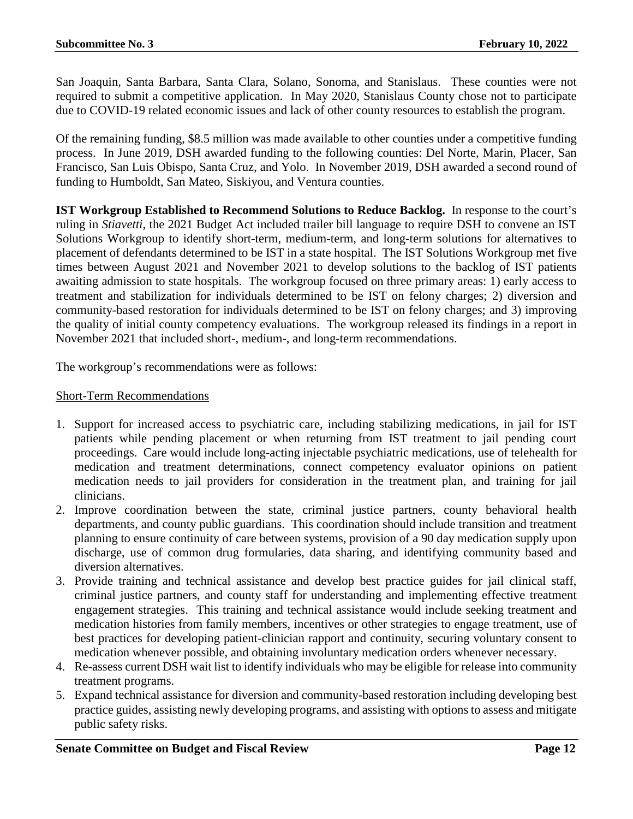San Joaquin, Santa Barbara, Santa Clara, Solano, Sonoma, and Stanislaus. These counties were not required to submit a competitive application. In May 2020, Stanislaus County chose not to participate due to COVID-19 related economic issues and lack of other county resources to establish the program.

Of the remaining funding, \$8.5 million was made available to other counties under a competitive funding process. In June 2019, DSH awarded funding to the following counties: Del Norte, Marin, Placer, San Francisco, San Luis Obispo, Santa Cruz, and Yolo. In November 2019, DSH awarded a second round of funding to Humboldt, San Mateo, Siskiyou, and Ventura counties.

**IST Workgroup Established to Recommend Solutions to Reduce Backlog.** In response to the court's ruling in *Stiavetti*, the 2021 Budget Act included trailer bill language to require DSH to convene an IST Solutions Workgroup to identify short-term, medium-term, and long-term solutions for alternatives to placement of defendants determined to be IST in a state hospital. The IST Solutions Workgroup met five times between August 2021 and November 2021 to develop solutions to the backlog of IST patients awaiting admission to state hospitals. The workgroup focused on three primary areas: 1) early access to treatment and stabilization for individuals determined to be IST on felony charges; 2) diversion and community-based restoration for individuals determined to be IST on felony charges; and 3) improving the quality of initial county competency evaluations. The workgroup released its findings in a report in November 2021 that included short-, medium-, and long-term recommendations.

The workgroup's recommendations were as follows:

# Short-Term Recommendations

- 1. Support for increased access to psychiatric care, including stabilizing medications, in jail for IST patients while pending placement or when returning from IST treatment to jail pending court proceedings. Care would include long-acting injectable psychiatric medications, use of telehealth for medication and treatment determinations, connect competency evaluator opinions on patient medication needs to jail providers for consideration in the treatment plan, and training for jail clinicians.
- 2. Improve coordination between the state, criminal justice partners, county behavioral health departments, and county public guardians. This coordination should include transition and treatment planning to ensure continuity of care between systems, provision of a 90 day medication supply upon discharge, use of common drug formularies, data sharing, and identifying community based and diversion alternatives.
- 3. Provide training and technical assistance and develop best practice guides for jail clinical staff, criminal justice partners, and county staff for understanding and implementing effective treatment engagement strategies. This training and technical assistance would include seeking treatment and medication histories from family members, incentives or other strategies to engage treatment, use of best practices for developing patient-clinician rapport and continuity, securing voluntary consent to medication whenever possible, and obtaining involuntary medication orders whenever necessary.
- 4. Re-assess current DSH wait list to identify individuals who may be eligible for release into community treatment programs.
- 5. Expand technical assistance for diversion and community-based restoration including developing best practice guides, assisting newly developing programs, and assisting with options to assess and mitigate public safety risks.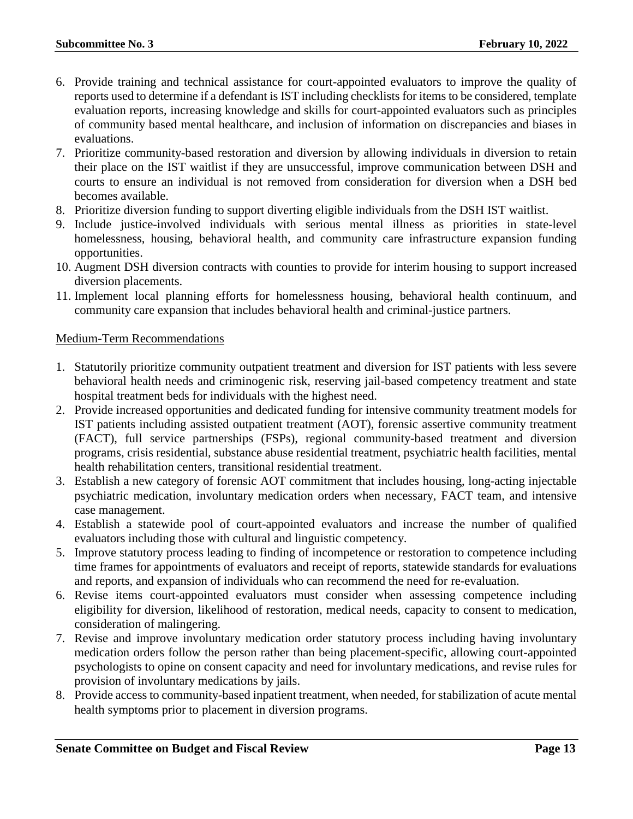- 6. Provide training and technical assistance for court-appointed evaluators to improve the quality of reports used to determine if a defendant is IST including checklists for items to be considered, template evaluation reports, increasing knowledge and skills for court-appointed evaluators such as principles of community based mental healthcare, and inclusion of information on discrepancies and biases in evaluations.
- 7. Prioritize community-based restoration and diversion by allowing individuals in diversion to retain their place on the IST waitlist if they are unsuccessful, improve communication between DSH and courts to ensure an individual is not removed from consideration for diversion when a DSH bed becomes available.
- 8. Prioritize diversion funding to support diverting eligible individuals from the DSH IST waitlist.
- 9. Include justice-involved individuals with serious mental illness as priorities in state-level homelessness, housing, behavioral health, and community care infrastructure expansion funding opportunities.
- 10. Augment DSH diversion contracts with counties to provide for interim housing to support increased diversion placements.
- 11. Implement local planning efforts for homelessness housing, behavioral health continuum, and community care expansion that includes behavioral health and criminal-justice partners.

# Medium-Term Recommendations

- 1. Statutorily prioritize community outpatient treatment and diversion for IST patients with less severe behavioral health needs and criminogenic risk, reserving jail-based competency treatment and state hospital treatment beds for individuals with the highest need.
- 2. Provide increased opportunities and dedicated funding for intensive community treatment models for IST patients including assisted outpatient treatment (AOT), forensic assertive community treatment (FACT), full service partnerships (FSPs), regional community-based treatment and diversion programs, crisis residential, substance abuse residential treatment, psychiatric health facilities, mental health rehabilitation centers, transitional residential treatment.
- 3. Establish a new category of forensic AOT commitment that includes housing, long-acting injectable psychiatric medication, involuntary medication orders when necessary, FACT team, and intensive case management.
- 4. Establish a statewide pool of court-appointed evaluators and increase the number of qualified evaluators including those with cultural and linguistic competency.
- 5. Improve statutory process leading to finding of incompetence or restoration to competence including time frames for appointments of evaluators and receipt of reports, statewide standards for evaluations and reports, and expansion of individuals who can recommend the need for re-evaluation.
- 6. Revise items court-appointed evaluators must consider when assessing competence including eligibility for diversion, likelihood of restoration, medical needs, capacity to consent to medication, consideration of malingering.
- 7. Revise and improve involuntary medication order statutory process including having involuntary medication orders follow the person rather than being placement-specific, allowing court-appointed psychologists to opine on consent capacity and need for involuntary medications, and revise rules for provision of involuntary medications by jails.
- 8. Provide access to community-based inpatient treatment, when needed, for stabilization of acute mental health symptoms prior to placement in diversion programs.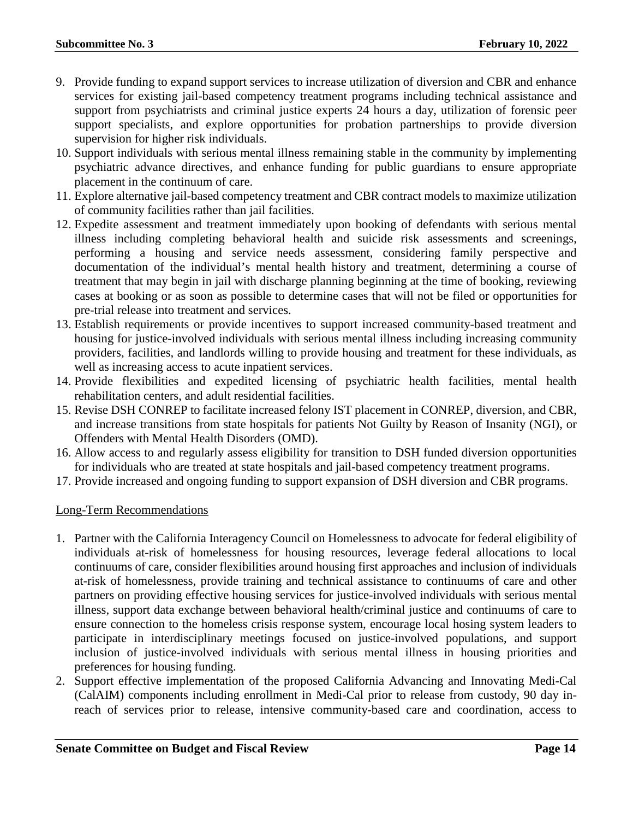- 9. Provide funding to expand support services to increase utilization of diversion and CBR and enhance services for existing jail-based competency treatment programs including technical assistance and support from psychiatrists and criminal justice experts 24 hours a day, utilization of forensic peer support specialists, and explore opportunities for probation partnerships to provide diversion supervision for higher risk individuals.
- 10. Support individuals with serious mental illness remaining stable in the community by implementing psychiatric advance directives, and enhance funding for public guardians to ensure appropriate placement in the continuum of care.
- 11. Explore alternative jail-based competency treatment and CBR contract models to maximize utilization of community facilities rather than jail facilities.
- 12. Expedite assessment and treatment immediately upon booking of defendants with serious mental illness including completing behavioral health and suicide risk assessments and screenings, performing a housing and service needs assessment, considering family perspective and documentation of the individual's mental health history and treatment, determining a course of treatment that may begin in jail with discharge planning beginning at the time of booking, reviewing cases at booking or as soon as possible to determine cases that will not be filed or opportunities for pre-trial release into treatment and services.
- 13. Establish requirements or provide incentives to support increased community-based treatment and housing for justice-involved individuals with serious mental illness including increasing community providers, facilities, and landlords willing to provide housing and treatment for these individuals, as well as increasing access to acute inpatient services.
- 14. Provide flexibilities and expedited licensing of psychiatric health facilities, mental health rehabilitation centers, and adult residential facilities.
- 15. Revise DSH CONREP to facilitate increased felony IST placement in CONREP, diversion, and CBR, and increase transitions from state hospitals for patients Not Guilty by Reason of Insanity (NGI), or Offenders with Mental Health Disorders (OMD).
- 16. Allow access to and regularly assess eligibility for transition to DSH funded diversion opportunities for individuals who are treated at state hospitals and jail-based competency treatment programs.
- 17. Provide increased and ongoing funding to support expansion of DSH diversion and CBR programs.

# Long-Term Recommendations

- 1. Partner with the California Interagency Council on Homelessness to advocate for federal eligibility of individuals at-risk of homelessness for housing resources, leverage federal allocations to local continuums of care, consider flexibilities around housing first approaches and inclusion of individuals at-risk of homelessness, provide training and technical assistance to continuums of care and other partners on providing effective housing services for justice-involved individuals with serious mental illness, support data exchange between behavioral health/criminal justice and continuums of care to ensure connection to the homeless crisis response system, encourage local hosing system leaders to participate in interdisciplinary meetings focused on justice-involved populations, and support inclusion of justice-involved individuals with serious mental illness in housing priorities and preferences for housing funding.
- 2. Support effective implementation of the proposed California Advancing and Innovating Medi-Cal (CalAIM) components including enrollment in Medi-Cal prior to release from custody, 90 day inreach of services prior to release, intensive community-based care and coordination, access to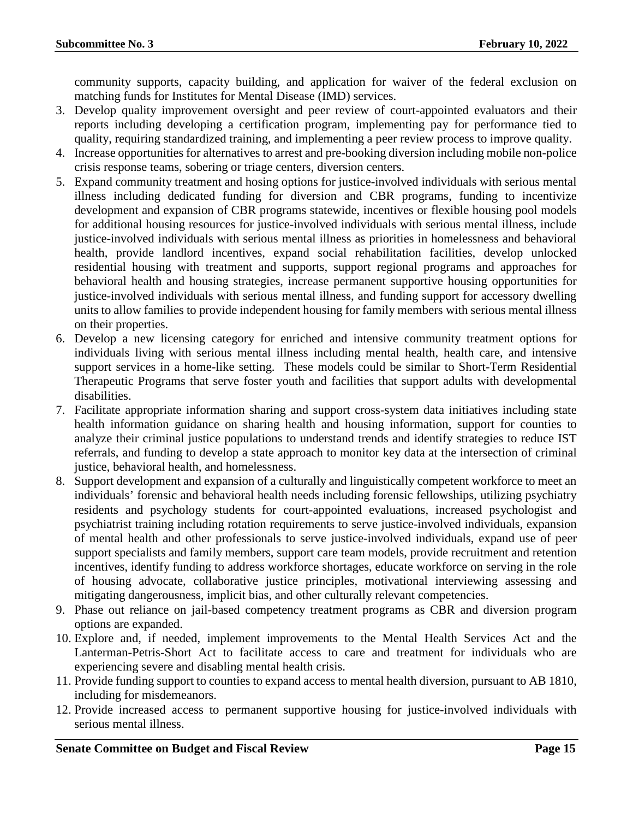community supports, capacity building, and application for waiver of the federal exclusion on matching funds for Institutes for Mental Disease (IMD) services.

- 3. Develop quality improvement oversight and peer review of court-appointed evaluators and their reports including developing a certification program, implementing pay for performance tied to quality, requiring standardized training, and implementing a peer review process to improve quality.
- 4. Increase opportunities for alternatives to arrest and pre-booking diversion including mobile non-police crisis response teams, sobering or triage centers, diversion centers.
- 5. Expand community treatment and hosing options for justice-involved individuals with serious mental illness including dedicated funding for diversion and CBR programs, funding to incentivize development and expansion of CBR programs statewide, incentives or flexible housing pool models for additional housing resources for justice-involved individuals with serious mental illness, include justice-involved individuals with serious mental illness as priorities in homelessness and behavioral health, provide landlord incentives, expand social rehabilitation facilities, develop unlocked residential housing with treatment and supports, support regional programs and approaches for behavioral health and housing strategies, increase permanent supportive housing opportunities for justice-involved individuals with serious mental illness, and funding support for accessory dwelling units to allow families to provide independent housing for family members with serious mental illness on their properties.
- 6. Develop a new licensing category for enriched and intensive community treatment options for individuals living with serious mental illness including mental health, health care, and intensive support services in a home-like setting. These models could be similar to Short-Term Residential Therapeutic Programs that serve foster youth and facilities that support adults with developmental disabilities.
- 7. Facilitate appropriate information sharing and support cross-system data initiatives including state health information guidance on sharing health and housing information, support for counties to analyze their criminal justice populations to understand trends and identify strategies to reduce IST referrals, and funding to develop a state approach to monitor key data at the intersection of criminal justice, behavioral health, and homelessness.
- 8. Support development and expansion of a culturally and linguistically competent workforce to meet an individuals' forensic and behavioral health needs including forensic fellowships, utilizing psychiatry residents and psychology students for court-appointed evaluations, increased psychologist and psychiatrist training including rotation requirements to serve justice-involved individuals, expansion of mental health and other professionals to serve justice-involved individuals, expand use of peer support specialists and family members, support care team models, provide recruitment and retention incentives, identify funding to address workforce shortages, educate workforce on serving in the role of housing advocate, collaborative justice principles, motivational interviewing assessing and mitigating dangerousness, implicit bias, and other culturally relevant competencies.
- 9. Phase out reliance on jail-based competency treatment programs as CBR and diversion program options are expanded.
- 10. Explore and, if needed, implement improvements to the Mental Health Services Act and the Lanterman-Petris-Short Act to facilitate access to care and treatment for individuals who are experiencing severe and disabling mental health crisis.
- 11. Provide funding support to counties to expand access to mental health diversion, pursuant to AB 1810, including for misdemeanors.
- 12. Provide increased access to permanent supportive housing for justice-involved individuals with serious mental illness.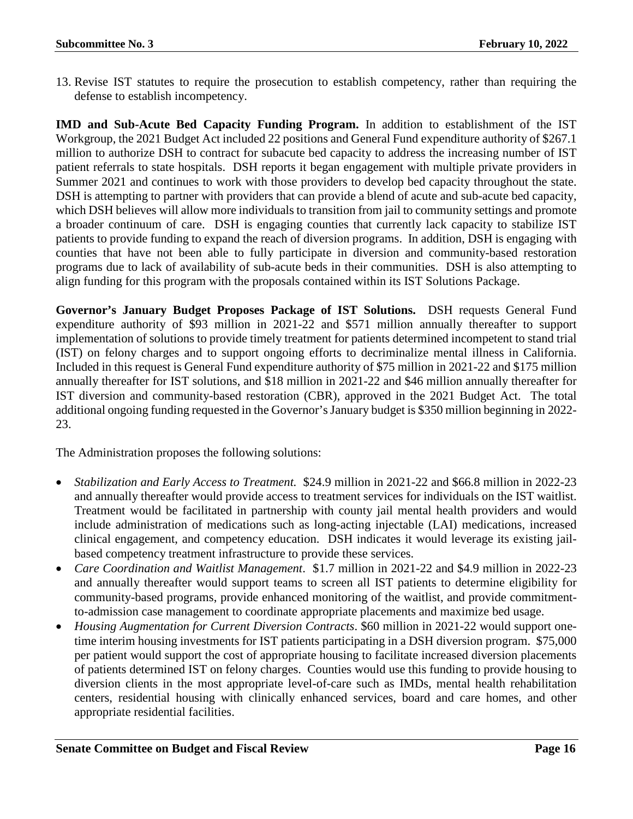13. Revise IST statutes to require the prosecution to establish competency, rather than requiring the defense to establish incompetency.

**IMD and Sub-Acute Bed Capacity Funding Program.** In addition to establishment of the IST Workgroup, the 2021 Budget Act included 22 positions and General Fund expenditure authority of \$267.1 million to authorize DSH to contract for subacute bed capacity to address the increasing number of IST patient referrals to state hospitals. DSH reports it began engagement with multiple private providers in Summer 2021 and continues to work with those providers to develop bed capacity throughout the state. DSH is attempting to partner with providers that can provide a blend of acute and sub-acute bed capacity, which DSH believes will allow more individuals to transition from jail to community settings and promote a broader continuum of care. DSH is engaging counties that currently lack capacity to stabilize IST patients to provide funding to expand the reach of diversion programs. In addition, DSH is engaging with counties that have not been able to fully participate in diversion and community-based restoration programs due to lack of availability of sub-acute beds in their communities. DSH is also attempting to align funding for this program with the proposals contained within its IST Solutions Package.

**Governor's January Budget Proposes Package of IST Solutions.** DSH requests General Fund expenditure authority of \$93 million in 2021-22 and \$571 million annually thereafter to support implementation of solutions to provide timely treatment for patients determined incompetent to stand trial (IST) on felony charges and to support ongoing efforts to decriminalize mental illness in California. Included in this request is General Fund expenditure authority of \$75 million in 2021-22 and \$175 million annually thereafter for IST solutions, and \$18 million in 2021-22 and \$46 million annually thereafter for IST diversion and community-based restoration (CBR), approved in the 2021 Budget Act. The total additional ongoing funding requested in the Governor's January budget is \$350 million beginning in 2022- 23.

The Administration proposes the following solutions:

- *Stabilization and Early Access to Treatment.* \$24.9 million in 2021-22 and \$66.8 million in 2022-23 and annually thereafter would provide access to treatment services for individuals on the IST waitlist. Treatment would be facilitated in partnership with county jail mental health providers and would include administration of medications such as long-acting injectable (LAI) medications, increased clinical engagement, and competency education. DSH indicates it would leverage its existing jailbased competency treatment infrastructure to provide these services.
- *Care Coordination and Waitlist Management*. \$1.7 million in 2021-22 and \$4.9 million in 2022-23 and annually thereafter would support teams to screen all IST patients to determine eligibility for community-based programs, provide enhanced monitoring of the waitlist, and provide commitmentto-admission case management to coordinate appropriate placements and maximize bed usage.
- *Housing Augmentation for Current Diversion Contracts*. \$60 million in 2021-22 would support onetime interim housing investments for IST patients participating in a DSH diversion program. \$75,000 per patient would support the cost of appropriate housing to facilitate increased diversion placements of patients determined IST on felony charges. Counties would use this funding to provide housing to diversion clients in the most appropriate level-of-care such as IMDs, mental health rehabilitation centers, residential housing with clinically enhanced services, board and care homes, and other appropriate residential facilities.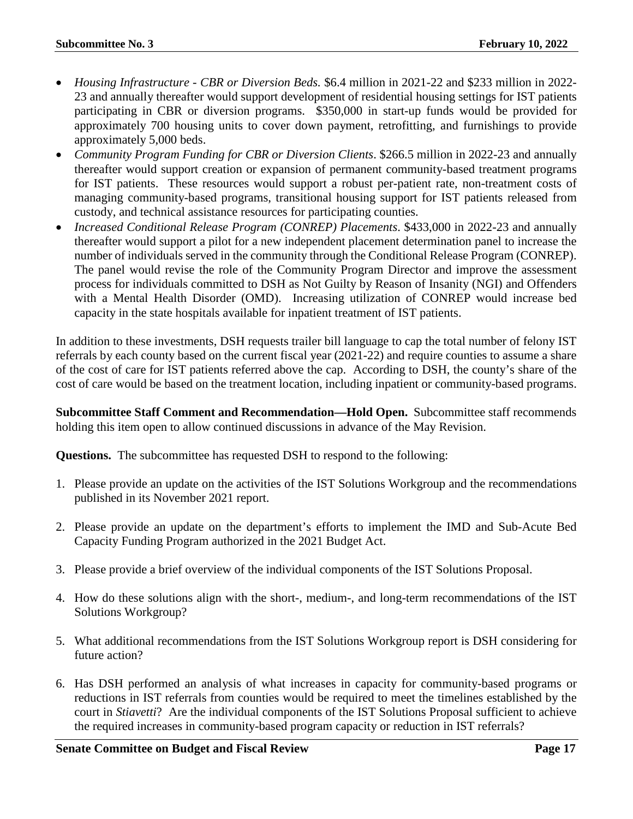- *Housing Infrastructure - CBR or Diversion Beds.* \$6.4 million in 2021-22 and \$233 million in 2022- 23 and annually thereafter would support development of residential housing settings for IST patients participating in CBR or diversion programs. \$350,000 in start-up funds would be provided for approximately 700 housing units to cover down payment, retrofitting, and furnishings to provide approximately 5,000 beds.
- *Community Program Funding for CBR or Diversion Clients*. \$266.5 million in 2022-23 and annually thereafter would support creation or expansion of permanent community-based treatment programs for IST patients. These resources would support a robust per-patient rate, non-treatment costs of managing community-based programs, transitional housing support for IST patients released from custody, and technical assistance resources for participating counties.
- *Increased Conditional Release Program (CONREP) Placements*. \$433,000 in 2022-23 and annually thereafter would support a pilot for a new independent placement determination panel to increase the number of individuals served in the community through the Conditional Release Program (CONREP). The panel would revise the role of the Community Program Director and improve the assessment process for individuals committed to DSH as Not Guilty by Reason of Insanity (NGI) and Offenders with a Mental Health Disorder (OMD). Increasing utilization of CONREP would increase bed capacity in the state hospitals available for inpatient treatment of IST patients.

In addition to these investments, DSH requests trailer bill language to cap the total number of felony IST referrals by each county based on the current fiscal year (2021-22) and require counties to assume a share of the cost of care for IST patients referred above the cap. According to DSH, the county's share of the cost of care would be based on the treatment location, including inpatient or community-based programs.

**Subcommittee Staff Comment and Recommendation—Hold Open.** Subcommittee staff recommends holding this item open to allow continued discussions in advance of the May Revision.

**Questions.** The subcommittee has requested DSH to respond to the following:

- 1. Please provide an update on the activities of the IST Solutions Workgroup and the recommendations published in its November 2021 report.
- 2. Please provide an update on the department's efforts to implement the IMD and Sub-Acute Bed Capacity Funding Program authorized in the 2021 Budget Act.
- 3. Please provide a brief overview of the individual components of the IST Solutions Proposal.
- 4. How do these solutions align with the short-, medium-, and long-term recommendations of the IST Solutions Workgroup?
- 5. What additional recommendations from the IST Solutions Workgroup report is DSH considering for future action?
- 6. Has DSH performed an analysis of what increases in capacity for community-based programs or reductions in IST referrals from counties would be required to meet the timelines established by the court in *Stiavetti*? Are the individual components of the IST Solutions Proposal sufficient to achieve the required increases in community-based program capacity or reduction in IST referrals?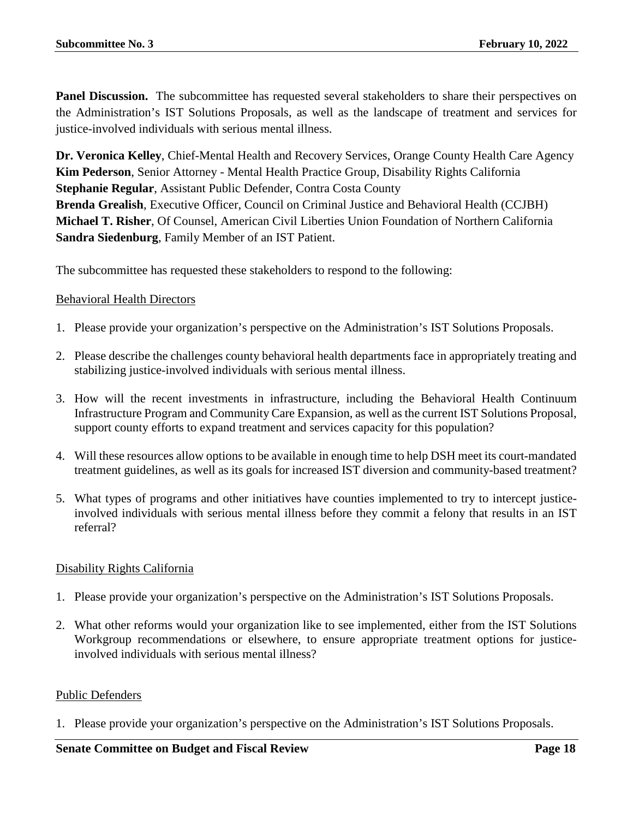Panel Discussion. The subcommittee has requested several stakeholders to share their perspectives on the Administration's IST Solutions Proposals, as well as the landscape of treatment and services for justice-involved individuals with serious mental illness.

**Dr. Veronica Kelley**, Chief-Mental Health and Recovery Services, Orange County Health Care Agency **Kim Pederson**, Senior Attorney - Mental Health Practice Group, Disability Rights California **Stephanie Regular**, Assistant Public Defender, Contra Costa County **Brenda Grealish**, Executive Officer, Council on Criminal Justice and Behavioral Health (CCJBH) **Michael T. Risher**, Of Counsel, American Civil Liberties Union Foundation of Northern California **Sandra Siedenburg**, Family Member of an IST Patient.

The subcommittee has requested these stakeholders to respond to the following:

# Behavioral Health Directors

- 1. Please provide your organization's perspective on the Administration's IST Solutions Proposals.
- 2. Please describe the challenges county behavioral health departments face in appropriately treating and stabilizing justice-involved individuals with serious mental illness.
- 3. How will the recent investments in infrastructure, including the Behavioral Health Continuum Infrastructure Program and Community Care Expansion, as well as the current IST Solutions Proposal, support county efforts to expand treatment and services capacity for this population?
- 4. Will these resources allow options to be available in enough time to help DSH meet its court-mandated treatment guidelines, as well as its goals for increased IST diversion and community-based treatment?
- 5. What types of programs and other initiatives have counties implemented to try to intercept justiceinvolved individuals with serious mental illness before they commit a felony that results in an IST referral?

# Disability Rights California

- 1. Please provide your organization's perspective on the Administration's IST Solutions Proposals.
- 2. What other reforms would your organization like to see implemented, either from the IST Solutions Workgroup recommendations or elsewhere, to ensure appropriate treatment options for justiceinvolved individuals with serious mental illness?

# Public Defenders

1. Please provide your organization's perspective on the Administration's IST Solutions Proposals.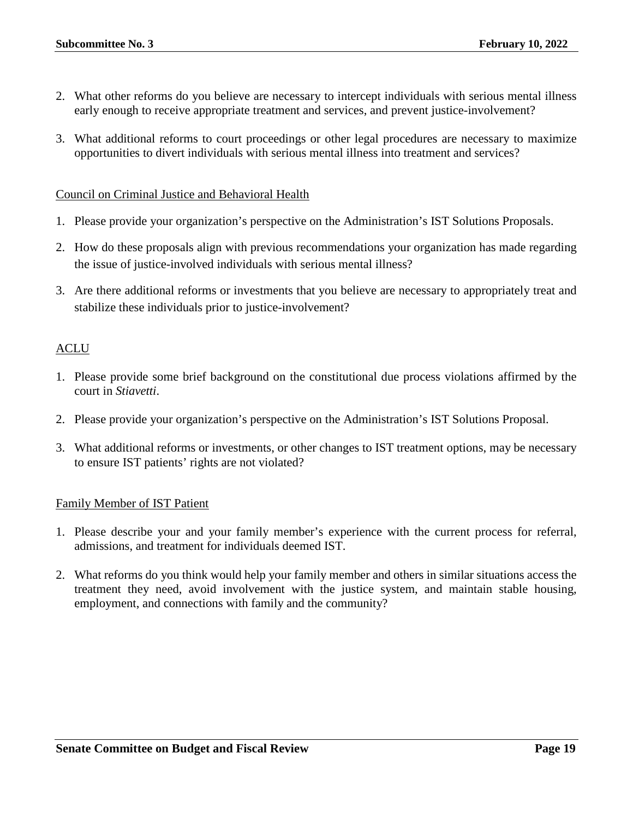- 2. What other reforms do you believe are necessary to intercept individuals with serious mental illness early enough to receive appropriate treatment and services, and prevent justice-involvement?
- 3. What additional reforms to court proceedings or other legal procedures are necessary to maximize opportunities to divert individuals with serious mental illness into treatment and services?

# Council on Criminal Justice and Behavioral Health

- 1. Please provide your organization's perspective on the Administration's IST Solutions Proposals.
- 2. How do these proposals align with previous recommendations your organization has made regarding the issue of justice-involved individuals with serious mental illness?
- 3. Are there additional reforms or investments that you believe are necessary to appropriately treat and stabilize these individuals prior to justice-involvement?

# ACLU

- 1. Please provide some brief background on the constitutional due process violations affirmed by the court in *Stiavetti*.
- 2. Please provide your organization's perspective on the Administration's IST Solutions Proposal.
- 3. What additional reforms or investments, or other changes to IST treatment options, may be necessary to ensure IST patients' rights are not violated?

# Family Member of IST Patient

- 1. Please describe your and your family member's experience with the current process for referral, admissions, and treatment for individuals deemed IST.
- 2. What reforms do you think would help your family member and others in similar situations access the treatment they need, avoid involvement with the justice system, and maintain stable housing, employment, and connections with family and the community?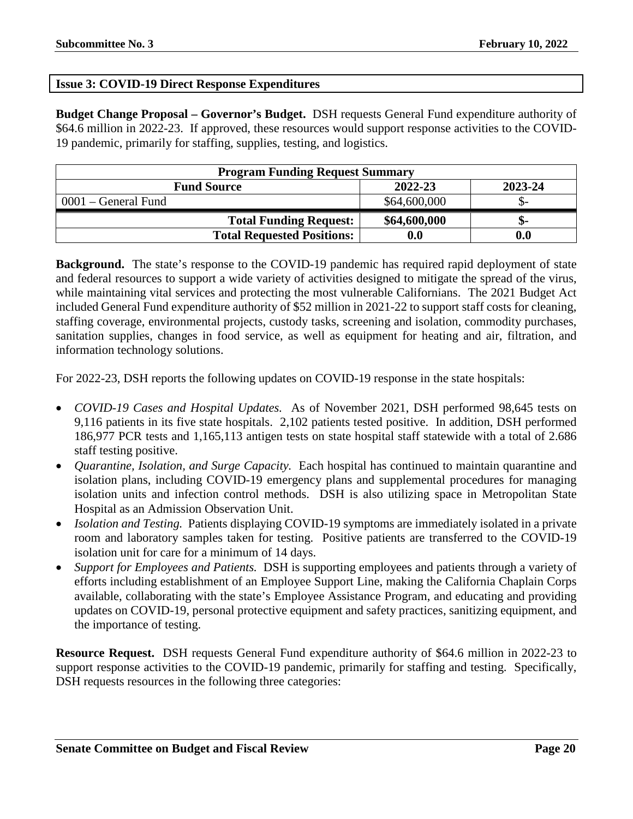# <span id="page-19-0"></span>**Issue 3: COVID-19 Direct Response Expenditures**

**Budget Change Proposal – Governor's Budget.** DSH requests General Fund expenditure authority of \$64.6 million in 2022-23. If approved, these resources would support response activities to the COVID-19 pandemic, primarily for staffing, supplies, testing, and logistics.

| <b>Program Funding Request Summary</b>   |                    |     |  |  |
|------------------------------------------|--------------------|-----|--|--|
| 2022-23<br>2023-24<br><b>Fund Source</b> |                    |     |  |  |
| 0001 – General Fund                      | \$64,600,000       |     |  |  |
| <b>Total Funding Request:</b>            | \$64,600,000       | ת.  |  |  |
| <b>Total Requested Positions:</b>        | $\boldsymbol{0.0}$ | 0.0 |  |  |

**Background.** The state's response to the COVID-19 pandemic has required rapid deployment of state and federal resources to support a wide variety of activities designed to mitigate the spread of the virus, while maintaining vital services and protecting the most vulnerable Californians. The 2021 Budget Act included General Fund expenditure authority of \$52 million in 2021-22 to support staff costs for cleaning, staffing coverage, environmental projects, custody tasks, screening and isolation, commodity purchases, sanitation supplies, changes in food service, as well as equipment for heating and air, filtration, and information technology solutions.

For 2022-23, DSH reports the following updates on COVID-19 response in the state hospitals:

- *COVID-19 Cases and Hospital Updates.* As of November 2021, DSH performed 98,645 tests on 9,116 patients in its five state hospitals. 2,102 patients tested positive. In addition, DSH performed 186,977 PCR tests and 1,165,113 antigen tests on state hospital staff statewide with a total of 2.686 staff testing positive.
- *Quarantine, Isolation, and Surge Capacity.* Each hospital has continued to maintain quarantine and isolation plans, including COVID-19 emergency plans and supplemental procedures for managing isolation units and infection control methods. DSH is also utilizing space in Metropolitan State Hospital as an Admission Observation Unit.
- *Isolation and Testing.* Patients displaying COVID-19 symptoms are immediately isolated in a private room and laboratory samples taken for testing. Positive patients are transferred to the COVID-19 isolation unit for care for a minimum of 14 days.
- *Support for Employees and Patients.* DSH is supporting employees and patients through a variety of efforts including establishment of an Employee Support Line, making the California Chaplain Corps available, collaborating with the state's Employee Assistance Program, and educating and providing updates on COVID-19, personal protective equipment and safety practices, sanitizing equipment, and the importance of testing.

**Resource Request.** DSH requests General Fund expenditure authority of \$64.6 million in 2022-23 to support response activities to the COVID-19 pandemic, primarily for staffing and testing. Specifically, DSH requests resources in the following three categories: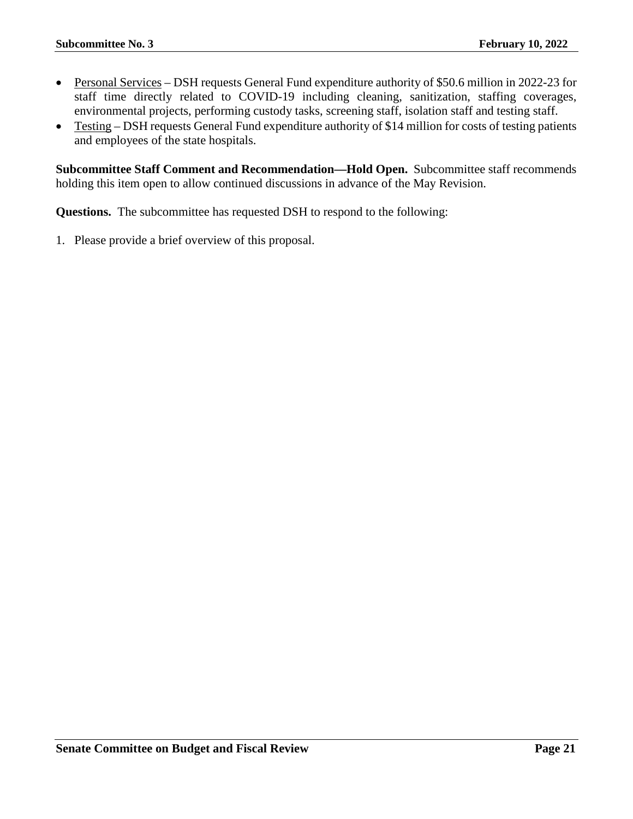- Personal Services DSH requests General Fund expenditure authority of \$50.6 million in 2022-23 for staff time directly related to COVID-19 including cleaning, sanitization, staffing coverages, environmental projects, performing custody tasks, screening staff, isolation staff and testing staff.
- Testing DSH requests General Fund expenditure authority of \$14 million for costs of testing patients and employees of the state hospitals.

**Subcommittee Staff Comment and Recommendation—Hold Open.** Subcommittee staff recommends holding this item open to allow continued discussions in advance of the May Revision.

**Questions.** The subcommittee has requested DSH to respond to the following: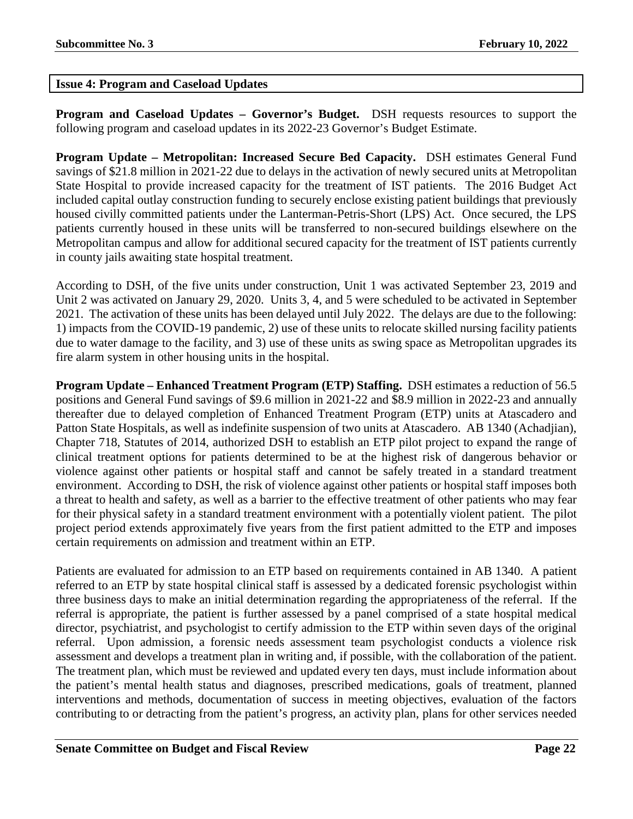# <span id="page-21-0"></span>**Issue 4: Program and Caseload Updates**

**Program and Caseload Updates – Governor's Budget.** DSH requests resources to support the following program and caseload updates in its 2022-23 Governor's Budget Estimate.

**Program Update – Metropolitan: Increased Secure Bed Capacity.** DSH estimates General Fund savings of \$21.8 million in 2021-22 due to delays in the activation of newly secured units at Metropolitan State Hospital to provide increased capacity for the treatment of IST patients. The 2016 Budget Act included capital outlay construction funding to securely enclose existing patient buildings that previously housed civilly committed patients under the Lanterman-Petris-Short (LPS) Act. Once secured, the LPS patients currently housed in these units will be transferred to non-secured buildings elsewhere on the Metropolitan campus and allow for additional secured capacity for the treatment of IST patients currently in county jails awaiting state hospital treatment.

According to DSH, of the five units under construction, Unit 1 was activated September 23, 2019 and Unit 2 was activated on January 29, 2020. Units 3, 4, and 5 were scheduled to be activated in September 2021. The activation of these units has been delayed until July 2022. The delays are due to the following: 1) impacts from the COVID-19 pandemic, 2) use of these units to relocate skilled nursing facility patients due to water damage to the facility, and 3) use of these units as swing space as Metropolitan upgrades its fire alarm system in other housing units in the hospital.

**Program Update – Enhanced Treatment Program (ETP) Staffing.** DSH estimates a reduction of 56.5 positions and General Fund savings of \$9.6 million in 2021-22 and \$8.9 million in 2022-23 and annually thereafter due to delayed completion of Enhanced Treatment Program (ETP) units at Atascadero and Patton State Hospitals, as well as indefinite suspension of two units at Atascadero. AB 1340 (Achadjian), Chapter 718, Statutes of 2014, authorized DSH to establish an ETP pilot project to expand the range of clinical treatment options for patients determined to be at the highest risk of dangerous behavior or violence against other patients or hospital staff and cannot be safely treated in a standard treatment environment. According to DSH, the risk of violence against other patients or hospital staff imposes both a threat to health and safety, as well as a barrier to the effective treatment of other patients who may fear for their physical safety in a standard treatment environment with a potentially violent patient. The pilot project period extends approximately five years from the first patient admitted to the ETP and imposes certain requirements on admission and treatment within an ETP.

Patients are evaluated for admission to an ETP based on requirements contained in AB 1340. A patient referred to an ETP by state hospital clinical staff is assessed by a dedicated forensic psychologist within three business days to make an initial determination regarding the appropriateness of the referral. If the referral is appropriate, the patient is further assessed by a panel comprised of a state hospital medical director, psychiatrist, and psychologist to certify admission to the ETP within seven days of the original referral. Upon admission, a forensic needs assessment team psychologist conducts a violence risk assessment and develops a treatment plan in writing and, if possible, with the collaboration of the patient. The treatment plan, which must be reviewed and updated every ten days, must include information about the patient's mental health status and diagnoses, prescribed medications, goals of treatment, planned interventions and methods, documentation of success in meeting objectives, evaluation of the factors contributing to or detracting from the patient's progress, an activity plan, plans for other services needed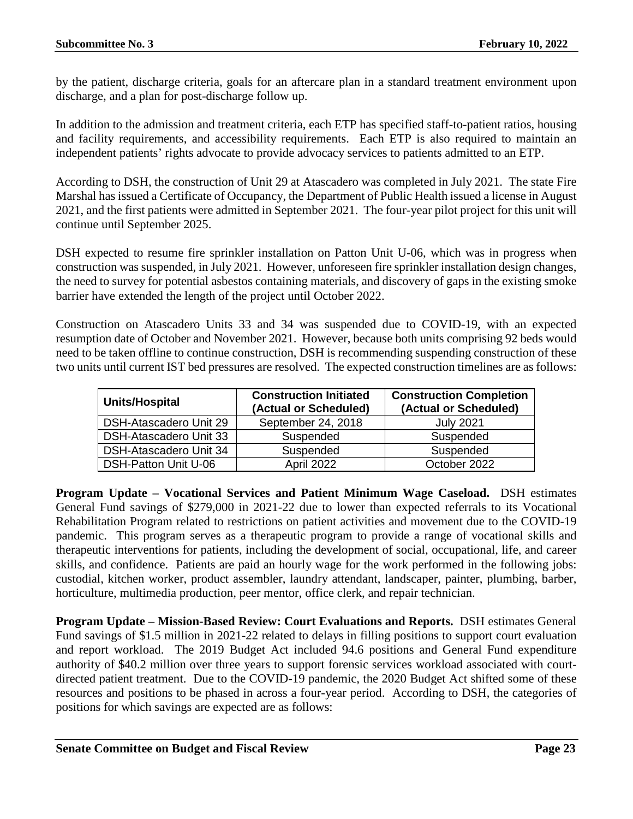by the patient, discharge criteria, goals for an aftercare plan in a standard treatment environment upon discharge, and a plan for post-discharge follow up.

In addition to the admission and treatment criteria, each ETP has specified staff-to-patient ratios, housing and facility requirements, and accessibility requirements. Each ETP is also required to maintain an independent patients' rights advocate to provide advocacy services to patients admitted to an ETP.

According to DSH, the construction of Unit 29 at Atascadero was completed in July 2021. The state Fire Marshal has issued a Certificate of Occupancy, the Department of Public Health issued a license in August 2021, and the first patients were admitted in September 2021. The four-year pilot project for this unit will continue until September 2025.

DSH expected to resume fire sprinkler installation on Patton Unit U-06, which was in progress when construction was suspended, in July 2021. However, unforeseen fire sprinkler installation design changes, the need to survey for potential asbestos containing materials, and discovery of gaps in the existing smoke barrier have extended the length of the project until October 2022.

Construction on Atascadero Units 33 and 34 was suspended due to COVID-19, with an expected resumption date of October and November 2021. However, because both units comprising 92 beds would need to be taken offline to continue construction, DSH is recommending suspending construction of these two units until current IST bed pressures are resolved. The expected construction timelines are as follows:

| Units/Hospital              | <b>Construction Initiated</b><br>(Actual or Scheduled) | <b>Construction Completion</b><br>(Actual or Scheduled) |
|-----------------------------|--------------------------------------------------------|---------------------------------------------------------|
| DSH-Atascadero Unit 29      | September 24, 2018                                     | <b>July 2021</b>                                        |
| DSH-Atascadero Unit 33      | Suspended                                              | Suspended                                               |
| DSH-Atascadero Unit 34      | Suspended                                              | Suspended                                               |
| <b>DSH-Patton Unit U-06</b> | April 2022                                             | October 2022                                            |

**Program Update – Vocational Services and Patient Minimum Wage Caseload.** DSH estimates General Fund savings of \$279,000 in 2021-22 due to lower than expected referrals to its Vocational Rehabilitation Program related to restrictions on patient activities and movement due to the COVID-19 pandemic. This program serves as a therapeutic program to provide a range of vocational skills and therapeutic interventions for patients, including the development of social, occupational, life, and career skills, and confidence. Patients are paid an hourly wage for the work performed in the following jobs: custodial, kitchen worker, product assembler, laundry attendant, landscaper, painter, plumbing, barber, horticulture, multimedia production, peer mentor, office clerk, and repair technician.

**Program Update – Mission-Based Review: Court Evaluations and Reports.** DSH estimates General Fund savings of \$1.5 million in 2021-22 related to delays in filling positions to support court evaluation and report workload. The 2019 Budget Act included 94.6 positions and General Fund expenditure authority of \$40.2 million over three years to support forensic services workload associated with courtdirected patient treatment. Due to the COVID-19 pandemic, the 2020 Budget Act shifted some of these resources and positions to be phased in across a four-year period. According to DSH, the categories of positions for which savings are expected are as follows: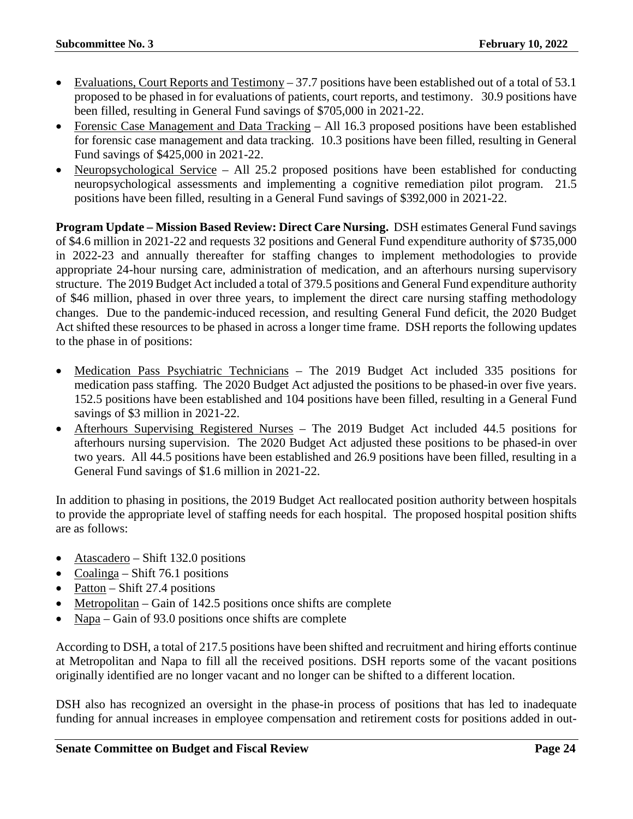- Evaluations, Court Reports and Testimony 37.7 positions have been established out of a total of 53.1 proposed to be phased in for evaluations of patients, court reports, and testimony. 30.9 positions have been filled, resulting in General Fund savings of \$705,000 in 2021-22.
- Forensic Case Management and Data Tracking All 16.3 proposed positions have been established for forensic case management and data tracking. 10.3 positions have been filled, resulting in General Fund savings of \$425,000 in 2021-22.
- Neuropsychological Service All 25.2 proposed positions have been established for conducting neuropsychological assessments and implementing a cognitive remediation pilot program. 21.5 positions have been filled, resulting in a General Fund savings of \$392,000 in 2021-22.

**Program Update – Mission Based Review: Direct Care Nursing.** DSH estimates General Fund savings of \$4.6 million in 2021-22 and requests 32 positions and General Fund expenditure authority of \$735,000 in 2022-23 and annually thereafter for staffing changes to implement methodologies to provide appropriate 24-hour nursing care, administration of medication, and an afterhours nursing supervisory structure. The 2019 Budget Act included a total of 379.5 positions and General Fund expenditure authority of \$46 million, phased in over three years, to implement the direct care nursing staffing methodology changes. Due to the pandemic-induced recession, and resulting General Fund deficit, the 2020 Budget Act shifted these resources to be phased in across a longer time frame. DSH reports the following updates to the phase in of positions:

- Medication Pass Psychiatric Technicians The 2019 Budget Act included 335 positions for medication pass staffing. The 2020 Budget Act adjusted the positions to be phased-in over five years. 152.5 positions have been established and 104 positions have been filled, resulting in a General Fund savings of \$3 million in 2021-22.
- Afterhours Supervising Registered Nurses The 2019 Budget Act included 44.5 positions for afterhours nursing supervision. The 2020 Budget Act adjusted these positions to be phased-in over two years. All 44.5 positions have been established and 26.9 positions have been filled, resulting in a General Fund savings of \$1.6 million in 2021-22.

In addition to phasing in positions, the 2019 Budget Act reallocated position authority between hospitals to provide the appropriate level of staffing needs for each hospital. The proposed hospital position shifts are as follows:

- Atascadero Shift 132.0 positions
- Coalinga Shift 76.1 positions
- Patton Shift 27.4 positions
- Metropolitan Gain of 142.5 positions once shifts are complete
- Napa Gain of 93.0 positions once shifts are complete

According to DSH, a total of 217.5 positions have been shifted and recruitment and hiring efforts continue at Metropolitan and Napa to fill all the received positions. DSH reports some of the vacant positions originally identified are no longer vacant and no longer can be shifted to a different location.

DSH also has recognized an oversight in the phase-in process of positions that has led to inadequate funding for annual increases in employee compensation and retirement costs for positions added in out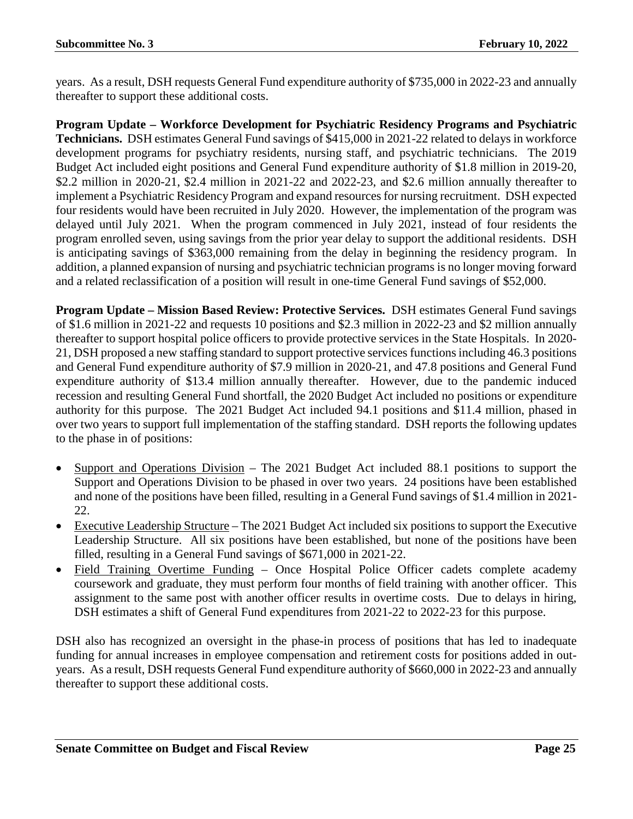years. As a result, DSH requests General Fund expenditure authority of \$735,000 in 2022-23 and annually thereafter to support these additional costs.

**Program Update – Workforce Development for Psychiatric Residency Programs and Psychiatric Technicians.** DSH estimates General Fund savings of \$415,000 in 2021-22 related to delays in workforce development programs for psychiatry residents, nursing staff, and psychiatric technicians. The 2019 Budget Act included eight positions and General Fund expenditure authority of \$1.8 million in 2019-20, \$2.2 million in 2020-21, \$2.4 million in 2021-22 and 2022-23, and \$2.6 million annually thereafter to implement a Psychiatric Residency Program and expand resources for nursing recruitment. DSH expected four residents would have been recruited in July 2020. However, the implementation of the program was delayed until July 2021. When the program commenced in July 2021, instead of four residents the program enrolled seven, using savings from the prior year delay to support the additional residents. DSH is anticipating savings of \$363,000 remaining from the delay in beginning the residency program. In addition, a planned expansion of nursing and psychiatric technician programs is no longer moving forward and a related reclassification of a position will result in one-time General Fund savings of \$52,000.

**Program Update – Mission Based Review: Protective Services.** DSH estimates General Fund savings of \$1.6 million in 2021-22 and requests 10 positions and \$2.3 million in 2022-23 and \$2 million annually thereafter to support hospital police officers to provide protective services in the State Hospitals. In 2020- 21, DSH proposed a new staffing standard to support protective services functions including 46.3 positions and General Fund expenditure authority of \$7.9 million in 2020-21, and 47.8 positions and General Fund expenditure authority of \$13.4 million annually thereafter. However, due to the pandemic induced recession and resulting General Fund shortfall, the 2020 Budget Act included no positions or expenditure authority for this purpose. The 2021 Budget Act included 94.1 positions and \$11.4 million, phased in over two years to support full implementation of the staffing standard. DSH reports the following updates to the phase in of positions:

- Support and Operations Division The 2021 Budget Act included 88.1 positions to support the Support and Operations Division to be phased in over two years. 24 positions have been established and none of the positions have been filled, resulting in a General Fund savings of \$1.4 million in 2021- 22.
- Executive Leadership Structure The 2021 Budget Act included six positions to support the Executive Leadership Structure. All six positions have been established, but none of the positions have been filled, resulting in a General Fund savings of \$671,000 in 2021-22.
- Field Training Overtime Funding Once Hospital Police Officer cadets complete academy coursework and graduate, they must perform four months of field training with another officer. This assignment to the same post with another officer results in overtime costs. Due to delays in hiring, DSH estimates a shift of General Fund expenditures from 2021-22 to 2022-23 for this purpose.

DSH also has recognized an oversight in the phase-in process of positions that has led to inadequate funding for annual increases in employee compensation and retirement costs for positions added in outyears. As a result, DSH requests General Fund expenditure authority of \$660,000 in 2022-23 and annually thereafter to support these additional costs.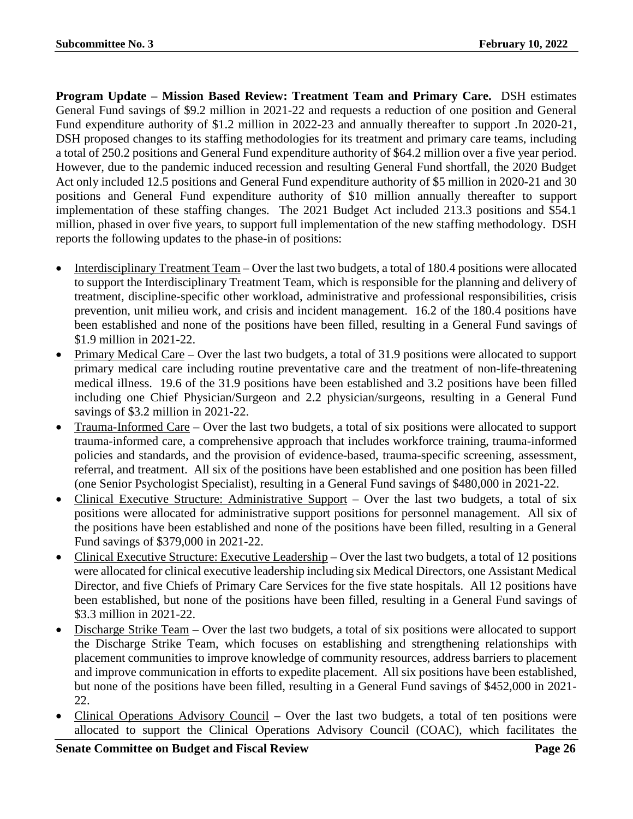**Program Update – Mission Based Review: Treatment Team and Primary Care.** DSH estimates General Fund savings of \$9.2 million in 2021-22 and requests a reduction of one position and General Fund expenditure authority of \$1.2 million in 2022-23 and annually thereafter to support .In 2020-21, DSH proposed changes to its staffing methodologies for its treatment and primary care teams, including a total of 250.2 positions and General Fund expenditure authority of \$64.2 million over a five year period. However, due to the pandemic induced recession and resulting General Fund shortfall, the 2020 Budget Act only included 12.5 positions and General Fund expenditure authority of \$5 million in 2020-21 and 30 positions and General Fund expenditure authority of \$10 million annually thereafter to support implementation of these staffing changes. The 2021 Budget Act included 213.3 positions and \$54.1 million, phased in over five years, to support full implementation of the new staffing methodology. DSH reports the following updates to the phase-in of positions:

- Interdisciplinary Treatment Team Over the last two budgets, a total of 180.4 positions were allocated to support the Interdisciplinary Treatment Team, which is responsible for the planning and delivery of treatment, discipline-specific other workload, administrative and professional responsibilities, crisis prevention, unit milieu work, and crisis and incident management. 16.2 of the 180.4 positions have been established and none of the positions have been filled, resulting in a General Fund savings of \$1.9 million in 2021-22.
- Primary Medical Care Over the last two budgets, a total of 31.9 positions were allocated to support primary medical care including routine preventative care and the treatment of non-life-threatening medical illness. 19.6 of the 31.9 positions have been established and 3.2 positions have been filled including one Chief Physician/Surgeon and 2.2 physician/surgeons, resulting in a General Fund savings of \$3.2 million in 2021-22.
- Trauma-Informed Care Over the last two budgets, a total of six positions were allocated to support trauma-informed care, a comprehensive approach that includes workforce training, trauma-informed policies and standards, and the provision of evidence-based, trauma-specific screening, assessment, referral, and treatment. All six of the positions have been established and one position has been filled (one Senior Psychologist Specialist), resulting in a General Fund savings of \$480,000 in 2021-22.
- Clinical Executive Structure: Administrative Support Over the last two budgets, a total of six positions were allocated for administrative support positions for personnel management. All six of the positions have been established and none of the positions have been filled, resulting in a General Fund savings of \$379,000 in 2021-22.
- Clinical Executive Structure: Executive Leadership Over the last two budgets, a total of 12 positions were allocated for clinical executive leadership including six Medical Directors, one Assistant Medical Director, and five Chiefs of Primary Care Services for the five state hospitals. All 12 positions have been established, but none of the positions have been filled, resulting in a General Fund savings of \$3.3 million in 2021-22.
- Discharge Strike Team Over the last two budgets, a total of six positions were allocated to support the Discharge Strike Team, which focuses on establishing and strengthening relationships with placement communities to improve knowledge of community resources, address barriers to placement and improve communication in efforts to expedite placement. All six positions have been established, but none of the positions have been filled, resulting in a General Fund savings of \$452,000 in 2021- 22.
- Clinical Operations Advisory Council Over the last two budgets, a total of ten positions were allocated to support the Clinical Operations Advisory Council (COAC), which facilitates the

**Senate Committee on Budget and Fiscal Review Page 26**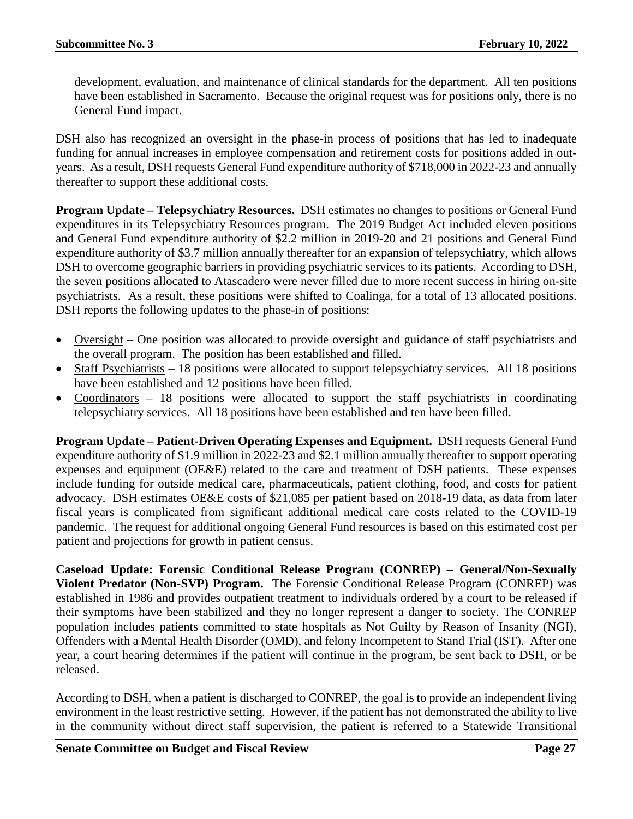development, evaluation, and maintenance of clinical standards for the department. All ten positions have been established in Sacramento. Because the original request was for positions only, there is no General Fund impact.

DSH also has recognized an oversight in the phase-in process of positions that has led to inadequate funding for annual increases in employee compensation and retirement costs for positions added in outyears. As a result, DSH requests General Fund expenditure authority of \$718,000 in 2022-23 and annually thereafter to support these additional costs.

**Program Update – Telepsychiatry Resources.** DSH estimates no changes to positions or General Fund expenditures in its Telepsychiatry Resources program. The 2019 Budget Act included eleven positions and General Fund expenditure authority of \$2.2 million in 2019-20 and 21 positions and General Fund expenditure authority of \$3.7 million annually thereafter for an expansion of telepsychiatry, which allows DSH to overcome geographic barriers in providing psychiatric services to its patients. According to DSH, the seven positions allocated to Atascadero were never filled due to more recent success in hiring on-site psychiatrists. As a result, these positions were shifted to Coalinga, for a total of 13 allocated positions. DSH reports the following updates to the phase-in of positions:

- Oversight One position was allocated to provide oversight and guidance of staff psychiatrists and the overall program. The position has been established and filled.
- Staff Psychiatrists 18 positions were allocated to support telepsychiatry services. All 18 positions have been established and 12 positions have been filled.
- Coordinators 18 positions were allocated to support the staff psychiatrists in coordinating telepsychiatry services. All 18 positions have been established and ten have been filled.

**Program Update – Patient-Driven Operating Expenses and Equipment.** DSH requests General Fund expenditure authority of \$1.9 million in 2022-23 and \$2.1 million annually thereafter to support operating expenses and equipment (OE&E) related to the care and treatment of DSH patients. These expenses include funding for outside medical care, pharmaceuticals, patient clothing, food, and costs for patient advocacy. DSH estimates OE&E costs of \$21,085 per patient based on 2018-19 data, as data from later fiscal years is complicated from significant additional medical care costs related to the COVID-19 pandemic. The request for additional ongoing General Fund resources is based on this estimated cost per patient and projections for growth in patient census.

**Caseload Update: Forensic Conditional Release Program (CONREP) – General/Non-Sexually Violent Predator (Non-SVP) Program.** The Forensic Conditional Release Program (CONREP) was established in 1986 and provides outpatient treatment to individuals ordered by a court to be released if their symptoms have been stabilized and they no longer represent a danger to society. The CONREP population includes patients committed to state hospitals as Not Guilty by Reason of Insanity (NGI), Offenders with a Mental Health Disorder (OMD), and felony Incompetent to Stand Trial (IST). After one year, a court hearing determines if the patient will continue in the program, be sent back to DSH, or be released.

According to DSH, when a patient is discharged to CONREP, the goal is to provide an independent living environment in the least restrictive setting. However, if the patient has not demonstrated the ability to live in the community without direct staff supervision, the patient is referred to a Statewide Transitional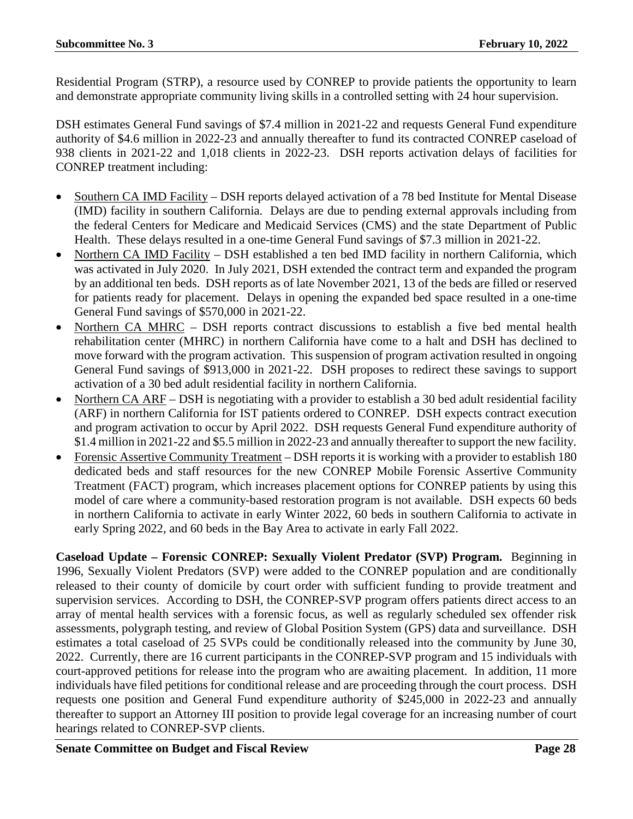Residential Program (STRP), a resource used by CONREP to provide patients the opportunity to learn and demonstrate appropriate community living skills in a controlled setting with 24 hour supervision.

DSH estimates General Fund savings of \$7.4 million in 2021-22 and requests General Fund expenditure authority of \$4.6 million in 2022-23 and annually thereafter to fund its contracted CONREP caseload of 938 clients in 2021-22 and 1,018 clients in 2022-23. DSH reports activation delays of facilities for CONREP treatment including:

- Southern CA IMD Facility DSH reports delayed activation of a 78 bed Institute for Mental Disease (IMD) facility in southern California. Delays are due to pending external approvals including from the federal Centers for Medicare and Medicaid Services (CMS) and the state Department of Public Health. These delays resulted in a one-time General Fund savings of \$7.3 million in 2021-22.
- Northern CA IMD Facility DSH established a ten bed IMD facility in northern California, which was activated in July 2020. In July 2021, DSH extended the contract term and expanded the program by an additional ten beds. DSH reports as of late November 2021, 13 of the beds are filled or reserved for patients ready for placement. Delays in opening the expanded bed space resulted in a one-time General Fund savings of \$570,000 in 2021-22.
- Northern CA MHRC DSH reports contract discussions to establish a five bed mental health rehabilitation center (MHRC) in northern California have come to a halt and DSH has declined to move forward with the program activation. This suspension of program activation resulted in ongoing General Fund savings of \$913,000 in 2021-22. DSH proposes to redirect these savings to support activation of a 30 bed adult residential facility in northern California.
- Northern CA ARF DSH is negotiating with a provider to establish a 30 bed adult residential facility (ARF) in northern California for IST patients ordered to CONREP. DSH expects contract execution and program activation to occur by April 2022. DSH requests General Fund expenditure authority of \$1.4 million in 2021-22 and \$5.5 million in 2022-23 and annually thereafter to support the new facility.
- Forensic Assertive Community Treatment DSH reports it is working with a provider to establish 180 dedicated beds and staff resources for the new CONREP Mobile Forensic Assertive Community Treatment (FACT) program, which increases placement options for CONREP patients by using this model of care where a community-based restoration program is not available. DSH expects 60 beds in northern California to activate in early Winter 2022, 60 beds in southern California to activate in early Spring 2022, and 60 beds in the Bay Area to activate in early Fall 2022.

**Caseload Update – Forensic CONREP: Sexually Violent Predator (SVP) Program.** Beginning in 1996, Sexually Violent Predators (SVP) were added to the CONREP population and are conditionally released to their county of domicile by court order with sufficient funding to provide treatment and supervision services. According to DSH, the CONREP-SVP program offers patients direct access to an array of mental health services with a forensic focus, as well as regularly scheduled sex offender risk assessments, polygraph testing, and review of Global Position System (GPS) data and surveillance. DSH estimates a total caseload of 25 SVPs could be conditionally released into the community by June 30, 2022. Currently, there are 16 current participants in the CONREP-SVP program and 15 individuals with court-approved petitions for release into the program who are awaiting placement. In addition, 11 more individuals have filed petitions for conditional release and are proceeding through the court process. DSH requests one position and General Fund expenditure authority of \$245,000 in 2022-23 and annually thereafter to support an Attorney III position to provide legal coverage for an increasing number of court hearings related to CONREP-SVP clients.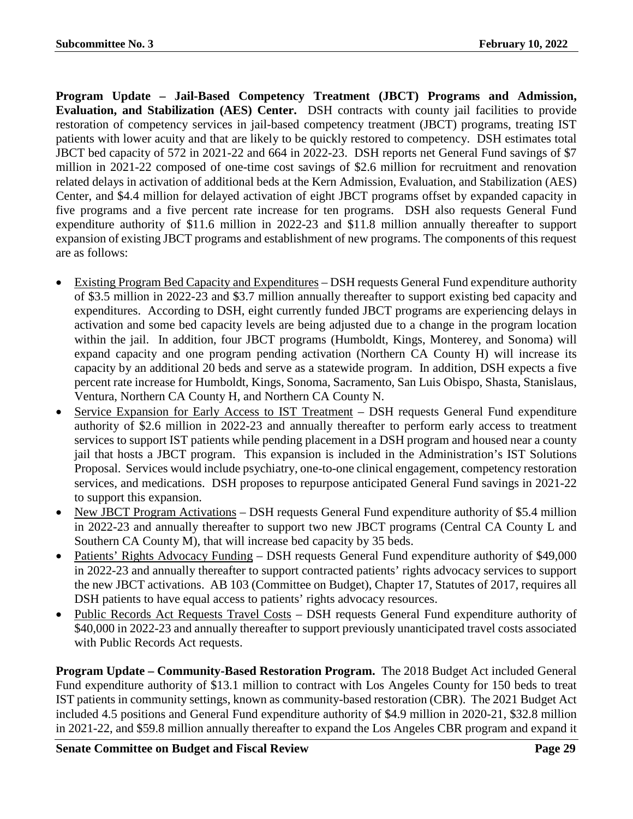**Program Update – Jail-Based Competency Treatment (JBCT) Programs and Admission, Evaluation, and Stabilization (AES) Center.** DSH contracts with county jail facilities to provide restoration of competency services in jail-based competency treatment (JBCT) programs, treating IST patients with lower acuity and that are likely to be quickly restored to competency. DSH estimates total JBCT bed capacity of 572 in 2021-22 and 664 in 2022-23. DSH reports net General Fund savings of \$7 million in 2021-22 composed of one-time cost savings of \$2.6 million for recruitment and renovation related delays in activation of additional beds at the Kern Admission, Evaluation, and Stabilization (AES) Center, and \$4.4 million for delayed activation of eight JBCT programs offset by expanded capacity in five programs and a five percent rate increase for ten programs. DSH also requests General Fund expenditure authority of \$11.6 million in 2022-23 and \$11.8 million annually thereafter to support expansion of existing JBCT programs and establishment of new programs. The components of this request are as follows:

- Existing Program Bed Capacity and Expenditures DSH requests General Fund expenditure authority of \$3.5 million in 2022-23 and \$3.7 million annually thereafter to support existing bed capacity and expenditures. According to DSH, eight currently funded JBCT programs are experiencing delays in activation and some bed capacity levels are being adjusted due to a change in the program location within the jail. In addition, four JBCT programs (Humboldt, Kings, Monterey, and Sonoma) will expand capacity and one program pending activation (Northern CA County H) will increase its capacity by an additional 20 beds and serve as a statewide program. In addition, DSH expects a five percent rate increase for Humboldt, Kings, Sonoma, Sacramento, San Luis Obispo, Shasta, Stanislaus, Ventura, Northern CA County H, and Northern CA County N.
- Service Expansion for Early Access to IST Treatment DSH requests General Fund expenditure authority of \$2.6 million in 2022-23 and annually thereafter to perform early access to treatment services to support IST patients while pending placement in a DSH program and housed near a county jail that hosts a JBCT program. This expansion is included in the Administration's IST Solutions Proposal. Services would include psychiatry, one-to-one clinical engagement, competency restoration services, and medications. DSH proposes to repurpose anticipated General Fund savings in 2021-22 to support this expansion.
- New JBCT Program Activations DSH requests General Fund expenditure authority of \$5.4 million in 2022-23 and annually thereafter to support two new JBCT programs (Central CA County L and Southern CA County M), that will increase bed capacity by 35 beds.
- Patients' Rights Advocacy Funding DSH requests General Fund expenditure authority of \$49,000 in 2022-23 and annually thereafter to support contracted patients' rights advocacy services to support the new JBCT activations. AB 103 (Committee on Budget), Chapter 17, Statutes of 2017, requires all DSH patients to have equal access to patients' rights advocacy resources.
- Public Records Act Requests Travel Costs DSH requests General Fund expenditure authority of \$40,000 in 2022-23 and annually thereafter to support previously unanticipated travel costs associated with Public Records Act requests.

**Program Update – Community-Based Restoration Program.** The 2018 Budget Act included General Fund expenditure authority of \$13.1 million to contract with Los Angeles County for 150 beds to treat IST patients in community settings, known as community-based restoration (CBR). The 2021 Budget Act included 4.5 positions and General Fund expenditure authority of \$4.9 million in 2020-21, \$32.8 million in 2021-22, and \$59.8 million annually thereafter to expand the Los Angeles CBR program and expand it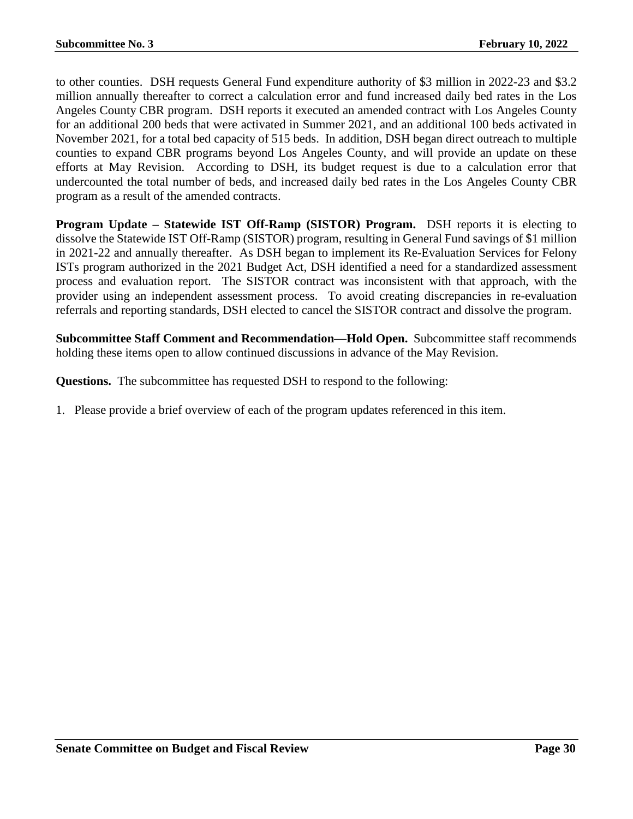to other counties. DSH requests General Fund expenditure authority of \$3 million in 2022-23 and \$3.2 million annually thereafter to correct a calculation error and fund increased daily bed rates in the Los Angeles County CBR program. DSH reports it executed an amended contract with Los Angeles County for an additional 200 beds that were activated in Summer 2021, and an additional 100 beds activated in November 2021, for a total bed capacity of 515 beds. In addition, DSH began direct outreach to multiple counties to expand CBR programs beyond Los Angeles County, and will provide an update on these efforts at May Revision. According to DSH, its budget request is due to a calculation error that undercounted the total number of beds, and increased daily bed rates in the Los Angeles County CBR program as a result of the amended contracts.

**Program Update – Statewide IST Off-Ramp (SISTOR) Program.** DSH reports it is electing to dissolve the Statewide IST Off-Ramp (SISTOR) program, resulting in General Fund savings of \$1 million in 2021-22 and annually thereafter. As DSH began to implement its Re-Evaluation Services for Felony ISTs program authorized in the 2021 Budget Act, DSH identified a need for a standardized assessment process and evaluation report. The SISTOR contract was inconsistent with that approach, with the provider using an independent assessment process. To avoid creating discrepancies in re-evaluation referrals and reporting standards, DSH elected to cancel the SISTOR contract and dissolve the program.

**Subcommittee Staff Comment and Recommendation—Hold Open.** Subcommittee staff recommends holding these items open to allow continued discussions in advance of the May Revision.

**Questions.** The subcommittee has requested DSH to respond to the following:

1. Please provide a brief overview of each of the program updates referenced in this item.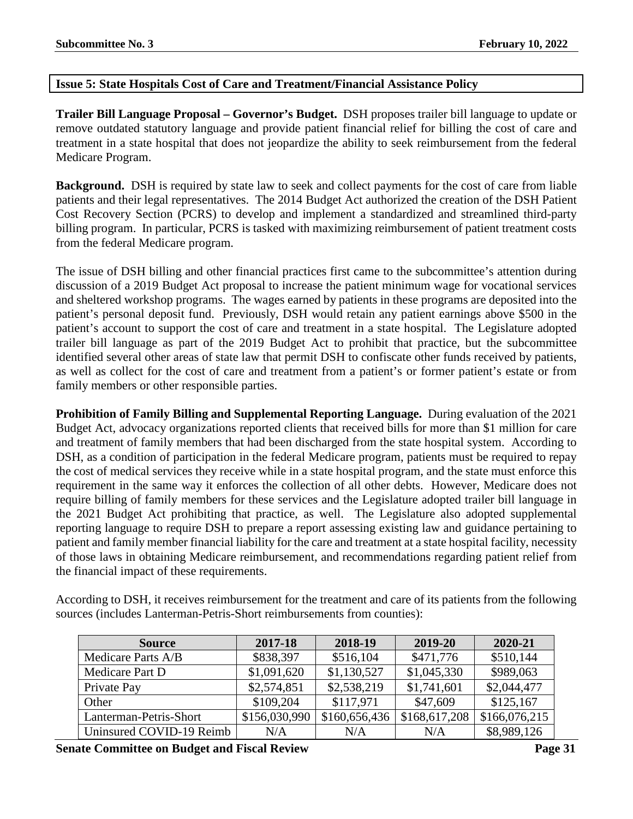# <span id="page-30-0"></span>**Issue 5: State Hospitals Cost of Care and Treatment/Financial Assistance Policy**

**Trailer Bill Language Proposal – Governor's Budget.** DSH proposes trailer bill language to update or remove outdated statutory language and provide patient financial relief for billing the cost of care and treatment in a state hospital that does not jeopardize the ability to seek reimbursement from the federal Medicare Program.

**Background.** DSH is required by state law to seek and collect payments for the cost of care from liable patients and their legal representatives. The 2014 Budget Act authorized the creation of the DSH Patient Cost Recovery Section (PCRS) to develop and implement a standardized and streamlined third-party billing program. In particular, PCRS is tasked with maximizing reimbursement of patient treatment costs from the federal Medicare program.

The issue of DSH billing and other financial practices first came to the subcommittee's attention during discussion of a 2019 Budget Act proposal to increase the patient minimum wage for vocational services and sheltered workshop programs. The wages earned by patients in these programs are deposited into the patient's personal deposit fund. Previously, DSH would retain any patient earnings above \$500 in the patient's account to support the cost of care and treatment in a state hospital. The Legislature adopted trailer bill language as part of the 2019 Budget Act to prohibit that practice, but the subcommittee identified several other areas of state law that permit DSH to confiscate other funds received by patients, as well as collect for the cost of care and treatment from a patient's or former patient's estate or from family members or other responsible parties.

**Prohibition of Family Billing and Supplemental Reporting Language.** During evaluation of the 2021 Budget Act, advocacy organizations reported clients that received bills for more than \$1 million for care and treatment of family members that had been discharged from the state hospital system. According to DSH, as a condition of participation in the federal Medicare program, patients must be required to repay the cost of medical services they receive while in a state hospital program, and the state must enforce this requirement in the same way it enforces the collection of all other debts. However, Medicare does not require billing of family members for these services and the Legislature adopted trailer bill language in the 2021 Budget Act prohibiting that practice, as well. The Legislature also adopted supplemental reporting language to require DSH to prepare a report assessing existing law and guidance pertaining to patient and family member financial liability for the care and treatment at a state hospital facility, necessity of those laws in obtaining Medicare reimbursement, and recommendations regarding patient relief from the financial impact of these requirements.

According to DSH, it receives reimbursement for the treatment and care of its patients from the following sources (includes Lanterman-Petris-Short reimbursements from counties):

| <b>Source</b>            | 2017-18       | 2018-19       | 2019-20       | 2020-21       |
|--------------------------|---------------|---------------|---------------|---------------|
| Medicare Parts A/B       | \$838,397     | \$516,104     | \$471,776     | \$510,144     |
| Medicare Part D          | \$1,091,620   | \$1,130,527   | \$1,045,330   | \$989,063     |
| Private Pay              | \$2,574,851   | \$2,538,219   | \$1,741,601   | \$2,044,477   |
| Other                    | \$109,204     | \$117,971     | \$47,609      | \$125,167     |
| Lanterman-Petris-Short   | \$156,030,990 | \$160,656,436 | \$168,617,208 | \$166,076,215 |
| Uninsured COVID-19 Reimb | N/A           | N/A           | N/A           | \$8,989,126   |

**Senate Committee on Budget and Fiscal Review Page 31**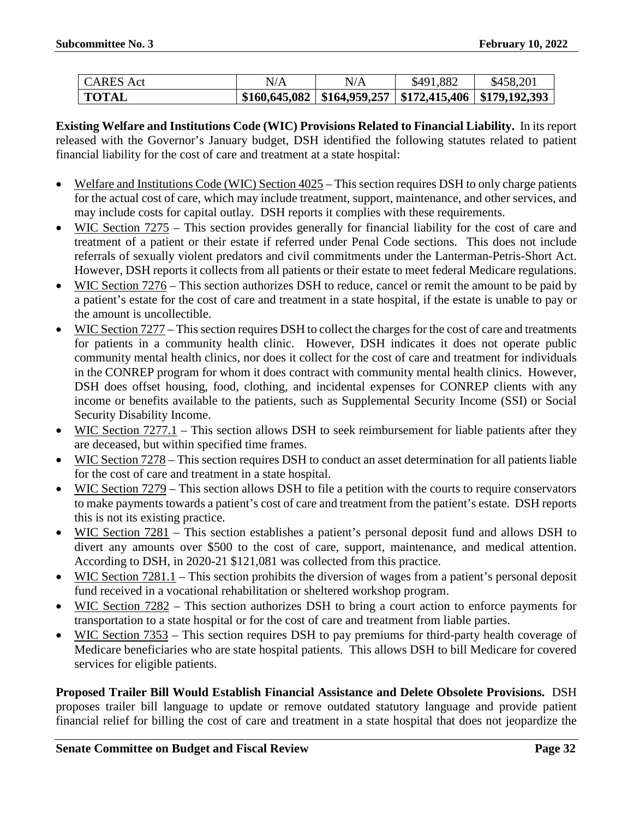| <b>CARES</b> Act | N/A | N/A                                                                  | \$491,882 | \$458,201 |
|------------------|-----|----------------------------------------------------------------------|-----------|-----------|
| <b>TOTAL</b>     |     | $$160,645,082 \mid $164,959,257 \mid $172,415,406 \mid $179,192,393$ |           |           |

**Existing Welfare and Institutions Code (WIC) Provisions Related to Financial Liability.** In its report released with the Governor's January budget, DSH identified the following statutes related to patient financial liability for the cost of care and treatment at a state hospital:

- Welfare and Institutions Code (WIC) Section 4025 This section requires DSH to only charge patients for the actual cost of care, which may include treatment, support, maintenance, and other services, and may include costs for capital outlay. DSH reports it complies with these requirements.
- WIC Section 7275 This section provides generally for financial liability for the cost of care and treatment of a patient or their estate if referred under Penal Code sections. This does not include referrals of sexually violent predators and civil commitments under the Lanterman-Petris-Short Act. However, DSH reports it collects from all patients or their estate to meet federal Medicare regulations.
- WIC Section 7276 This section authorizes DSH to reduce, cancel or remit the amount to be paid by a patient's estate for the cost of care and treatment in a state hospital, if the estate is unable to pay or the amount is uncollectible.
- WIC Section 7277 This section requires DSH to collect the charges for the cost of care and treatments for patients in a community health clinic. However, DSH indicates it does not operate public community mental health clinics, nor does it collect for the cost of care and treatment for individuals in the CONREP program for whom it does contract with community mental health clinics. However, DSH does offset housing, food, clothing, and incidental expenses for CONREP clients with any income or benefits available to the patients, such as Supplemental Security Income (SSI) or Social Security Disability Income.
- WIC Section  $7277.1$  This section allows DSH to seek reimbursement for liable patients after they are deceased, but within specified time frames.
- WIC Section 7278 This section requires DSH to conduct an asset determination for all patients liable for the cost of care and treatment in a state hospital.
- WIC Section 7279 This section allows DSH to file a petition with the courts to require conservators to make payments towards a patient's cost of care and treatment from the patient's estate. DSH reports this is not its existing practice.
- WIC Section 7281 This section establishes a patient's personal deposit fund and allows DSH to divert any amounts over \$500 to the cost of care, support, maintenance, and medical attention. According to DSH, in 2020-21 \$121,081 was collected from this practice.
- WIC Section 7281.1 This section prohibits the diversion of wages from a patient's personal deposit fund received in a vocational rehabilitation or sheltered workshop program.
- WIC Section 7282 This section authorizes DSH to bring a court action to enforce payments for transportation to a state hospital or for the cost of care and treatment from liable parties.
- WIC Section 7353 This section requires DSH to pay premiums for third-party health coverage of Medicare beneficiaries who are state hospital patients. This allows DSH to bill Medicare for covered services for eligible patients.

**Proposed Trailer Bill Would Establish Financial Assistance and Delete Obsolete Provisions.** DSH proposes trailer bill language to update or remove outdated statutory language and provide patient financial relief for billing the cost of care and treatment in a state hospital that does not jeopardize the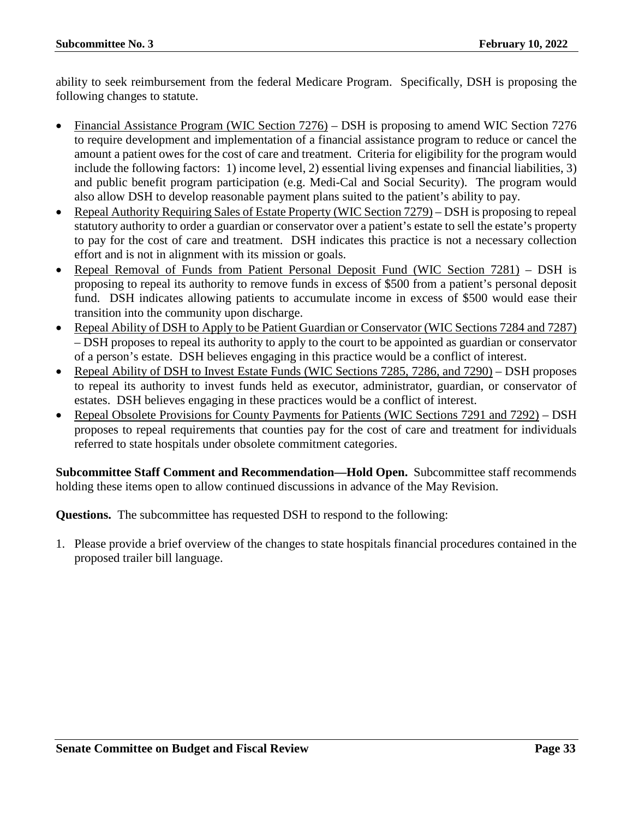ability to seek reimbursement from the federal Medicare Program. Specifically, DSH is proposing the following changes to statute.

- Financial Assistance Program (WIC Section 7276) DSH is proposing to amend WIC Section 7276 to require development and implementation of a financial assistance program to reduce or cancel the amount a patient owes for the cost of care and treatment. Criteria for eligibility for the program would include the following factors: 1) income level, 2) essential living expenses and financial liabilities, 3) and public benefit program participation (e.g. Medi-Cal and Social Security). The program would also allow DSH to develop reasonable payment plans suited to the patient's ability to pay.
- Repeal Authority Requiring Sales of Estate Property (WIC Section 7279) DSH is proposing to repeal statutory authority to order a guardian or conservator over a patient's estate to sell the estate's property to pay for the cost of care and treatment. DSH indicates this practice is not a necessary collection effort and is not in alignment with its mission or goals.
- Repeal Removal of Funds from Patient Personal Deposit Fund (WIC Section 7281) DSH is proposing to repeal its authority to remove funds in excess of \$500 from a patient's personal deposit fund. DSH indicates allowing patients to accumulate income in excess of \$500 would ease their transition into the community upon discharge.
- Repeal Ability of DSH to Apply to be Patient Guardian or Conservator (WIC Sections 7284 and 7287) – DSH proposes to repeal its authority to apply to the court to be appointed as guardian or conservator of a person's estate. DSH believes engaging in this practice would be a conflict of interest.
- Repeal Ability of DSH to Invest Estate Funds (WIC Sections 7285, 7286, and 7290) DSH proposes to repeal its authority to invest funds held as executor, administrator, guardian, or conservator of estates. DSH believes engaging in these practices would be a conflict of interest.
- Repeal Obsolete Provisions for County Payments for Patients (WIC Sections 7291 and 7292) DSH proposes to repeal requirements that counties pay for the cost of care and treatment for individuals referred to state hospitals under obsolete commitment categories.

**Subcommittee Staff Comment and Recommendation—Hold Open.** Subcommittee staff recommends holding these items open to allow continued discussions in advance of the May Revision.

**Questions.** The subcommittee has requested DSH to respond to the following:

1. Please provide a brief overview of the changes to state hospitals financial procedures contained in the proposed trailer bill language.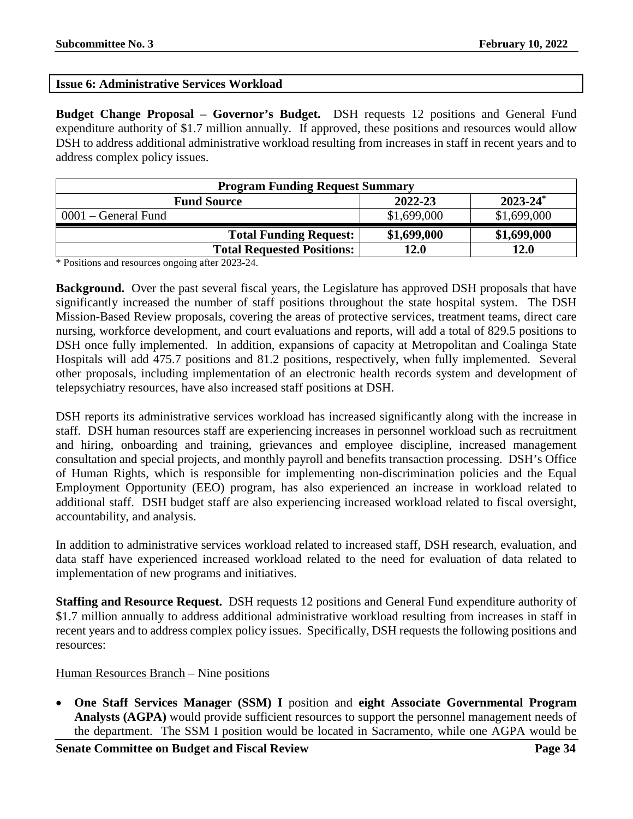# <span id="page-33-0"></span>**Issue 6: Administrative Services Workload**

**Budget Change Proposal – Governor's Budget.** DSH requests 12 positions and General Fund expenditure authority of \$1.7 million annually. If approved, these positions and resources would allow DSH to address additional administrative workload resulting from increases in staff in recent years and to address complex policy issues.

| <b>Program Funding Request Summary</b>         |             |             |  |  |
|------------------------------------------------|-------------|-------------|--|--|
| $2023 - 24^*$<br>2022-23<br><b>Fund Source</b> |             |             |  |  |
| $0001$ – General Fund                          | \$1,699,000 | \$1,699,000 |  |  |
| <b>Total Funding Request:</b>                  | \$1,699,000 | \$1,699,000 |  |  |
| <b>Total Requested Positions:</b>              | 12.0        | 12.0        |  |  |

\* Positions and resources ongoing after 2023-24.

**Background.** Over the past several fiscal years, the Legislature has approved DSH proposals that have significantly increased the number of staff positions throughout the state hospital system. The DSH Mission-Based Review proposals, covering the areas of protective services, treatment teams, direct care nursing, workforce development, and court evaluations and reports, will add a total of 829.5 positions to DSH once fully implemented. In addition, expansions of capacity at Metropolitan and Coalinga State Hospitals will add 475.7 positions and 81.2 positions, respectively, when fully implemented. Several other proposals, including implementation of an electronic health records system and development of telepsychiatry resources, have also increased staff positions at DSH.

DSH reports its administrative services workload has increased significantly along with the increase in staff. DSH human resources staff are experiencing increases in personnel workload such as recruitment and hiring, onboarding and training, grievances and employee discipline, increased management consultation and special projects, and monthly payroll and benefits transaction processing. DSH's Office of Human Rights, which is responsible for implementing non-discrimination policies and the Equal Employment Opportunity (EEO) program, has also experienced an increase in workload related to additional staff. DSH budget staff are also experiencing increased workload related to fiscal oversight, accountability, and analysis.

In addition to administrative services workload related to increased staff, DSH research, evaluation, and data staff have experienced increased workload related to the need for evaluation of data related to implementation of new programs and initiatives.

**Staffing and Resource Request.** DSH requests 12 positions and General Fund expenditure authority of \$1.7 million annually to address additional administrative workload resulting from increases in staff in recent years and to address complex policy issues. Specifically, DSH requests the following positions and resources:

# Human Resources Branch – Nine positions

• **One Staff Services Manager (SSM) I** position and **eight Associate Governmental Program Analysts (AGPA)** would provide sufficient resources to support the personnel management needs of the department. The SSM I position would be located in Sacramento, while one AGPA would be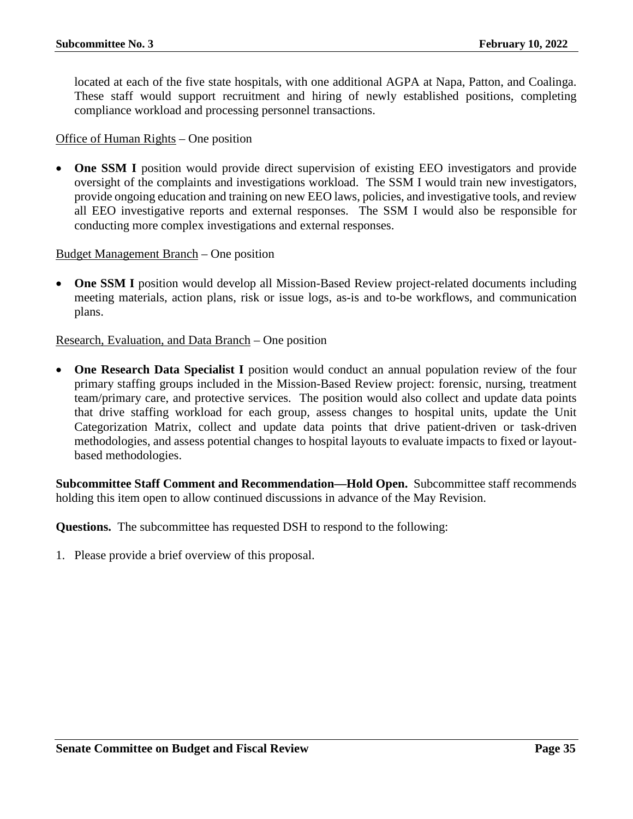located at each of the five state hospitals, with one additional AGPA at Napa, Patton, and Coalinga. These staff would support recruitment and hiring of newly established positions, completing compliance workload and processing personnel transactions.

Office of Human Rights – One position

**One SSM I** position would provide direct supervision of existing EEO investigators and provide oversight of the complaints and investigations workload. The SSM I would train new investigators, provide ongoing education and training on new EEO laws, policies, and investigative tools, and review all EEO investigative reports and external responses. The SSM I would also be responsible for conducting more complex investigations and external responses.

# Budget Management Branch – One position

• **One SSM I** position would develop all Mission-Based Review project-related documents including meeting materials, action plans, risk or issue logs, as-is and to-be workflows, and communication plans.

# Research, Evaluation, and Data Branch – One position

• **One Research Data Specialist I** position would conduct an annual population review of the four primary staffing groups included in the Mission-Based Review project: forensic, nursing, treatment team/primary care, and protective services. The position would also collect and update data points that drive staffing workload for each group, assess changes to hospital units, update the Unit Categorization Matrix, collect and update data points that drive patient-driven or task-driven methodologies, and assess potential changes to hospital layouts to evaluate impacts to fixed or layoutbased methodologies.

**Subcommittee Staff Comment and Recommendation—Hold Open.** Subcommittee staff recommends holding this item open to allow continued discussions in advance of the May Revision.

**Questions.** The subcommittee has requested DSH to respond to the following: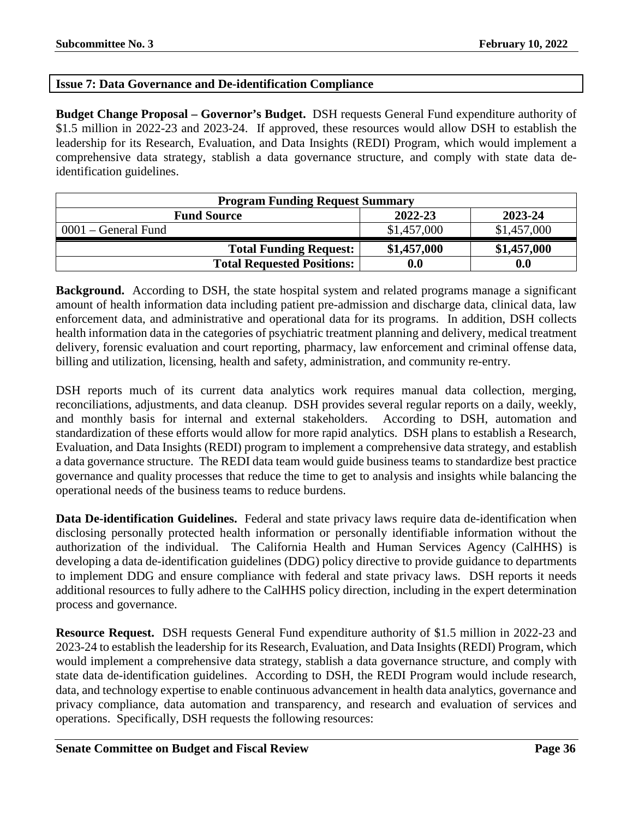# <span id="page-35-0"></span>**Issue 7: Data Governance and De-identification Compliance**

**Budget Change Proposal – Governor's Budget.** DSH requests General Fund expenditure authority of \$1.5 million in 2022-23 and 2023-24. If approved, these resources would allow DSH to establish the leadership for its Research, Evaluation, and Data Insights (REDI) Program, which would implement a comprehensive data strategy, stablish a data governance structure, and comply with state data deidentification guidelines.

| <b>Program Funding Request Summary</b>   |                    |             |  |  |  |
|------------------------------------------|--------------------|-------------|--|--|--|
| 2022-23<br>2023-24<br><b>Fund Source</b> |                    |             |  |  |  |
| $0001$ – General Fund                    | \$1,457,000        | \$1,457,000 |  |  |  |
| <b>Total Funding Request:</b>            | \$1,457,000        | \$1,457,000 |  |  |  |
| <b>Total Requested Positions:</b>        | $\boldsymbol{0.0}$ | 0.0         |  |  |  |

**Background.** According to DSH, the state hospital system and related programs manage a significant amount of health information data including patient pre-admission and discharge data, clinical data, law enforcement data, and administrative and operational data for its programs. In addition, DSH collects health information data in the categories of psychiatric treatment planning and delivery, medical treatment delivery, forensic evaluation and court reporting, pharmacy, law enforcement and criminal offense data, billing and utilization, licensing, health and safety, administration, and community re-entry.

DSH reports much of its current data analytics work requires manual data collection, merging, reconciliations, adjustments, and data cleanup. DSH provides several regular reports on a daily, weekly, and monthly basis for internal and external stakeholders. According to DSH, automation and standardization of these efforts would allow for more rapid analytics. DSH plans to establish a Research, Evaluation, and Data Insights (REDI) program to implement a comprehensive data strategy, and establish a data governance structure. The REDI data team would guide business teams to standardize best practice governance and quality processes that reduce the time to get to analysis and insights while balancing the operational needs of the business teams to reduce burdens.

**Data De-identification Guidelines.** Federal and state privacy laws require data de-identification when disclosing personally protected health information or personally identifiable information without the authorization of the individual. The California Health and Human Services Agency (CalHHS) is developing a data de-identification guidelines (DDG) policy directive to provide guidance to departments to implement DDG and ensure compliance with federal and state privacy laws. DSH reports it needs additional resources to fully adhere to the CalHHS policy direction, including in the expert determination process and governance.

**Resource Request.** DSH requests General Fund expenditure authority of \$1.5 million in 2022-23 and 2023-24 to establish the leadership for its Research, Evaluation, and Data Insights (REDI) Program, which would implement a comprehensive data strategy, stablish a data governance structure, and comply with state data de-identification guidelines. According to DSH, the REDI Program would include research, data, and technology expertise to enable continuous advancement in health data analytics, governance and privacy compliance, data automation and transparency, and research and evaluation of services and operations. Specifically, DSH requests the following resources: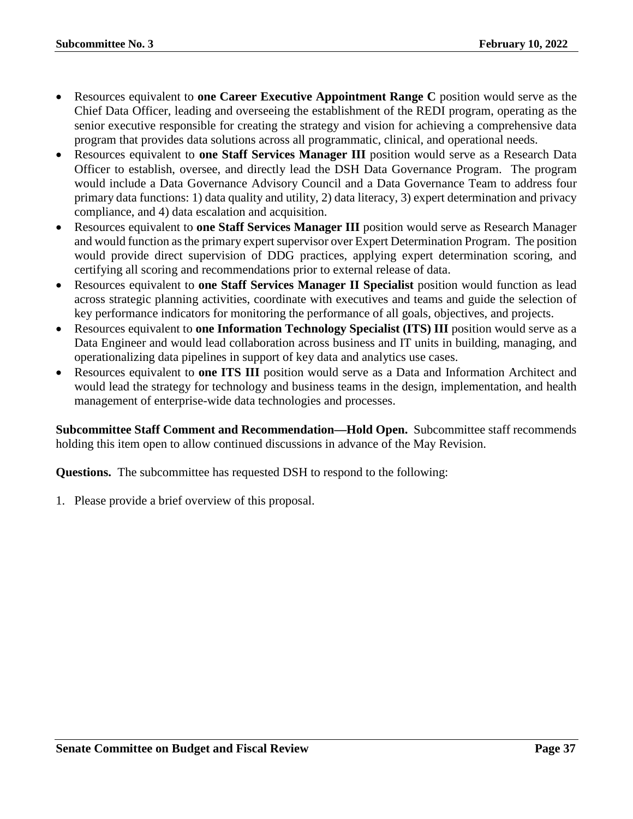- Resources equivalent to **one Career Executive Appointment Range C** position would serve as the Chief Data Officer, leading and overseeing the establishment of the REDI program, operating as the senior executive responsible for creating the strategy and vision for achieving a comprehensive data program that provides data solutions across all programmatic, clinical, and operational needs.
- Resources equivalent to **one Staff Services Manager III** position would serve as a Research Data Officer to establish, oversee, and directly lead the DSH Data Governance Program. The program would include a Data Governance Advisory Council and a Data Governance Team to address four primary data functions: 1) data quality and utility, 2) data literacy, 3) expert determination and privacy compliance, and 4) data escalation and acquisition.
- Resources equivalent to **one Staff Services Manager III** position would serve as Research Manager and would function as the primary expert supervisor over Expert Determination Program. The position would provide direct supervision of DDG practices, applying expert determination scoring, and certifying all scoring and recommendations prior to external release of data.
- Resources equivalent to **one Staff Services Manager II Specialist** position would function as lead across strategic planning activities, coordinate with executives and teams and guide the selection of key performance indicators for monitoring the performance of all goals, objectives, and projects.
- Resources equivalent to **one Information Technology Specialist (ITS) III** position would serve as a Data Engineer and would lead collaboration across business and IT units in building, managing, and operationalizing data pipelines in support of key data and analytics use cases.
- Resources equivalent to **one ITS III** position would serve as a Data and Information Architect and would lead the strategy for technology and business teams in the design, implementation, and health management of enterprise-wide data technologies and processes.

**Subcommittee Staff Comment and Recommendation—Hold Open.** Subcommittee staff recommends holding this item open to allow continued discussions in advance of the May Revision.

**Questions.** The subcommittee has requested DSH to respond to the following: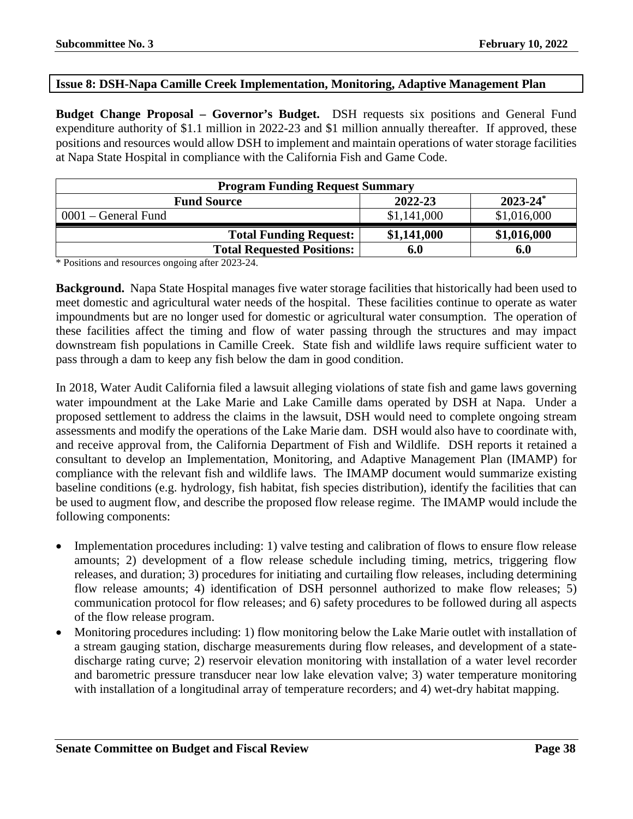# <span id="page-37-0"></span>**Issue 8: DSH-Napa Camille Creek Implementation, Monitoring, Adaptive Management Plan**

**Budget Change Proposal – Governor's Budget.** DSH requests six positions and General Fund expenditure authority of \$1.1 million in 2022-23 and \$1 million annually thereafter. If approved, these positions and resources would allow DSH to implement and maintain operations of water storage facilities at Napa State Hospital in compliance with the California Fish and Game Code.

| <b>Program Funding Request Summary</b>         |             |             |  |  |
|------------------------------------------------|-------------|-------------|--|--|
| $2023 - 24^*$<br>2022-23<br><b>Fund Source</b> |             |             |  |  |
| $0001$ – General Fund                          | \$1,141,000 | \$1,016,000 |  |  |
| <b>Total Funding Request:</b>                  | \$1,141,000 | \$1,016,000 |  |  |
| <b>Total Requested Positions:</b>              | 6.0         | 6.0         |  |  |

\* Positions and resources ongoing after 2023-24.

**Background.** Napa State Hospital manages five water storage facilities that historically had been used to meet domestic and agricultural water needs of the hospital. These facilities continue to operate as water impoundments but are no longer used for domestic or agricultural water consumption. The operation of these facilities affect the timing and flow of water passing through the structures and may impact downstream fish populations in Camille Creek. State fish and wildlife laws require sufficient water to pass through a dam to keep any fish below the dam in good condition.

In 2018, Water Audit California filed a lawsuit alleging violations of state fish and game laws governing water impoundment at the Lake Marie and Lake Camille dams operated by DSH at Napa. Under a proposed settlement to address the claims in the lawsuit, DSH would need to complete ongoing stream assessments and modify the operations of the Lake Marie dam. DSH would also have to coordinate with, and receive approval from, the California Department of Fish and Wildlife. DSH reports it retained a consultant to develop an Implementation, Monitoring, and Adaptive Management Plan (IMAMP) for compliance with the relevant fish and wildlife laws. The IMAMP document would summarize existing baseline conditions (e.g. hydrology, fish habitat, fish species distribution), identify the facilities that can be used to augment flow, and describe the proposed flow release regime. The IMAMP would include the following components:

- Implementation procedures including: 1) valve testing and calibration of flows to ensure flow release amounts; 2) development of a flow release schedule including timing, metrics, triggering flow releases, and duration; 3) procedures for initiating and curtailing flow releases, including determining flow release amounts; 4) identification of DSH personnel authorized to make flow releases; 5) communication protocol for flow releases; and 6) safety procedures to be followed during all aspects of the flow release program.
- Monitoring procedures including: 1) flow monitoring below the Lake Marie outlet with installation of a stream gauging station, discharge measurements during flow releases, and development of a statedischarge rating curve; 2) reservoir elevation monitoring with installation of a water level recorder and barometric pressure transducer near low lake elevation valve; 3) water temperature monitoring with installation of a longitudinal array of temperature recorders; and 4) wet-dry habitat mapping.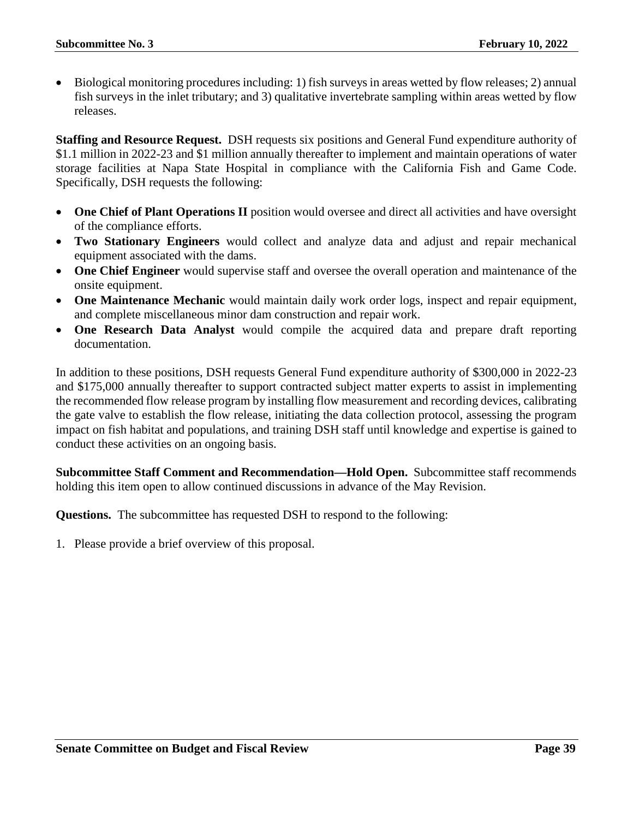• Biological monitoring procedures including: 1) fish surveys in areas wetted by flow releases; 2) annual fish surveys in the inlet tributary; and 3) qualitative invertebrate sampling within areas wetted by flow releases.

**Staffing and Resource Request.** DSH requests six positions and General Fund expenditure authority of \$1.1 million in 2022-23 and \$1 million annually thereafter to implement and maintain operations of water storage facilities at Napa State Hospital in compliance with the California Fish and Game Code. Specifically, DSH requests the following:

- **One Chief of Plant Operations II** position would oversee and direct all activities and have oversight of the compliance efforts.
- **Two Stationary Engineers** would collect and analyze data and adjust and repair mechanical equipment associated with the dams.
- **One Chief Engineer** would supervise staff and oversee the overall operation and maintenance of the onsite equipment.
- **One Maintenance Mechanic** would maintain daily work order logs, inspect and repair equipment, and complete miscellaneous minor dam construction and repair work.
- **One Research Data Analyst** would compile the acquired data and prepare draft reporting documentation.

In addition to these positions, DSH requests General Fund expenditure authority of \$300,000 in 2022-23 and \$175,000 annually thereafter to support contracted subject matter experts to assist in implementing the recommended flow release program by installing flow measurement and recording devices, calibrating the gate valve to establish the flow release, initiating the data collection protocol, assessing the program impact on fish habitat and populations, and training DSH staff until knowledge and expertise is gained to conduct these activities on an ongoing basis.

**Subcommittee Staff Comment and Recommendation—Hold Open.** Subcommittee staff recommends holding this item open to allow continued discussions in advance of the May Revision.

**Questions.** The subcommittee has requested DSH to respond to the following: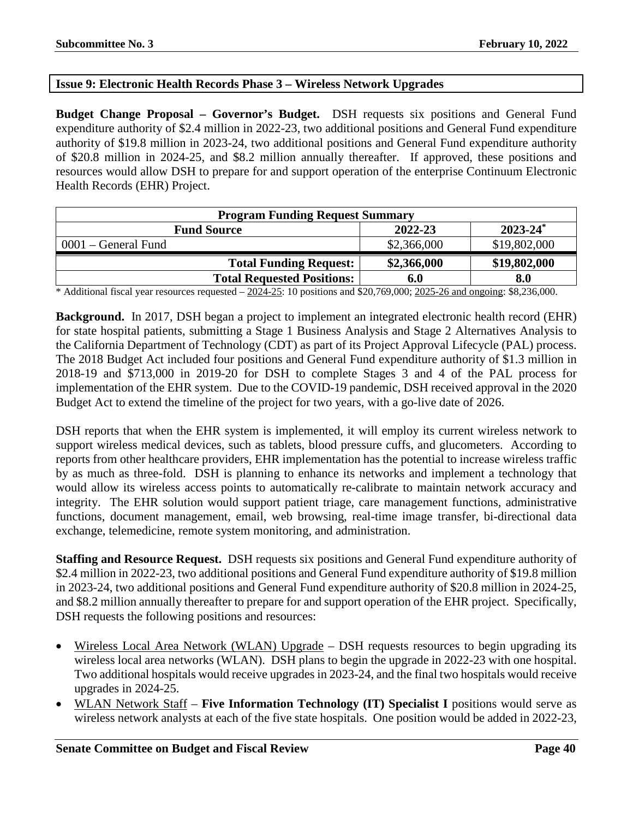# <span id="page-39-0"></span>**Issue 9: Electronic Health Records Phase 3 – Wireless Network Upgrades**

**Budget Change Proposal – Governor's Budget.** DSH requests six positions and General Fund expenditure authority of \$2.4 million in 2022-23, two additional positions and General Fund expenditure authority of \$19.8 million in 2023-24, two additional positions and General Fund expenditure authority of \$20.8 million in 2024-25, and \$8.2 million annually thereafter. If approved, these positions and resources would allow DSH to prepare for and support operation of the enterprise Continuum Electronic Health Records (EHR) Project.

| <b>Program Funding Request Summary</b>         |             |              |  |  |  |
|------------------------------------------------|-------------|--------------|--|--|--|
| $2023 - 24^*$<br>2022-23<br><b>Fund Source</b> |             |              |  |  |  |
| $0001$ – General Fund                          | \$2,366,000 | \$19,802,000 |  |  |  |
| <b>Total Funding Request:</b>                  | \$2,366,000 | \$19,802,000 |  |  |  |
| <b>Total Requested Positions:</b>              | 6.0         | 8.0          |  |  |  |

 $*$  Additional fiscal year resources requested  $-2024-25$ : 10 positions and \$20,769,000; 2025-26 and ongoing: \$8,236,000.

**Background.** In 2017, DSH began a project to implement an integrated electronic health record (EHR) for state hospital patients, submitting a Stage 1 Business Analysis and Stage 2 Alternatives Analysis to the California Department of Technology (CDT) as part of its Project Approval Lifecycle (PAL) process. The 2018 Budget Act included four positions and General Fund expenditure authority of \$1.3 million in 2018-19 and \$713,000 in 2019-20 for DSH to complete Stages 3 and 4 of the PAL process for implementation of the EHR system. Due to the COVID-19 pandemic, DSH received approval in the 2020 Budget Act to extend the timeline of the project for two years, with a go-live date of 2026.

DSH reports that when the EHR system is implemented, it will employ its current wireless network to support wireless medical devices, such as tablets, blood pressure cuffs, and glucometers. According to reports from other healthcare providers, EHR implementation has the potential to increase wireless traffic by as much as three-fold. DSH is planning to enhance its networks and implement a technology that would allow its wireless access points to automatically re-calibrate to maintain network accuracy and integrity. The EHR solution would support patient triage, care management functions, administrative functions, document management, email, web browsing, real-time image transfer, bi-directional data exchange, telemedicine, remote system monitoring, and administration.

**Staffing and Resource Request.** DSH requests six positions and General Fund expenditure authority of \$2.4 million in 2022-23, two additional positions and General Fund expenditure authority of \$19.8 million in 2023-24, two additional positions and General Fund expenditure authority of \$20.8 million in 2024-25, and \$8.2 million annually thereafter to prepare for and support operation of the EHR project. Specifically, DSH requests the following positions and resources:

- Wireless Local Area Network (WLAN) Upgrade DSH requests resources to begin upgrading its wireless local area networks (WLAN). DSH plans to begin the upgrade in 2022-23 with one hospital. Two additional hospitals would receive upgrades in 2023-24, and the final two hospitals would receive upgrades in 2024-25.
- WLAN Network Staff **Five Information Technology (IT) Specialist I** positions would serve as wireless network analysts at each of the five state hospitals. One position would be added in 2022-23,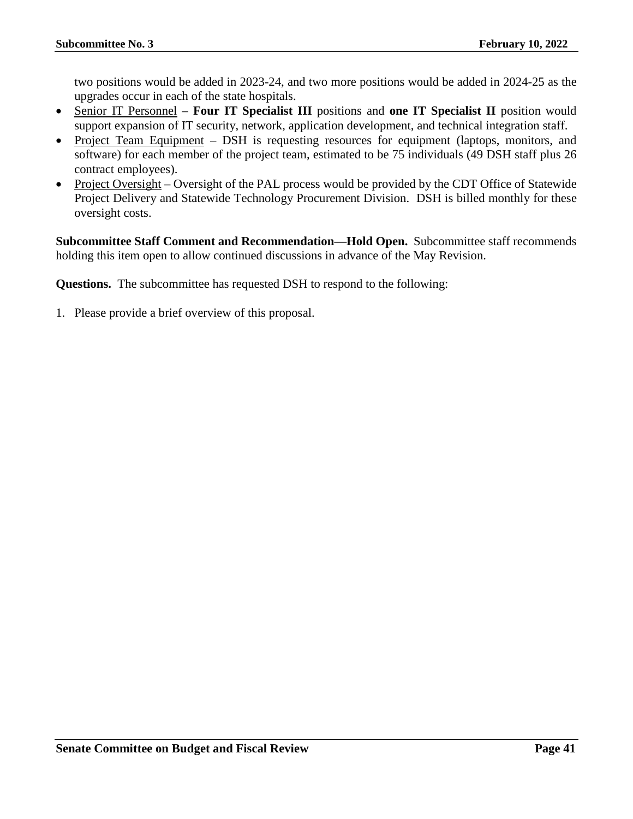two positions would be added in 2023-24, and two more positions would be added in 2024-25 as the upgrades occur in each of the state hospitals.

- Senior IT Personnel **Four IT Specialist III** positions and **one IT Specialist II** position would support expansion of IT security, network, application development, and technical integration staff.
- Project Team Equipment DSH is requesting resources for equipment (laptops, monitors, and software) for each member of the project team, estimated to be 75 individuals (49 DSH staff plus 26 contract employees).
- Project Oversight Oversight of the PAL process would be provided by the CDT Office of Statewide Project Delivery and Statewide Technology Procurement Division. DSH is billed monthly for these oversight costs.

**Subcommittee Staff Comment and Recommendation—Hold Open.** Subcommittee staff recommends holding this item open to allow continued discussions in advance of the May Revision.

**Questions.** The subcommittee has requested DSH to respond to the following: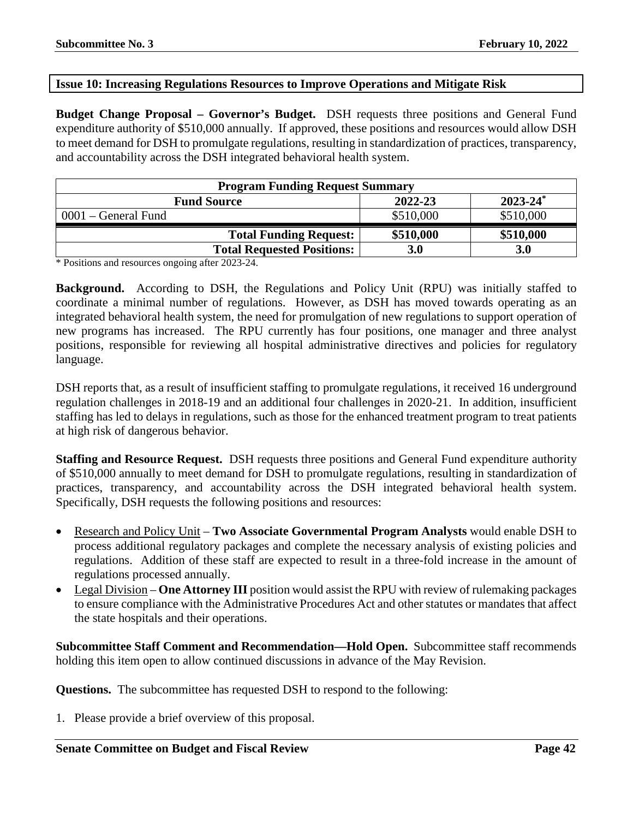# <span id="page-41-0"></span>**Issue 10: Increasing Regulations Resources to Improve Operations and Mitigate Risk**

**Budget Change Proposal – Governor's Budget.** DSH requests three positions and General Fund expenditure authority of \$510,000 annually. If approved, these positions and resources would allow DSH to meet demand for DSH to promulgate regulations, resulting in standardization of practices, transparency, and accountability across the DSH integrated behavioral health system.

| <b>Program Funding Request Summary</b> |            |               |
|----------------------------------------|------------|---------------|
| <b>Fund Source</b>                     | 2022-23    | $2023 - 24^*$ |
| $0001$ – General Fund                  | \$510,000  | \$510,000     |
| <b>Total Funding Request:</b>          | \$510,000  | \$510,000     |
| <b>Total Requested Positions:</b>      | <b>3.0</b> | <b>3.0</b>    |

\* Positions and resources ongoing after 2023-24.

**Background.** According to DSH, the Regulations and Policy Unit (RPU) was initially staffed to coordinate a minimal number of regulations. However, as DSH has moved towards operating as an integrated behavioral health system, the need for promulgation of new regulations to support operation of new programs has increased. The RPU currently has four positions, one manager and three analyst positions, responsible for reviewing all hospital administrative directives and policies for regulatory language.

DSH reports that, as a result of insufficient staffing to promulgate regulations, it received 16 underground regulation challenges in 2018-19 and an additional four challenges in 2020-21. In addition, insufficient staffing has led to delays in regulations, such as those for the enhanced treatment program to treat patients at high risk of dangerous behavior.

**Staffing and Resource Request.** DSH requests three positions and General Fund expenditure authority of \$510,000 annually to meet demand for DSH to promulgate regulations, resulting in standardization of practices, transparency, and accountability across the DSH integrated behavioral health system. Specifically, DSH requests the following positions and resources:

- Research and Policy Unit **Two Associate Governmental Program Analysts** would enable DSH to process additional regulatory packages and complete the necessary analysis of existing policies and regulations. Addition of these staff are expected to result in a three-fold increase in the amount of regulations processed annually.
- Legal Division **One Attorney III** position would assist the RPU with review of rulemaking packages to ensure compliance with the Administrative Procedures Act and other statutes or mandates that affect the state hospitals and their operations.

**Subcommittee Staff Comment and Recommendation—Hold Open.** Subcommittee staff recommends holding this item open to allow continued discussions in advance of the May Revision.

**Questions.** The subcommittee has requested DSH to respond to the following: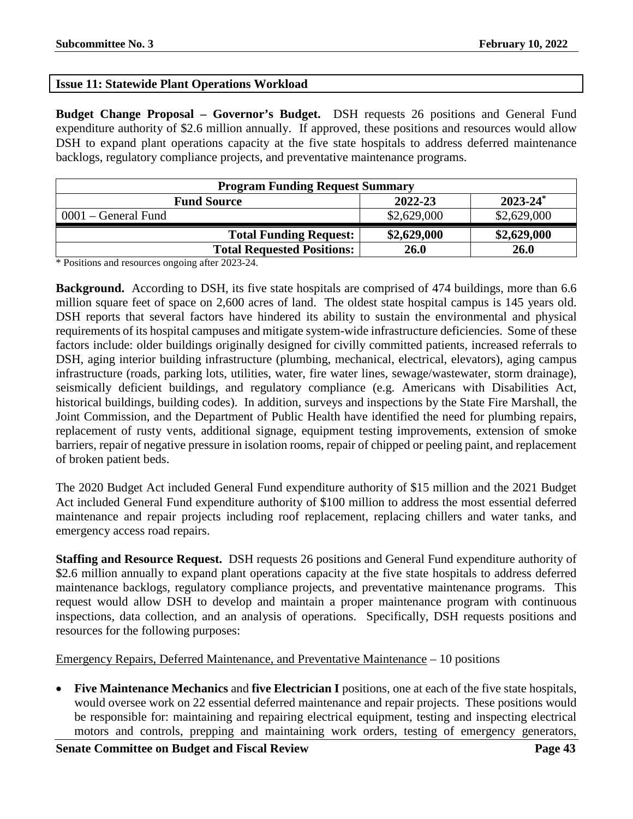# <span id="page-42-0"></span>**Issue 11: Statewide Plant Operations Workload**

**Budget Change Proposal – Governor's Budget.** DSH requests 26 positions and General Fund expenditure authority of \$2.6 million annually. If approved, these positions and resources would allow DSH to expand plant operations capacity at the five state hospitals to address deferred maintenance backlogs, regulatory compliance projects, and preventative maintenance programs.

| <b>Program Funding Request Summary</b> |             |               |
|----------------------------------------|-------------|---------------|
| <b>Fund Source</b>                     | 2022-23     | $2023 - 24^*$ |
| $0001$ – General Fund                  | \$2,629,000 | \$2,629,000   |
| <b>Total Funding Request:</b>          | \$2,629,000 | \$2,629,000   |
| <b>Total Requested Positions:</b>      | 26.0        | 26.0          |

\* Positions and resources ongoing after 2023-24.

**Background.** According to DSH, its five state hospitals are comprised of 474 buildings, more than 6.6 million square feet of space on 2,600 acres of land. The oldest state hospital campus is 145 years old. DSH reports that several factors have hindered its ability to sustain the environmental and physical requirements of its hospital campuses and mitigate system-wide infrastructure deficiencies. Some of these factors include: older buildings originally designed for civilly committed patients, increased referrals to DSH, aging interior building infrastructure (plumbing, mechanical, electrical, elevators), aging campus infrastructure (roads, parking lots, utilities, water, fire water lines, sewage/wastewater, storm drainage), seismically deficient buildings, and regulatory compliance (e.g. Americans with Disabilities Act, historical buildings, building codes). In addition, surveys and inspections by the State Fire Marshall, the Joint Commission, and the Department of Public Health have identified the need for plumbing repairs, replacement of rusty vents, additional signage, equipment testing improvements, extension of smoke barriers, repair of negative pressure in isolation rooms, repair of chipped or peeling paint, and replacement of broken patient beds.

The 2020 Budget Act included General Fund expenditure authority of \$15 million and the 2021 Budget Act included General Fund expenditure authority of \$100 million to address the most essential deferred maintenance and repair projects including roof replacement, replacing chillers and water tanks, and emergency access road repairs.

**Staffing and Resource Request.** DSH requests 26 positions and General Fund expenditure authority of \$2.6 million annually to expand plant operations capacity at the five state hospitals to address deferred maintenance backlogs, regulatory compliance projects, and preventative maintenance programs. This request would allow DSH to develop and maintain a proper maintenance program with continuous inspections, data collection, and an analysis of operations. Specifically, DSH requests positions and resources for the following purposes:

# Emergency Repairs, Deferred Maintenance, and Preventative Maintenance – 10 positions

• **Five Maintenance Mechanics** and **five Electrician I** positions, one at each of the five state hospitals, would oversee work on 22 essential deferred maintenance and repair projects. These positions would be responsible for: maintaining and repairing electrical equipment, testing and inspecting electrical motors and controls, prepping and maintaining work orders, testing of emergency generators,

**Senate Committee on Budget and Fiscal Review Page 43**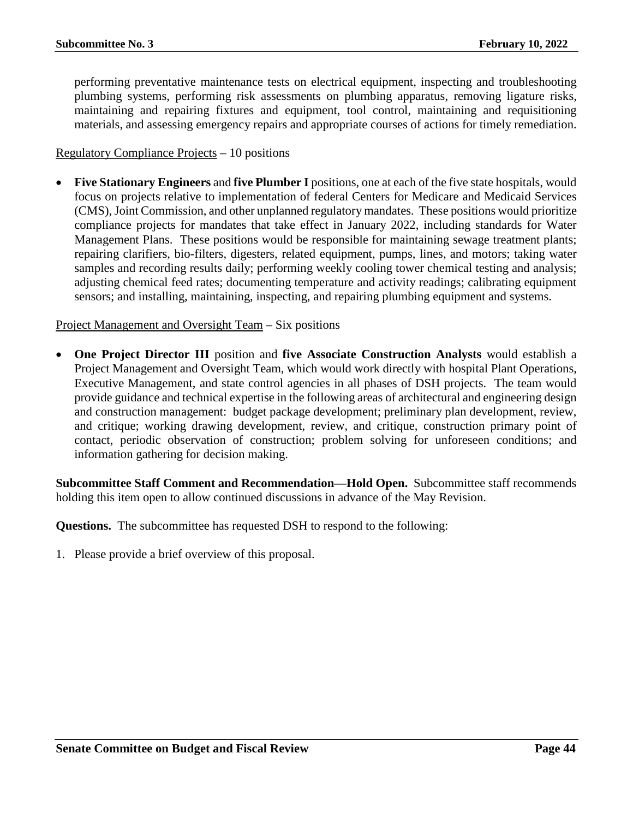performing preventative maintenance tests on electrical equipment, inspecting and troubleshooting plumbing systems, performing risk assessments on plumbing apparatus, removing ligature risks, maintaining and repairing fixtures and equipment, tool control, maintaining and requisitioning materials, and assessing emergency repairs and appropriate courses of actions for timely remediation.

# Regulatory Compliance Projects – 10 positions

• **Five Stationary Engineers** and **five Plumber I** positions, one at each of the five state hospitals, would focus on projects relative to implementation of federal Centers for Medicare and Medicaid Services (CMS), Joint Commission, and other unplanned regulatory mandates. These positions would prioritize compliance projects for mandates that take effect in January 2022, including standards for Water Management Plans. These positions would be responsible for maintaining sewage treatment plants; repairing clarifiers, bio-filters, digesters, related equipment, pumps, lines, and motors; taking water samples and recording results daily; performing weekly cooling tower chemical testing and analysis; adjusting chemical feed rates; documenting temperature and activity readings; calibrating equipment sensors; and installing, maintaining, inspecting, and repairing plumbing equipment and systems.

# Project Management and Oversight Team – Six positions

• **One Project Director III** position and **five Associate Construction Analysts** would establish a Project Management and Oversight Team, which would work directly with hospital Plant Operations, Executive Management, and state control agencies in all phases of DSH projects. The team would provide guidance and technical expertise in the following areas of architectural and engineering design and construction management: budget package development; preliminary plan development, review, and critique; working drawing development, review, and critique, construction primary point of contact, periodic observation of construction; problem solving for unforeseen conditions; and information gathering for decision making.

**Subcommittee Staff Comment and Recommendation—Hold Open.** Subcommittee staff recommends holding this item open to allow continued discussions in advance of the May Revision.

**Questions.** The subcommittee has requested DSH to respond to the following: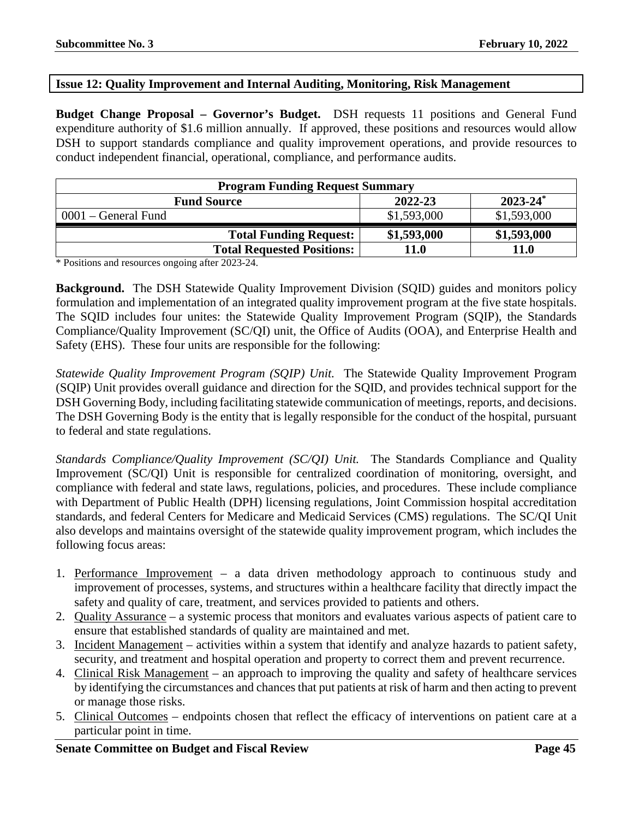# <span id="page-44-0"></span>**Issue 12: Quality Improvement and Internal Auditing, Monitoring, Risk Management**

**Budget Change Proposal – Governor's Budget.** DSH requests 11 positions and General Fund expenditure authority of \$1.6 million annually. If approved, these positions and resources would allow DSH to support standards compliance and quality improvement operations, and provide resources to conduct independent financial, operational, compliance, and performance audits.

| <b>Program Funding Request Summary</b> |             |               |
|----------------------------------------|-------------|---------------|
| <b>Fund Source</b>                     | 2022-23     | $2023 - 24^*$ |
| $0001$ – General Fund                  | \$1,593,000 | \$1,593,000   |
| <b>Total Funding Request:</b>          | \$1,593,000 | \$1,593,000   |
| <b>Total Requested Positions:</b>      | 11.0        | <b>11.0</b>   |

\* Positions and resources ongoing after 2023-24.

**Background.** The DSH Statewide Quality Improvement Division (SQID) guides and monitors policy formulation and implementation of an integrated quality improvement program at the five state hospitals. The SQID includes four unites: the Statewide Quality Improvement Program (SQIP), the Standards Compliance/Quality Improvement (SC/QI) unit, the Office of Audits (OOA), and Enterprise Health and Safety (EHS). These four units are responsible for the following:

*Statewide Quality Improvement Program (SQIP) Unit.* The Statewide Quality Improvement Program (SQIP) Unit provides overall guidance and direction for the SQID, and provides technical support for the DSH Governing Body, including facilitating statewide communication of meetings, reports, and decisions. The DSH Governing Body is the entity that is legally responsible for the conduct of the hospital, pursuant to federal and state regulations.

*Standards Compliance/Quality Improvement (SC/QI) Unit.* The Standards Compliance and Quality Improvement (SC/QI) Unit is responsible for centralized coordination of monitoring, oversight, and compliance with federal and state laws, regulations, policies, and procedures. These include compliance with Department of Public Health (DPH) licensing regulations, Joint Commission hospital accreditation standards, and federal Centers for Medicare and Medicaid Services (CMS) regulations. The SC/QI Unit also develops and maintains oversight of the statewide quality improvement program, which includes the following focus areas:

- 1. Performance Improvement a data driven methodology approach to continuous study and improvement of processes, systems, and structures within a healthcare facility that directly impact the safety and quality of care, treatment, and services provided to patients and others.
- 2. Quality Assurance a systemic process that monitors and evaluates various aspects of patient care to ensure that established standards of quality are maintained and met.
- 3. Incident Management activities within a system that identify and analyze hazards to patient safety, security, and treatment and hospital operation and property to correct them and prevent recurrence.
- 4. Clinical Risk Management an approach to improving the quality and safety of healthcare services by identifying the circumstances and chances that put patients at risk of harm and then acting to prevent or manage those risks.
- 5. Clinical Outcomes endpoints chosen that reflect the efficacy of interventions on patient care at a particular point in time.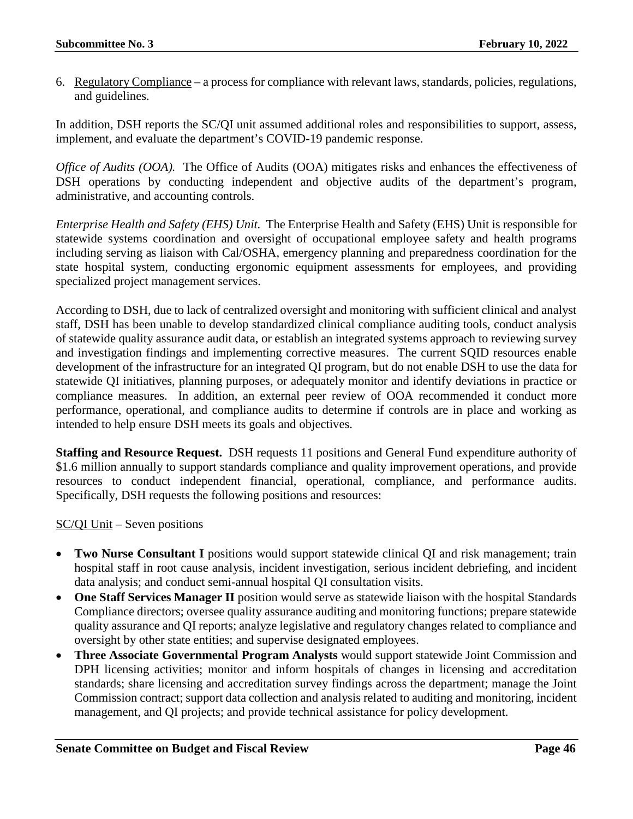6. Regulatory Compliance – a process for compliance with relevant laws, standards, policies, regulations, and guidelines.

In addition, DSH reports the SC/QI unit assumed additional roles and responsibilities to support, assess, implement, and evaluate the department's COVID-19 pandemic response.

*Office of Audits (OOA).* The Office of Audits (OOA) mitigates risks and enhances the effectiveness of DSH operations by conducting independent and objective audits of the department's program, administrative, and accounting controls.

*Enterprise Health and Safety (EHS) Unit.* The Enterprise Health and Safety (EHS) Unit is responsible for statewide systems coordination and oversight of occupational employee safety and health programs including serving as liaison with Cal/OSHA, emergency planning and preparedness coordination for the state hospital system, conducting ergonomic equipment assessments for employees, and providing specialized project management services.

According to DSH, due to lack of centralized oversight and monitoring with sufficient clinical and analyst staff, DSH has been unable to develop standardized clinical compliance auditing tools, conduct analysis of statewide quality assurance audit data, or establish an integrated systems approach to reviewing survey and investigation findings and implementing corrective measures. The current SQID resources enable development of the infrastructure for an integrated QI program, but do not enable DSH to use the data for statewide QI initiatives, planning purposes, or adequately monitor and identify deviations in practice or compliance measures. In addition, an external peer review of OOA recommended it conduct more performance, operational, and compliance audits to determine if controls are in place and working as intended to help ensure DSH meets its goals and objectives.

**Staffing and Resource Request.** DSH requests 11 positions and General Fund expenditure authority of \$1.6 million annually to support standards compliance and quality improvement operations, and provide resources to conduct independent financial, operational, compliance, and performance audits. Specifically, DSH requests the following positions and resources:

# SC/QI Unit – Seven positions

- **Two Nurse Consultant I** positions would support statewide clinical QI and risk management; train hospital staff in root cause analysis, incident investigation, serious incident debriefing, and incident data analysis; and conduct semi-annual hospital QI consultation visits.
- **One Staff Services Manager II** position would serve as statewide liaison with the hospital Standards Compliance directors; oversee quality assurance auditing and monitoring functions; prepare statewide quality assurance and QI reports; analyze legislative and regulatory changes related to compliance and oversight by other state entities; and supervise designated employees.
- **Three Associate Governmental Program Analysts** would support statewide Joint Commission and DPH licensing activities; monitor and inform hospitals of changes in licensing and accreditation standards; share licensing and accreditation survey findings across the department; manage the Joint Commission contract; support data collection and analysis related to auditing and monitoring, incident management, and QI projects; and provide technical assistance for policy development.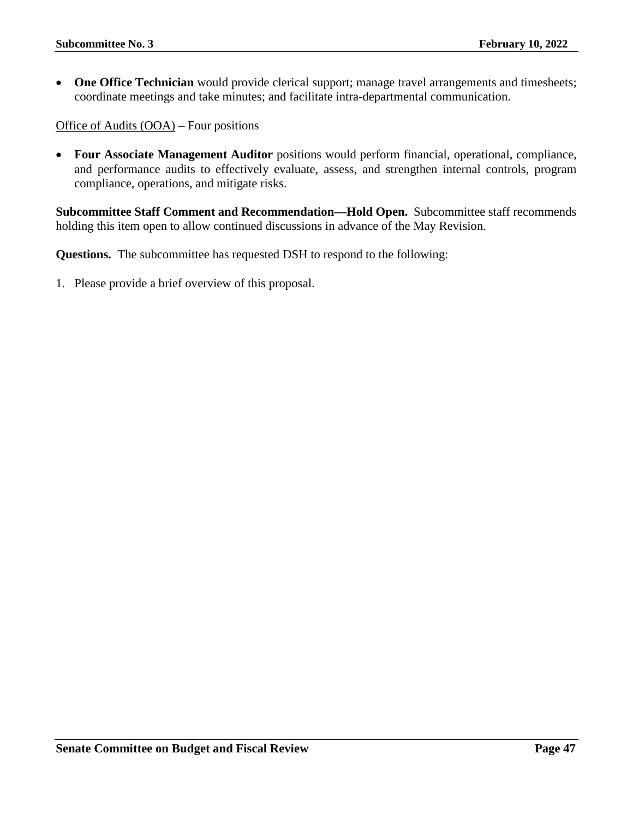• One Office Technician would provide clerical support; manage travel arrangements and timesheets; coordinate meetings and take minutes; and facilitate intra-departmental communication.

Office of Audits (OOA) – Four positions

• **Four Associate Management Auditor** positions would perform financial, operational, compliance, and performance audits to effectively evaluate, assess, and strengthen internal controls, program compliance, operations, and mitigate risks.

**Subcommittee Staff Comment and Recommendation—Hold Open.** Subcommittee staff recommends holding this item open to allow continued discussions in advance of the May Revision.

**Questions.** The subcommittee has requested DSH to respond to the following: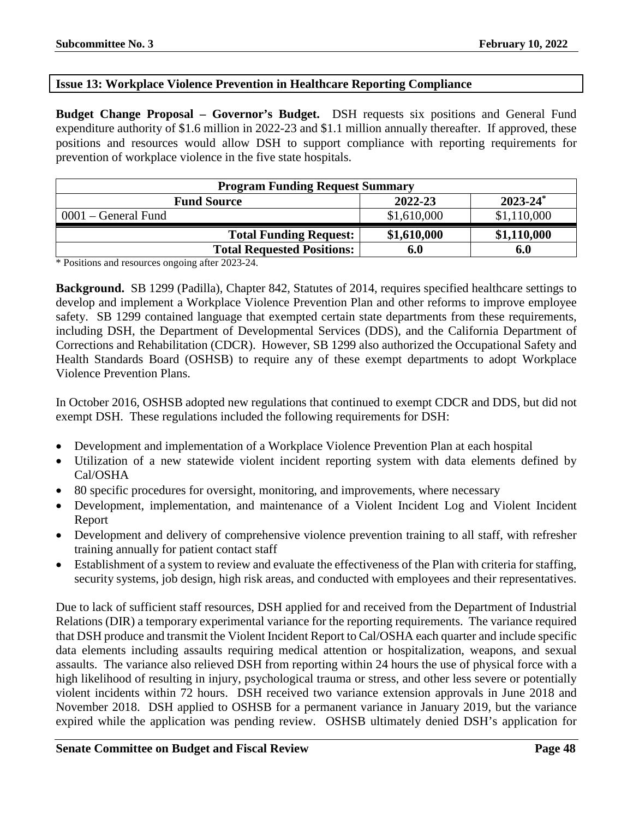# <span id="page-47-0"></span>**Issue 13: Workplace Violence Prevention in Healthcare Reporting Compliance**

**Budget Change Proposal – Governor's Budget.** DSH requests six positions and General Fund expenditure authority of \$1.6 million in 2022-23 and \$1.1 million annually thereafter. If approved, these positions and resources would allow DSH to support compliance with reporting requirements for prevention of workplace violence in the five state hospitals.

| <b>Program Funding Request Summary</b> |             |               |
|----------------------------------------|-------------|---------------|
| <b>Fund Source</b>                     | 2022-23     | $2023 - 24^*$ |
| $0001$ – General Fund                  | \$1,610,000 | \$1,110,000   |
| <b>Total Funding Request:</b>          | \$1,610,000 | \$1,110,000   |
| <b>Total Requested Positions:</b>      | 6.0         | 6.0           |

\* Positions and resources ongoing after 2023-24.

**Background.** SB 1299 (Padilla), Chapter 842, Statutes of 2014, requires specified healthcare settings to develop and implement a Workplace Violence Prevention Plan and other reforms to improve employee safety. SB 1299 contained language that exempted certain state departments from these requirements, including DSH, the Department of Developmental Services (DDS), and the California Department of Corrections and Rehabilitation (CDCR). However, SB 1299 also authorized the Occupational Safety and Health Standards Board (OSHSB) to require any of these exempt departments to adopt Workplace Violence Prevention Plans.

In October 2016, OSHSB adopted new regulations that continued to exempt CDCR and DDS, but did not exempt DSH. These regulations included the following requirements for DSH:

- Development and implementation of a Workplace Violence Prevention Plan at each hospital
- Utilization of a new statewide violent incident reporting system with data elements defined by Cal/OSHA
- 80 specific procedures for oversight, monitoring, and improvements, where necessary
- Development, implementation, and maintenance of a Violent Incident Log and Violent Incident Report
- Development and delivery of comprehensive violence prevention training to all staff, with refresher training annually for patient contact staff
- Establishment of a system to review and evaluate the effectiveness of the Plan with criteria for staffing, security systems, job design, high risk areas, and conducted with employees and their representatives.

Due to lack of sufficient staff resources, DSH applied for and received from the Department of Industrial Relations (DIR) a temporary experimental variance for the reporting requirements. The variance required that DSH produce and transmit the Violent Incident Report to Cal/OSHA each quarter and include specific data elements including assaults requiring medical attention or hospitalization, weapons, and sexual assaults. The variance also relieved DSH from reporting within 24 hours the use of physical force with a high likelihood of resulting in injury, psychological trauma or stress, and other less severe or potentially violent incidents within 72 hours. DSH received two variance extension approvals in June 2018 and November 2018. DSH applied to OSHSB for a permanent variance in January 2019, but the variance expired while the application was pending review. OSHSB ultimately denied DSH's application for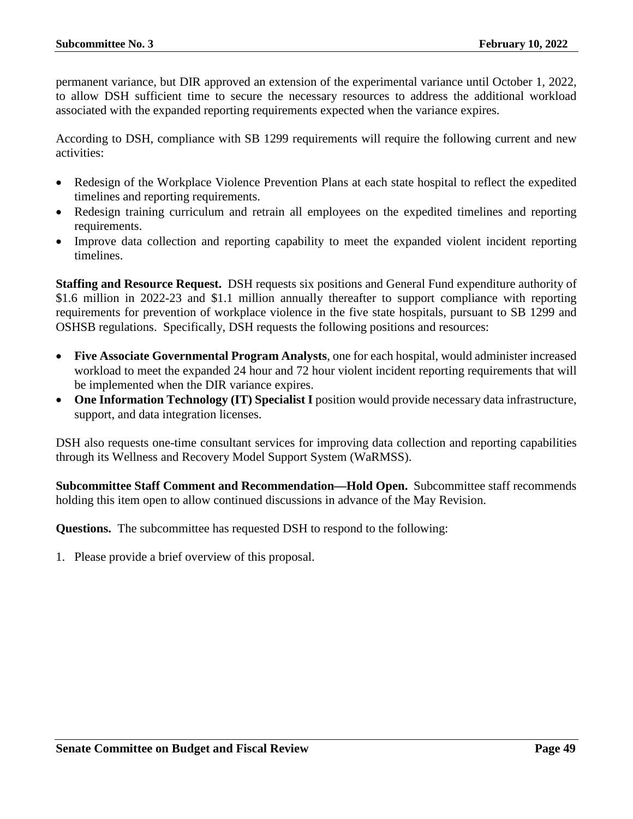permanent variance, but DIR approved an extension of the experimental variance until October 1, 2022, to allow DSH sufficient time to secure the necessary resources to address the additional workload associated with the expanded reporting requirements expected when the variance expires.

According to DSH, compliance with SB 1299 requirements will require the following current and new activities:

- Redesign of the Workplace Violence Prevention Plans at each state hospital to reflect the expedited timelines and reporting requirements.
- Redesign training curriculum and retrain all employees on the expedited timelines and reporting requirements.
- Improve data collection and reporting capability to meet the expanded violent incident reporting timelines.

**Staffing and Resource Request.** DSH requests six positions and General Fund expenditure authority of \$1.6 million in 2022-23 and \$1.1 million annually thereafter to support compliance with reporting requirements for prevention of workplace violence in the five state hospitals, pursuant to SB 1299 and OSHSB regulations. Specifically, DSH requests the following positions and resources:

- **Five Associate Governmental Program Analysts**, one for each hospital, would administer increased workload to meet the expanded 24 hour and 72 hour violent incident reporting requirements that will be implemented when the DIR variance expires.
- One Information Technology (IT) Specialist I position would provide necessary data infrastructure, support, and data integration licenses.

DSH also requests one-time consultant services for improving data collection and reporting capabilities through its Wellness and Recovery Model Support System (WaRMSS).

**Subcommittee Staff Comment and Recommendation—Hold Open.** Subcommittee staff recommends holding this item open to allow continued discussions in advance of the May Revision.

**Questions.** The subcommittee has requested DSH to respond to the following: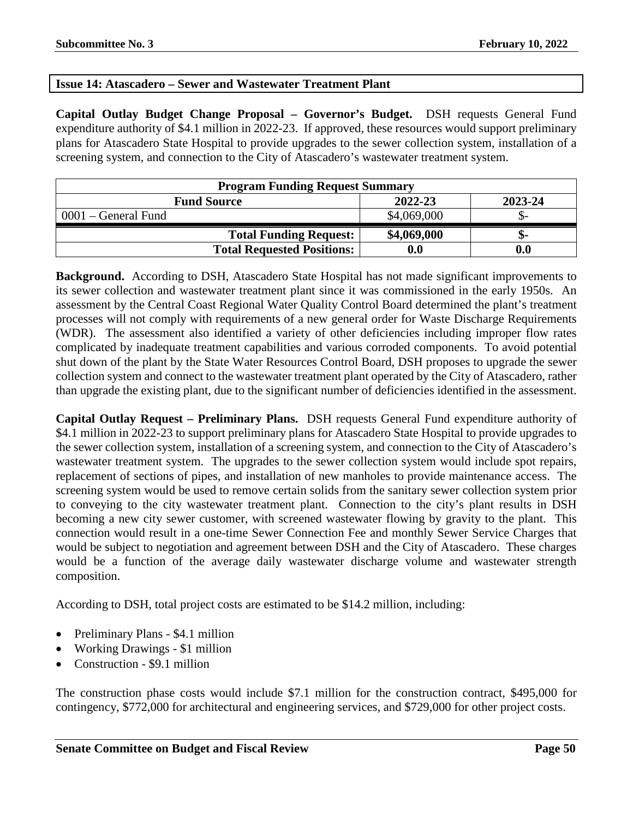# <span id="page-49-0"></span>**Issue 14: Atascadero – Sewer and Wastewater Treatment Plant**

**Capital Outlay Budget Change Proposal – Governor's Budget.** DSH requests General Fund expenditure authority of \$4.1 million in 2022-23. If approved, these resources would support preliminary plans for Atascadero State Hospital to provide upgrades to the sewer collection system, installation of a screening system, and connection to the City of Atascadero's wastewater treatment system.

| <b>Program Funding Request Summary</b> |             |         |
|----------------------------------------|-------------|---------|
| <b>Fund Source</b>                     | 2022-23     | 2023-24 |
| $0001$ – General Fund                  | \$4,069,000 | JD-     |
| <b>Total Funding Request:</b>          | \$4,069,000 | -ת.     |
| <b>Total Requested Positions:</b>      | 0.0         | 0.0     |

**Background.** According to DSH, Atascadero State Hospital has not made significant improvements to its sewer collection and wastewater treatment plant since it was commissioned in the early 1950s. An assessment by the Central Coast Regional Water Quality Control Board determined the plant's treatment processes will not comply with requirements of a new general order for Waste Discharge Requirements (WDR). The assessment also identified a variety of other deficiencies including improper flow rates complicated by inadequate treatment capabilities and various corroded components. To avoid potential shut down of the plant by the State Water Resources Control Board, DSH proposes to upgrade the sewer collection system and connect to the wastewater treatment plant operated by the City of Atascadero, rather than upgrade the existing plant, due to the significant number of deficiencies identified in the assessment.

**Capital Outlay Request – Preliminary Plans.** DSH requests General Fund expenditure authority of \$4.1 million in 2022-23 to support preliminary plans for Atascadero State Hospital to provide upgrades to the sewer collection system, installation of a screening system, and connection to the City of Atascadero's wastewater treatment system. The upgrades to the sewer collection system would include spot repairs, replacement of sections of pipes, and installation of new manholes to provide maintenance access. The screening system would be used to remove certain solids from the sanitary sewer collection system prior to conveying to the city wastewater treatment plant. Connection to the city's plant results in DSH becoming a new city sewer customer, with screened wastewater flowing by gravity to the plant. This connection would result in a one-time Sewer Connection Fee and monthly Sewer Service Charges that would be subject to negotiation and agreement between DSH and the City of Atascadero. These charges would be a function of the average daily wastewater discharge volume and wastewater strength composition.

According to DSH, total project costs are estimated to be \$14.2 million, including:

- Preliminary Plans \$4.1 million
- Working Drawings \$1 million
- Construction \$9.1 million

The construction phase costs would include \$7.1 million for the construction contract, \$495,000 for contingency, \$772,000 for architectural and engineering services, and \$729,000 for other project costs.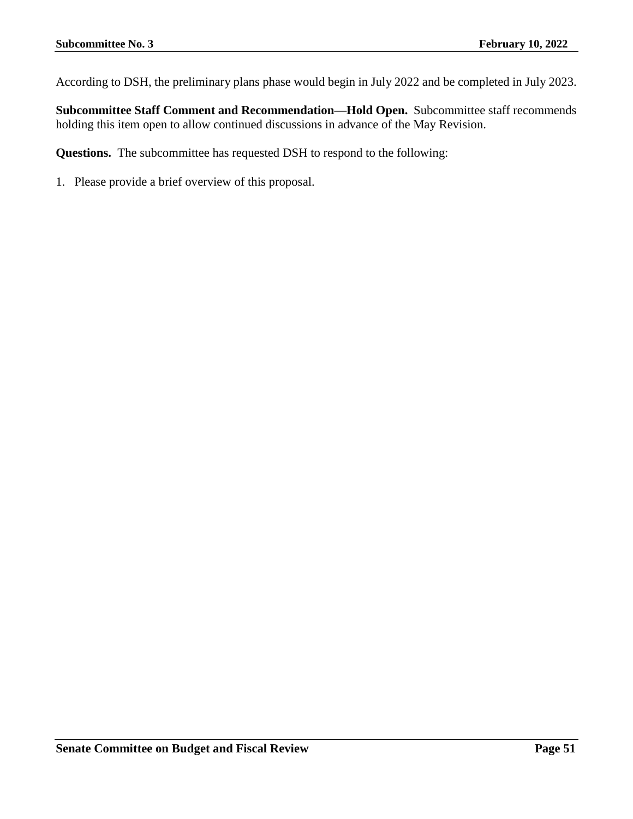According to DSH, the preliminary plans phase would begin in July 2022 and be completed in July 2023.

**Subcommittee Staff Comment and Recommendation—Hold Open.** Subcommittee staff recommends holding this item open to allow continued discussions in advance of the May Revision.

**Questions.** The subcommittee has requested DSH to respond to the following: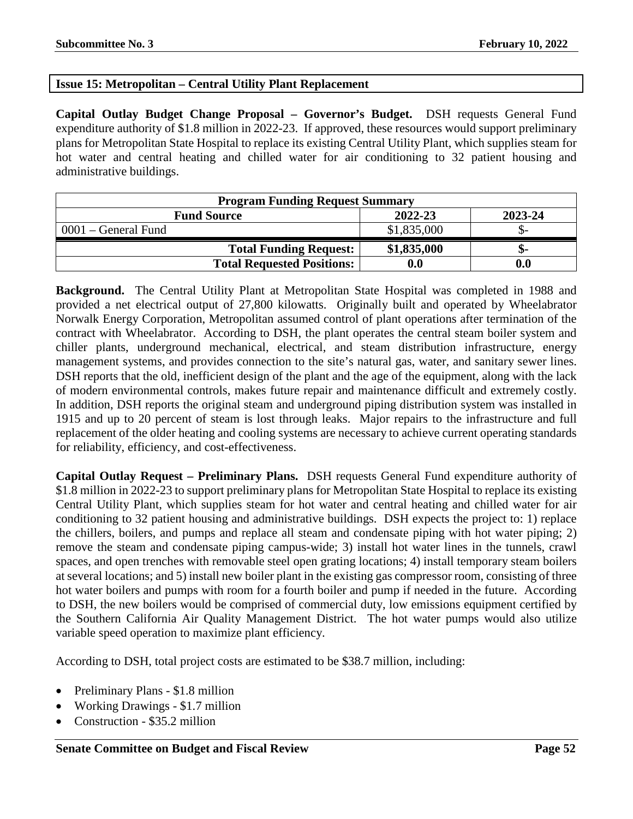# <span id="page-51-0"></span>**Issue 15: Metropolitan – Central Utility Plant Replacement**

**Capital Outlay Budget Change Proposal – Governor's Budget.** DSH requests General Fund expenditure authority of \$1.8 million in 2022-23. If approved, these resources would support preliminary plans for Metropolitan State Hospital to replace its existing Central Utility Plant, which supplies steam for hot water and central heating and chilled water for air conditioning to 32 patient housing and administrative buildings.

| <b>Program Funding Request Summary</b> |             |         |
|----------------------------------------|-------------|---------|
| <b>Fund Source</b>                     | 2022-23     | 2023-24 |
| 0001 – General Fund                    | \$1,835,000 |         |
| <b>Total Funding Request:</b>          | \$1,835,000 | -ת.     |
| <b>Total Requested Positions:</b>      | 0.0         |         |

**Background.** The Central Utility Plant at Metropolitan State Hospital was completed in 1988 and provided a net electrical output of 27,800 kilowatts. Originally built and operated by Wheelabrator Norwalk Energy Corporation, Metropolitan assumed control of plant operations after termination of the contract with Wheelabrator. According to DSH, the plant operates the central steam boiler system and chiller plants, underground mechanical, electrical, and steam distribution infrastructure, energy management systems, and provides connection to the site's natural gas, water, and sanitary sewer lines. DSH reports that the old, inefficient design of the plant and the age of the equipment, along with the lack of modern environmental controls, makes future repair and maintenance difficult and extremely costly. In addition, DSH reports the original steam and underground piping distribution system was installed in 1915 and up to 20 percent of steam is lost through leaks. Major repairs to the infrastructure and full replacement of the older heating and cooling systems are necessary to achieve current operating standards for reliability, efficiency, and cost-effectiveness.

**Capital Outlay Request – Preliminary Plans.** DSH requests General Fund expenditure authority of \$1.8 million in 2022-23 to support preliminary plans for Metropolitan State Hospital to replace its existing Central Utility Plant, which supplies steam for hot water and central heating and chilled water for air conditioning to 32 patient housing and administrative buildings. DSH expects the project to: 1) replace the chillers, boilers, and pumps and replace all steam and condensate piping with hot water piping; 2) remove the steam and condensate piping campus-wide; 3) install hot water lines in the tunnels, crawl spaces, and open trenches with removable steel open grating locations; 4) install temporary steam boilers at several locations; and 5) install new boiler plant in the existing gas compressor room, consisting of three hot water boilers and pumps with room for a fourth boiler and pump if needed in the future. According to DSH, the new boilers would be comprised of commercial duty, low emissions equipment certified by the Southern California Air Quality Management District. The hot water pumps would also utilize variable speed operation to maximize plant efficiency.

According to DSH, total project costs are estimated to be \$38.7 million, including:

- Preliminary Plans \$1.8 million
- Working Drawings \$1.7 million
- Construction \$35.2 million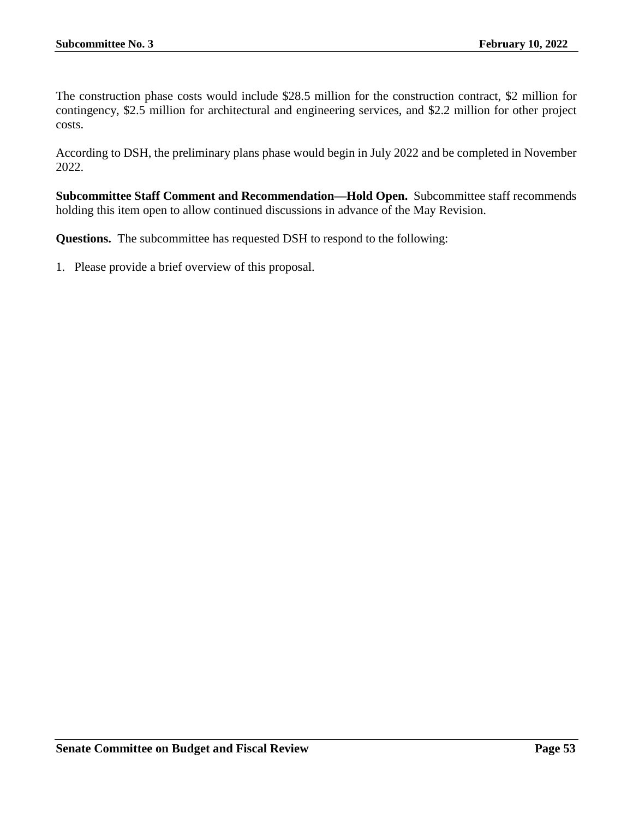The construction phase costs would include \$28.5 million for the construction contract, \$2 million for contingency, \$2.5 million for architectural and engineering services, and \$2.2 million for other project costs.

According to DSH, the preliminary plans phase would begin in July 2022 and be completed in November 2022.

**Subcommittee Staff Comment and Recommendation—Hold Open.** Subcommittee staff recommends holding this item open to allow continued discussions in advance of the May Revision.

**Questions.** The subcommittee has requested DSH to respond to the following: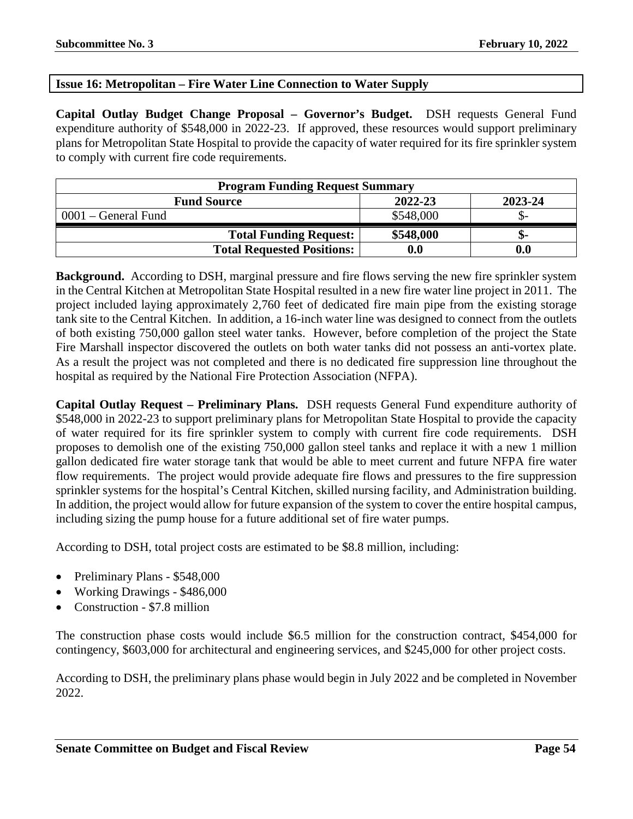# <span id="page-53-0"></span>**Issue 16: Metropolitan – Fire Water Line Connection to Water Supply**

**Capital Outlay Budget Change Proposal – Governor's Budget.** DSH requests General Fund expenditure authority of \$548,000 in 2022-23. If approved, these resources would support preliminary plans for Metropolitan State Hospital to provide the capacity of water required for its fire sprinkler system to comply with current fire code requirements.

| <b>Program Funding Request Summary</b> |           |                  |
|----------------------------------------|-----------|------------------|
| <b>Fund Source</b>                     | 2022-23   | 2023-24          |
| $0001$ – General Fund                  | \$548,000 |                  |
| <b>Total Funding Request:</b>          | \$548,000 | -ת.              |
| <b>Total Requested Positions:</b>      | 0.0       | 0.0 <sub>1</sub> |

**Background.** According to DSH, marginal pressure and fire flows serving the new fire sprinkler system in the Central Kitchen at Metropolitan State Hospital resulted in a new fire water line project in 2011. The project included laying approximately 2,760 feet of dedicated fire main pipe from the existing storage tank site to the Central Kitchen. In addition, a 16-inch water line was designed to connect from the outlets of both existing 750,000 gallon steel water tanks. However, before completion of the project the State Fire Marshall inspector discovered the outlets on both water tanks did not possess an anti-vortex plate. As a result the project was not completed and there is no dedicated fire suppression line throughout the hospital as required by the National Fire Protection Association (NFPA).

**Capital Outlay Request – Preliminary Plans.** DSH requests General Fund expenditure authority of \$548,000 in 2022-23 to support preliminary plans for Metropolitan State Hospital to provide the capacity of water required for its fire sprinkler system to comply with current fire code requirements. DSH proposes to demolish one of the existing 750,000 gallon steel tanks and replace it with a new 1 million gallon dedicated fire water storage tank that would be able to meet current and future NFPA fire water flow requirements. The project would provide adequate fire flows and pressures to the fire suppression sprinkler systems for the hospital's Central Kitchen, skilled nursing facility, and Administration building. In addition, the project would allow for future expansion of the system to cover the entire hospital campus, including sizing the pump house for a future additional set of fire water pumps.

According to DSH, total project costs are estimated to be \$8.8 million, including:

- Preliminary Plans \$548,000
- Working Drawings \$486,000
- Construction \$7.8 million

The construction phase costs would include \$6.5 million for the construction contract, \$454,000 for contingency, \$603,000 for architectural and engineering services, and \$245,000 for other project costs.

According to DSH, the preliminary plans phase would begin in July 2022 and be completed in November 2022.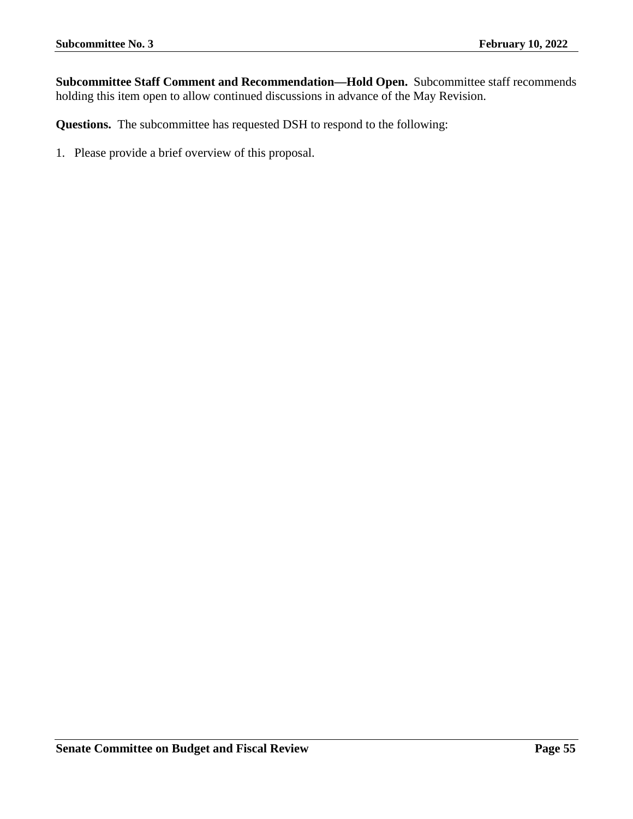**Subcommittee Staff Comment and Recommendation—Hold Open.** Subcommittee staff recommends holding this item open to allow continued discussions in advance of the May Revision.

**Questions.** The subcommittee has requested DSH to respond to the following: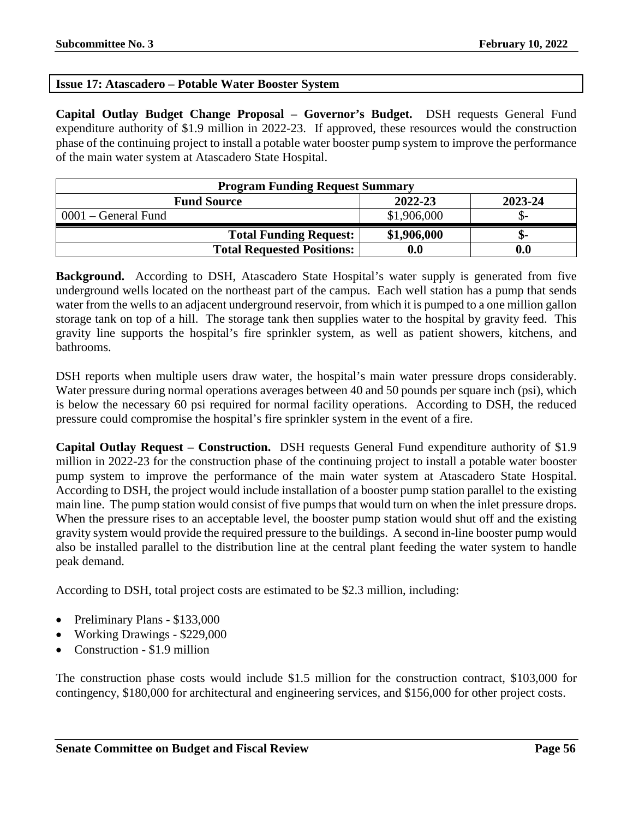# <span id="page-55-0"></span>**Issue 17: Atascadero – Potable Water Booster System**

**Capital Outlay Budget Change Proposal – Governor's Budget.** DSH requests General Fund expenditure authority of \$1.9 million in 2022-23. If approved, these resources would the construction phase of the continuing project to install a potable water booster pump system to improve the performance of the main water system at Atascadero State Hospital.

| <b>Program Funding Request Summary</b> |             |         |
|----------------------------------------|-------------|---------|
| <b>Fund Source</b>                     | 2022-23     | 2023-24 |
| $0001$ – General Fund                  | \$1,906,000 |         |
| <b>Total Funding Request:</b>          | \$1,906,000 |         |
| <b>Total Requested Positions:</b>      | 0.0         |         |

**Background.** According to DSH, Atascadero State Hospital's water supply is generated from five underground wells located on the northeast part of the campus. Each well station has a pump that sends water from the wells to an adjacent underground reservoir, from which it is pumped to a one million gallon storage tank on top of a hill. The storage tank then supplies water to the hospital by gravity feed. This gravity line supports the hospital's fire sprinkler system, as well as patient showers, kitchens, and bathrooms.

DSH reports when multiple users draw water, the hospital's main water pressure drops considerably. Water pressure during normal operations averages between 40 and 50 pounds per square inch (psi), which is below the necessary 60 psi required for normal facility operations. According to DSH, the reduced pressure could compromise the hospital's fire sprinkler system in the event of a fire.

**Capital Outlay Request – Construction.** DSH requests General Fund expenditure authority of \$1.9 million in 2022-23 for the construction phase of the continuing project to install a potable water booster pump system to improve the performance of the main water system at Atascadero State Hospital. According to DSH, the project would include installation of a booster pump station parallel to the existing main line. The pump station would consist of five pumps that would turn on when the inlet pressure drops. When the pressure rises to an acceptable level, the booster pump station would shut off and the existing gravity system would provide the required pressure to the buildings. A second in-line booster pump would also be installed parallel to the distribution line at the central plant feeding the water system to handle peak demand.

According to DSH, total project costs are estimated to be \$2.3 million, including:

- Preliminary Plans \$133,000
- Working Drawings \$229,000
- Construction \$1.9 million

The construction phase costs would include \$1.5 million for the construction contract, \$103,000 for contingency, \$180,000 for architectural and engineering services, and \$156,000 for other project costs.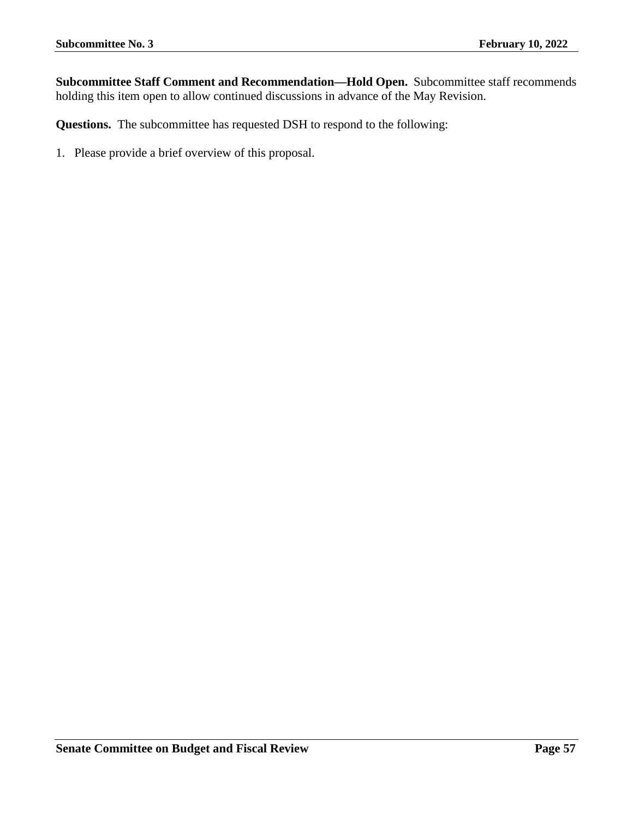**Subcommittee Staff Comment and Recommendation—Hold Open.** Subcommittee staff recommends holding this item open to allow continued discussions in advance of the May Revision.

**Questions.** The subcommittee has requested DSH to respond to the following: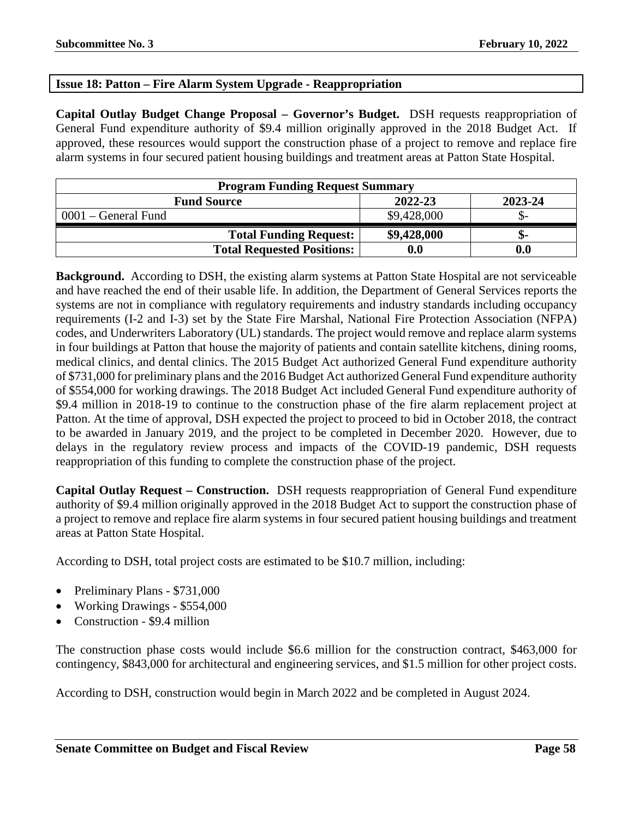# <span id="page-57-0"></span>**Issue 18: Patton – Fire Alarm System Upgrade - Reappropriation**

**Capital Outlay Budget Change Proposal – Governor's Budget.** DSH requests reappropriation of General Fund expenditure authority of \$9.4 million originally approved in the 2018 Budget Act. If approved, these resources would support the construction phase of a project to remove and replace fire alarm systems in four secured patient housing buildings and treatment areas at Patton State Hospital.

| <b>Program Funding Request Summary</b> |             |         |
|----------------------------------------|-------------|---------|
| <b>Fund Source</b>                     | 2022-23     | 2023-24 |
| $0001$ – General Fund                  | \$9,428,000 |         |
| <b>Total Funding Request:</b>          | \$9,428,000 | -ת.     |
| <b>Total Requested Positions:</b>      | 0.0         | 0.0     |

**Background.** According to DSH, the existing alarm systems at Patton State Hospital are not serviceable and have reached the end of their usable life. In addition, the Department of General Services reports the systems are not in compliance with regulatory requirements and industry standards including occupancy requirements (I-2 and I-3) set by the State Fire Marshal, National Fire Protection Association (NFPA) codes, and Underwriters Laboratory (UL) standards. The project would remove and replace alarm systems in four buildings at Patton that house the majority of patients and contain satellite kitchens, dining rooms, medical clinics, and dental clinics. The 2015 Budget Act authorized General Fund expenditure authority of \$731,000 for preliminary plans and the 2016 Budget Act authorized General Fund expenditure authority of \$554,000 for working drawings. The 2018 Budget Act included General Fund expenditure authority of \$9.4 million in 2018-19 to continue to the construction phase of the fire alarm replacement project at Patton. At the time of approval, DSH expected the project to proceed to bid in October 2018, the contract to be awarded in January 2019, and the project to be completed in December 2020. However, due to delays in the regulatory review process and impacts of the COVID-19 pandemic, DSH requests reappropriation of this funding to complete the construction phase of the project.

**Capital Outlay Request – Construction.** DSH requests reappropriation of General Fund expenditure authority of \$9.4 million originally approved in the 2018 Budget Act to support the construction phase of a project to remove and replace fire alarm systems in four secured patient housing buildings and treatment areas at Patton State Hospital.

According to DSH, total project costs are estimated to be \$10.7 million, including:

- Preliminary Plans \$731,000
- Working Drawings \$554,000
- Construction \$9.4 million

The construction phase costs would include \$6.6 million for the construction contract, \$463,000 for contingency, \$843,000 for architectural and engineering services, and \$1.5 million for other project costs.

According to DSH, construction would begin in March 2022 and be completed in August 2024.